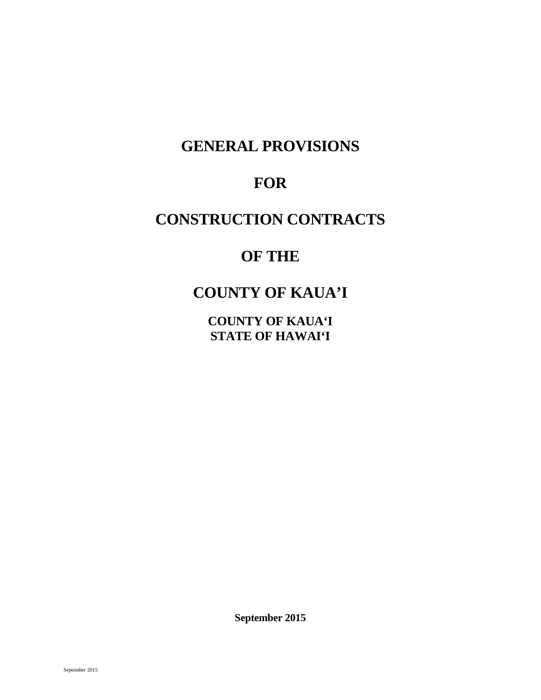# **GENERAL PROVISIONS**

# **FOR**

# **CONSTRUCTION CONTRACTS**

# **OF THE**

# **COUNTY OF KAUA'I**

**COUNTY OF KAUA'I STATE OF HAWAI'I** 

**September 2015**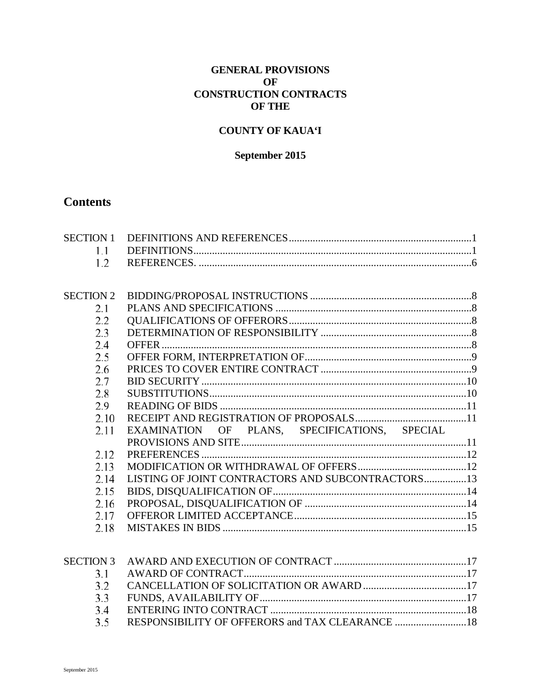## **GENERAL PROVISIONS OF CONSTRUCTION CONTRACTS OF THE**

## **COUNTY OF KAUA'I**

## September 2015

# **Contents**

| <b>SECTION 2</b> |                                                   |  |
|------------------|---------------------------------------------------|--|
| 2.1              |                                                   |  |
| 2.2              |                                                   |  |
| 2.3              |                                                   |  |
| 2.4              |                                                   |  |
| 2.5              |                                                   |  |
| 2.6              |                                                   |  |
| 2.7              |                                                   |  |
| 2.8              |                                                   |  |
| 2.9              |                                                   |  |
| 2.10             |                                                   |  |
| 2.11             | EXAMINATION OF PLANS, SPECIFICATIONS, SPECIAL     |  |
|                  |                                                   |  |
| 2.12             |                                                   |  |
| 2.13             |                                                   |  |
| 2.14             | LISTING OF JOINT CONTRACTORS AND SUBCONTRACTORS13 |  |
| 2.15             |                                                   |  |
| 2.16             |                                                   |  |
| 2.17             |                                                   |  |
| 2.18             |                                                   |  |
|                  |                                                   |  |
|                  |                                                   |  |
| <b>SECTION 3</b> |                                                   |  |
| 3.1              |                                                   |  |
| 3.2              |                                                   |  |
| 3.3              |                                                   |  |

RESPONSIBILITY OF OFFERORS and TAX CLEARANCE .................................18

 $3.4$  $3.5$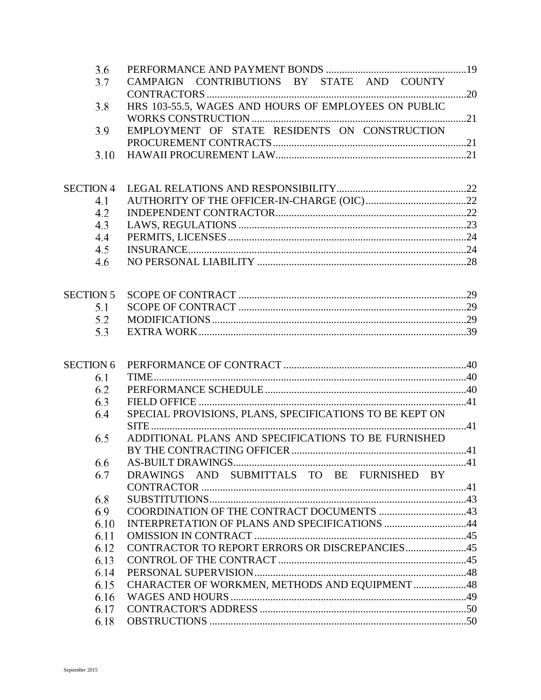| 3.6              |                                                         |  |
|------------------|---------------------------------------------------------|--|
| 3.7              | CAMPAIGN CONTRIBUTIONS BY STATE AND COUNTY              |  |
|                  |                                                         |  |
| 3.8              | HRS 103-55.5, WAGES AND HOURS OF EMPLOYEES ON PUBLIC    |  |
|                  |                                                         |  |
| 3.9              | EMPLOYMENT OF STATE RESIDENTS ON CONSTRUCTION           |  |
|                  |                                                         |  |
| 3.10             |                                                         |  |
|                  |                                                         |  |
| <b>SECTION 4</b> |                                                         |  |
| 4.1              |                                                         |  |
| 4.2              |                                                         |  |
| 4.3              |                                                         |  |
| 4.4              |                                                         |  |
| 4.5              |                                                         |  |
| 4.6              |                                                         |  |
|                  |                                                         |  |
|                  |                                                         |  |
| <b>SECTION 5</b> |                                                         |  |
| 5.1              |                                                         |  |
| 5.2              |                                                         |  |
| 5.3              |                                                         |  |
|                  |                                                         |  |
|                  |                                                         |  |
| <b>SECTION 6</b> |                                                         |  |
| 6.1              |                                                         |  |
| 6.2              |                                                         |  |
| 6.3              |                                                         |  |
| 6.4              | SPECIAL PROVISIONS, PLANS, SPECIFICATIONS TO BE KEPT ON |  |
|                  |                                                         |  |
| 6.5              | ADDITIONAL PLANS AND SPECIFICATIONS TO BE FURNISHED     |  |
|                  |                                                         |  |
| 6.6<br>6.7       | DRAWINGS AND SUBMITTALS TO BE FURNISHED BY              |  |
|                  |                                                         |  |
| 6.8              |                                                         |  |
| 6.9              |                                                         |  |
| 6.10             | INTERPRETATION OF PLANS AND SPECIFICATIONS 44           |  |
| 6.11             |                                                         |  |
|                  | CONTRACTOR TO REPORT ERRORS OR DISCREPANCIES45          |  |
| 6.12<br>6.13     |                                                         |  |
|                  |                                                         |  |
| 6.14             | CHARACTER OF WORKMEN, METHODS AND EQUIPMENT 48          |  |
| 6.15             |                                                         |  |
| 6.16             |                                                         |  |
| 6.17             |                                                         |  |
| 6.18             |                                                         |  |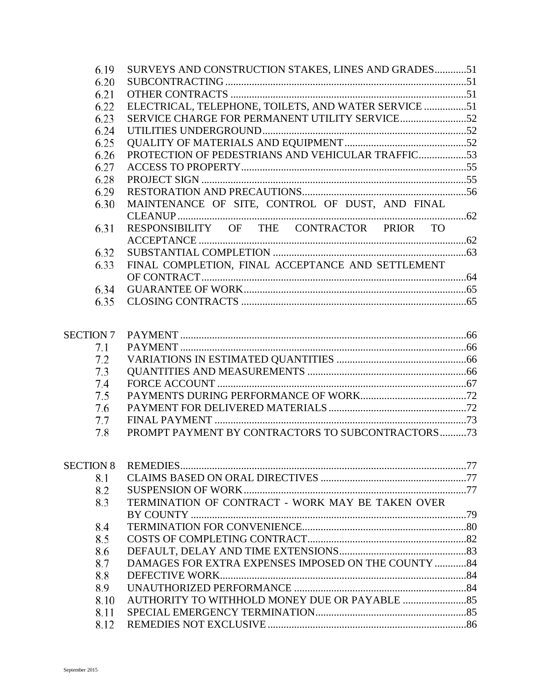| 6.19             | SURVEYS AND CONSTRUCTION STAKES, LINES AND GRADES51  |  |
|------------------|------------------------------------------------------|--|
| 6.20             |                                                      |  |
| 6.21             |                                                      |  |
| 6.22             | ELECTRICAL, TELEPHONE, TOILETS, AND WATER SERVICE 51 |  |
| 6.23             |                                                      |  |
| 6.24             |                                                      |  |
| 6.25             |                                                      |  |
| 6.26             | PROTECTION OF PEDESTRIANS AND VEHICULAR TRAFFIC53    |  |
| 6.27             |                                                      |  |
| 6.28             |                                                      |  |
| 6.29             |                                                      |  |
| 6.30             | MAINTENANCE OF SITE, CONTROL OF DUST, AND FINAL      |  |
|                  |                                                      |  |
| 6.31             | RESPONSIBILITY OF THE CONTRACTOR PRIOR TO            |  |
|                  |                                                      |  |
| 6.32             |                                                      |  |
| 6.33             | FINAL COMPLETION, FINAL ACCEPTANCE AND SETTLEMENT    |  |
|                  |                                                      |  |
| 6.34             |                                                      |  |
| 6.35             |                                                      |  |
|                  |                                                      |  |
| <b>SECTION 7</b> |                                                      |  |
| 7.1              |                                                      |  |
| 7.2              |                                                      |  |
| 7.3              |                                                      |  |
| 7.4              |                                                      |  |
| 7.5              |                                                      |  |
| 7.6              |                                                      |  |
| 7.7              |                                                      |  |
| 7.8              | PROMPT PAYMENT BY CONTRACTORS TO SUBCONTRACTORS73    |  |
|                  |                                                      |  |
|                  |                                                      |  |
| 8.1              |                                                      |  |
| 8.2              |                                                      |  |
| 8.3              | TERMINATION OF CONTRACT - WORK MAY BE TAKEN OVER     |  |
|                  |                                                      |  |
| 8.4              |                                                      |  |
| 8.5              |                                                      |  |
| 8.6              |                                                      |  |
| 8.7              | DAMAGES FOR EXTRA EXPENSES IMPOSED ON THE COUNTY 84  |  |
| 8.8              |                                                      |  |
| 8.9              |                                                      |  |
| 8.10             |                                                      |  |
| 8.11             |                                                      |  |
| 8.12             |                                                      |  |
|                  |                                                      |  |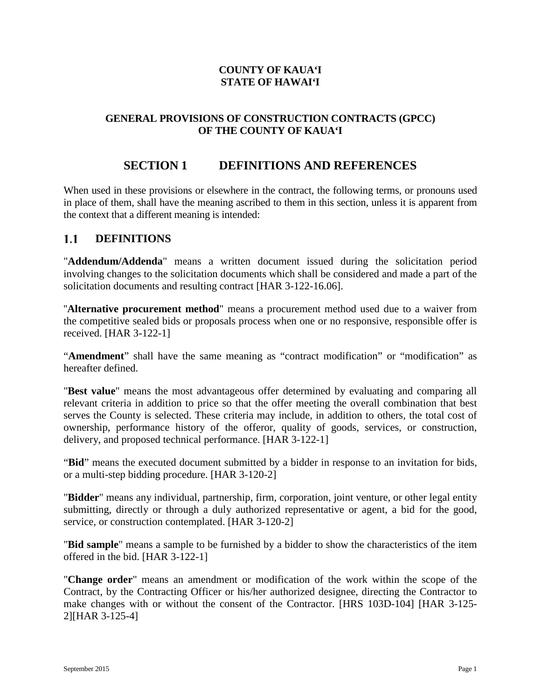## **COUNTY OF KAUA'I STATE OF HAWAI'I**

## **GENERAL PROVISIONS OF CONSTRUCTION CONTRACTS (GPCC) OF THE COUNTY OF KAUA'I**

# **SECTION 1 DEFINITIONS AND REFERENCES**

<span id="page-5-0"></span>When used in these provisions or elsewhere in the contract, the following terms, or pronouns used in place of them, shall have the meaning ascribed to them in this section, unless it is apparent from the context that a different meaning is intended:

#### <span id="page-5-1"></span> $1.1$ **DEFINITIONS**

"**Addendum/Addenda**" means a written document issued during the solicitation period involving changes to the solicitation documents which shall be considered and made a part of the solicitation documents and resulting contract [HAR 3-122-16.06].

''**Alternative procurement method**" means a procurement method used due to a waiver from the competitive sealed bids or proposals process when one or no responsive, responsible offer is received. [HAR 3-122-1]

"**Amendment**" shall have the same meaning as "contract modification" or "modification" as hereafter defined.

"**Best value**" means the most advantageous offer determined by evaluating and comparing all relevant criteria in addition to price so that the offer meeting the overall combination that best serves the County is selected. These criteria may include, in addition to others, the total cost of ownership, performance history of the offeror, quality of goods, services, or construction, delivery, and proposed technical performance. [HAR 3-122-1]

"**Bid**" means the executed document submitted by a bidder in response to an invitation for bids, or a multi-step bidding procedure. [HAR 3-120-2]

"**Bidder**" means any individual, partnership, firm, corporation, joint venture, or other legal entity submitting, directly or through a duly authorized representative or agent, a bid for the good, service, or construction contemplated. [HAR 3-120-2]

"**Bid sample**" means a sample to be furnished by a bidder to show the characteristics of the item offered in the bid. [HAR 3-122-1]

"**Change order**" means an amendment or modification of the work within the scope of the Contract, by the Contracting Officer or his/her authorized designee, directing the Contractor to make changes with or without the consent of the Contractor. [HRS 103D-104] [HAR 3-125- 2][HAR 3-125-4]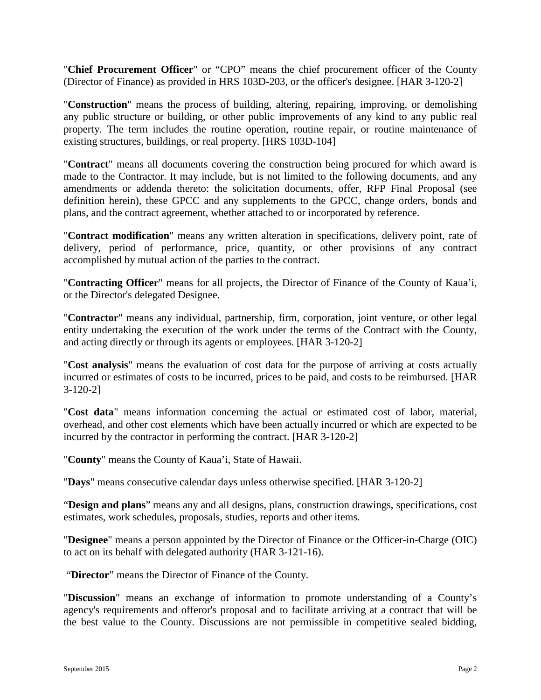"**Chief Procurement Officer**" or "CPO" means the chief procurement officer of the County (Director of Finance) as provided in HRS 103D-203, or the officer's designee. [HAR 3-120-2]

"**Construction**" means the process of building, altering, repairing, improving, or demolishing any public structure or building, or other public improvements of any kind to any public real property. The term includes the routine operation, routine repair, or routine maintenance of existing structures, buildings, or real property. [HRS 103D-104]

"**Contract**" means all documents covering the construction being procured for which award is made to the Contractor. It may include, but is not limited to the following documents, and any amendments or addenda thereto: the solicitation documents, offer, RFP Final Proposal (see definition herein), these GPCC and any supplements to the GPCC, change orders, bonds and plans, and the contract agreement, whether attached to or incorporated by reference.

"**Contract modification**" means any written alteration in specifications, delivery point, rate of delivery, period of performance, price, quantity, or other provisions of any contract accomplished by mutual action of the parties to the contract.

"**Contracting Officer**" means for all projects, the Director of Finance of the County of Kaua'i, or the Director's delegated Designee.

"**Contractor**" means any individual, partnership, firm, corporation, joint venture, or other legal entity undertaking the execution of the work under the terms of the Contract with the County, and acting directly or through its agents or employees. [HAR 3-120-2]

"**Cost analysis**" means the evaluation of cost data for the purpose of arriving at costs actually incurred or estimates of costs to be incurred, prices to be paid, and costs to be reimbursed. [HAR 3-120-2]

"**Cost data**" means information concerning the actual or estimated cost of labor, material, overhead, and other cost elements which have been actually incurred or which are expected to be incurred by the contractor in performing the contract. [HAR 3-120-2]

"**County**" means the County of Kaua'i, State of Hawaii.

"**Days**" means consecutive calendar days unless otherwise specified. [HAR 3-120-2]

"**Design and plans**" means any and all designs, plans, construction drawings, specifications, cost estimates, work schedules, proposals, studies, reports and other items.

"**Designee**" means a person appointed by the Director of Finance or the Officer-in-Charge (OIC) to act on its behalf with delegated authority (HAR 3-121-16).

"**Director**" means the Director of Finance of the County.

"**Discussion**" means an exchange of information to promote understanding of a County's agency's requirements and offeror's proposal and to facilitate arriving at a contract that will be the best value to the County. Discussions are not permissible in competitive sealed bidding,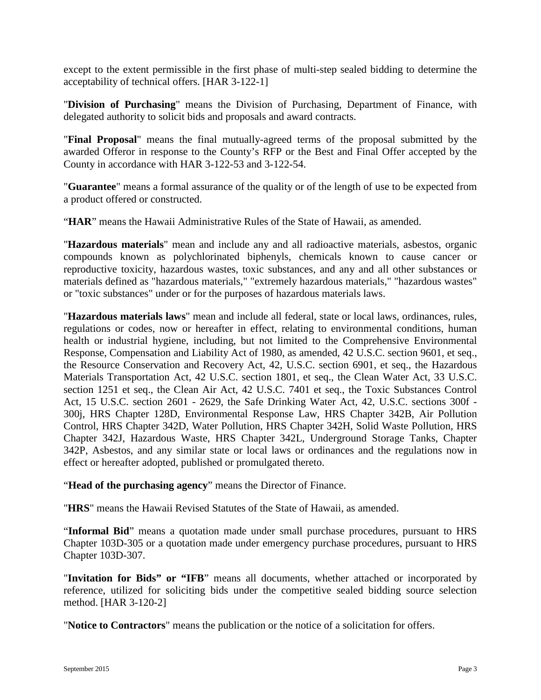except to the extent permissible in the first phase of multi-step sealed bidding to determine the acceptability of technical offers. [HAR 3-122-1]

"**Division of Purchasing**" means the Division of Purchasing, Department of Finance, with delegated authority to solicit bids and proposals and award contracts.

"**Final Proposal**" means the final mutually-agreed terms of the proposal submitted by the awarded Offeror in response to the County's RFP or the Best and Final Offer accepted by the County in accordance with HAR 3-122-53 and 3-122-54.

"**Guarantee**" means a formal assurance of the quality or of the length of use to be expected from a product offered or constructed.

"**HAR**" means the Hawaii Administrative Rules of the State of Hawaii, as amended.

"**Hazardous materials**" mean and include any and all radioactive materials, asbestos, organic compounds known as polychlorinated biphenyls, chemicals known to cause cancer or reproductive toxicity, hazardous wastes, toxic substances, and any and all other substances or materials defined as "hazardous materials," "extremely hazardous materials," "hazardous wastes" or "toxic substances" under or for the purposes of hazardous materials laws.

"**Hazardous materials laws**" mean and include all federal, state or local laws, ordinances, rules, regulations or codes, now or hereafter in effect, relating to environmental conditions, human health or industrial hygiene, including, but not limited to the Comprehensive Environmental Response, Compensation and Liability Act of 1980, as amended, 42 U.S.C. section 9601, et seq., the Resource Conservation and Recovery Act, 42, U.S.C. section 6901, et seq., the Hazardous Materials Transportation Act, 42 U.S.C. section 1801, et seq., the Clean Water Act, 33 U.S.C. section 1251 et seq., the Clean Air Act, 42 U.S.C. 7401 et seq., the Toxic Substances Control Act, 15 U.S.C. section 2601 - 2629, the Safe Drinking Water Act, 42, U.S.C. sections 300f - 300j, HRS Chapter 128D, Environmental Response Law, HRS Chapter 342B, Air Pollution Control, HRS Chapter 342D, Water Pollution, HRS Chapter 342H, Solid Waste Pollution, HRS Chapter 342J, Hazardous Waste, HRS Chapter 342L, Underground Storage Tanks, Chapter 342P, Asbestos, and any similar state or local laws or ordinances and the regulations now in effect or hereafter adopted, published or promulgated thereto.

"**Head of the purchasing agency**" means the Director of Finance.

"**HRS**" means the Hawaii Revised Statutes of the State of Hawaii, as amended.

"**Informal Bid**" means a quotation made under small purchase procedures, pursuant to HRS Chapter 103D-305 or a quotation made under emergency purchase procedures, pursuant to HRS Chapter 103D-307.

"**Invitation for Bids" or "IFB**" means all documents, whether attached or incorporated by reference, utilized for soliciting bids under the competitive sealed bidding source selection method. [HAR 3-120-2]

"**Notice to Contractors**" means the publication or the notice of a solicitation for offers.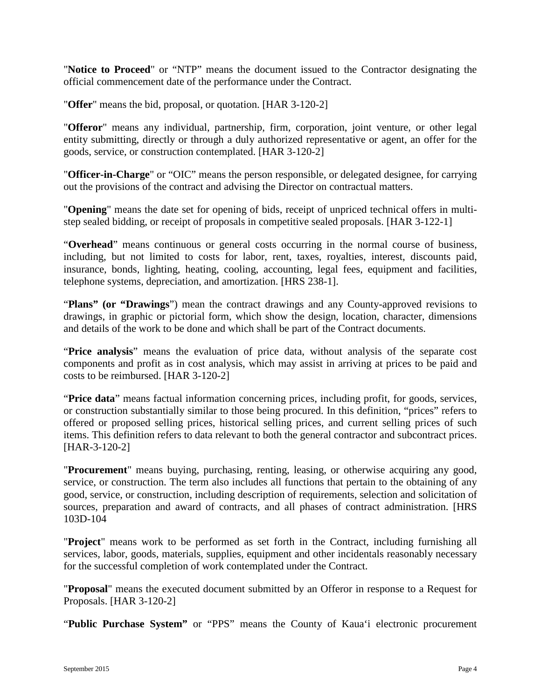"**Notice to Proceed**" or "NTP" means the document issued to the Contractor designating the official commencement date of the performance under the Contract.

"**Offer**" means the bid, proposal, or quotation. [HAR 3-120-2]

"**Offeror**" means any individual, partnership, firm, corporation, joint venture, or other legal entity submitting, directly or through a duly authorized representative or agent, an offer for the goods, service, or construction contemplated. [HAR 3-120-2]

"**Officer-in-Charge**" or "OIC" means the person responsible, or delegated designee, for carrying out the provisions of the contract and advising the Director on contractual matters.

"**Opening**" means the date set for opening of bids, receipt of unpriced technical offers in multistep sealed bidding, or receipt of proposals in competitive sealed proposals. [HAR 3-122-1]

"**Overhead**" means continuous or general costs occurring in the normal course of business, including, but not limited to costs for labor, rent, taxes, royalties, interest, discounts paid, insurance, bonds, lighting, heating, cooling, accounting, legal fees, equipment and facilities, telephone systems, depreciation, and amortization. [HRS 238-1].

"**Plans" (or "Drawings**") mean the contract drawings and any County-approved revisions to drawings, in graphic or pictorial form, which show the design, location, character, dimensions and details of the work to be done and which shall be part of the Contract documents.

"**Price analysis**" means the evaluation of price data, without analysis of the separate cost components and profit as in cost analysis, which may assist in arriving at prices to be paid and costs to be reimbursed. [HAR 3-120-2]

"**Price data**" means factual information concerning prices, including profit, for goods, services, or construction substantially similar to those being procured. In this definition, "prices" refers to offered or proposed selling prices, historical selling prices, and current selling prices of such items. This definition refers to data relevant to both the general contractor and subcontract prices. [HAR-3-120-2]

"**Procurement**" means buying, purchasing, renting, leasing, or otherwise acquiring any good, service, or construction. The term also includes all functions that pertain to the obtaining of any good, service, or construction, including description of requirements, selection and solicitation of sources, preparation and award of contracts, and all phases of contract administration. [HRS 103D-104

"**Project**" means work to be performed as set forth in the Contract, including furnishing all services, labor, goods, materials, supplies, equipment and other incidentals reasonably necessary for the successful completion of work contemplated under the Contract.

"**Proposal**" means the executed document submitted by an Offeror in response to a Request for Proposals. [HAR 3-120-2]

"**Public Purchase System"** or "PPS" means the County of Kaua'i electronic procurement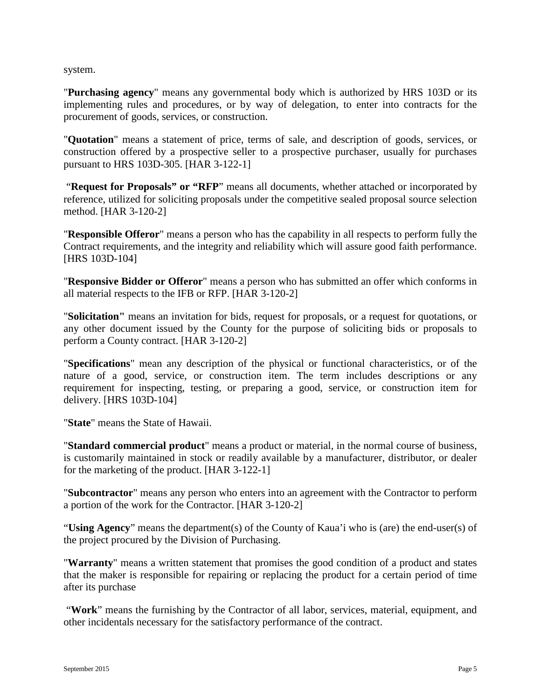system.

"**Purchasing agency**" means any governmental body which is authorized by HRS 103D or its implementing rules and procedures, or by way of delegation, to enter into contracts for the procurement of goods, services, or construction.

"**Quotation**" means a statement of price, terms of sale, and description of goods, services, or construction offered by a prospective seller to a prospective purchaser, usually for purchases pursuant to HRS 103D-305. [HAR 3-122-1]

"**Request for Proposals" or "RFP**" means all documents, whether attached or incorporated by reference, utilized for soliciting proposals under the competitive sealed proposal source selection method. [HAR 3-120-2]

"**Responsible Offeror**" means a person who has the capability in all respects to perform fully the Contract requirements, and the integrity and reliability which will assure good faith performance. [HRS 103D-104]

"**Responsive Bidder or Offeror**" means a person who has submitted an offer which conforms in all material respects to the IFB or RFP. [HAR 3-120-2]

"**Solicitation"** means an invitation for bids, request for proposals, or a request for quotations, or any other document issued by the County for the purpose of soliciting bids or proposals to perform a County contract. [HAR 3-120-2]

"**Specifications**" mean any description of the physical or functional characteristics, or of the nature of a good, service, or construction item. The term includes descriptions or any requirement for inspecting, testing, or preparing a good, service, or construction item for delivery. [HRS 103D-104]

"**State**" means the State of Hawaii.

"**Standard commercial product**" means a product or material, in the normal course of business, is customarily maintained in stock or readily available by a manufacturer, distributor, or dealer for the marketing of the product. [HAR 3-122-1]

"**Subcontractor**" means any person who enters into an agreement with the Contractor to perform a portion of the work for the Contractor. [HAR 3-120-2]

"**Using Agency**" means the department(s) of the County of Kaua'i who is (are) the end-user(s) of the project procured by the Division of Purchasing.

"**Warranty**" means a written statement that promises the good condition of a product and states that the maker is responsible for repairing or replacing the product for a certain period of time after its purchase

"**Work**" means the furnishing by the Contractor of all labor, services, material, equipment, and other incidentals necessary for the satisfactory performance of the contract.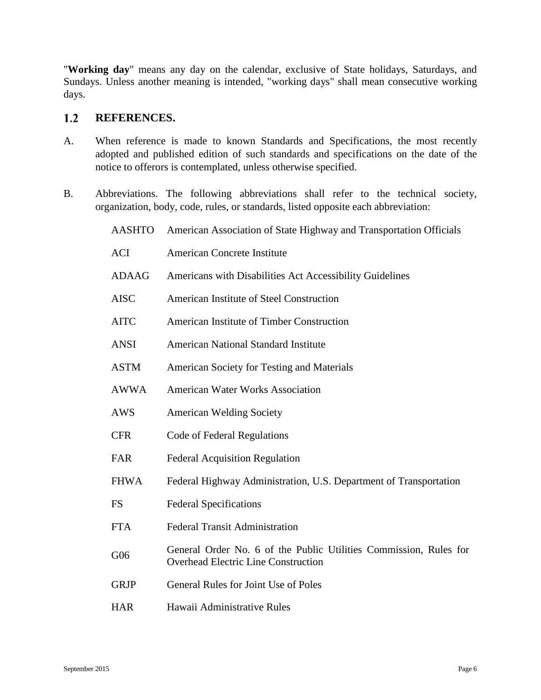"**Working day**" means any day on the calendar, exclusive of State holidays, Saturdays, and Sundays. Unless another meaning is intended, "working days" shall mean consecutive working days.

#### <span id="page-10-0"></span> $1.2$ **REFERENCES.**

- A. When reference is made to known Standards and Specifications, the most recently adopted and published edition of such standards and specifications on the date of the notice to offerors is contemplated, unless otherwise specified.
- B. Abbreviations. The following abbreviations shall refer to the technical society, organization, body, code, rules, or standards, listed opposite each abbreviation:
	- AASHTO American Association of State Highway and Transportation Officials
	- ACI American Concrete Institute
	- ADAAG Americans with Disabilities Act Accessibility Guidelines
	- AISC American Institute of Steel Construction
	- AITC American Institute of Timber Construction
	- ANSI American National Standard Institute
	- ASTM American Society for Testing and Materials
	- AWWA American Water Works Association
	- AWS American Welding Society
	- CFR Code of Federal Regulations
	- FAR Federal Acquisition Regulation
	- FHWA Federal Highway Administration, U.S. Department of Transportation
	- FS Federal Specifications
	- FTA Federal Transit Administration
	- G06 General Order No. 6 of the Public Utilities Commission, Rules for Overhead Electric Line Construction
	- GRJP General Rules for Joint Use of Poles
	- HAR Hawaii Administrative Rules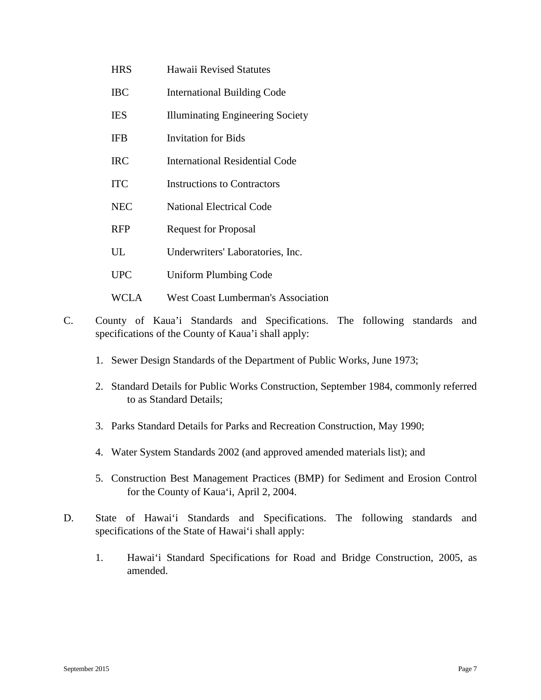- HRS Hawaii Revised Statutes
- IBC International Building Code
- IES Illuminating Engineering Society
- IFB Invitation for Bids
- IRC International Residential Code
- ITC Instructions to Contractors
- NEC National Electrical Code
- RFP Request for Proposal
- UL Underwriters' Laboratories, Inc.
- UPC Uniform Plumbing Code
- WCLA West Coast Lumberman's Association
- C. County of Kaua'i Standards and Specifications. The following standards and specifications of the County of Kaua'i shall apply:
	- 1. Sewer Design Standards of the Department of Public Works, June 1973;
	- 2. Standard Details for Public Works Construction, September 1984, commonly referred to as Standard Details;
	- 3. Parks Standard Details for Parks and Recreation Construction, May 1990;
	- 4. Water System Standards 2002 (and approved amended materials list); and
	- 5. Construction Best Management Practices (BMP) for Sediment and Erosion Control for the County of Kaua'i, April 2, 2004.
- D. State of Hawai'i Standards and Specifications. The following standards and specifications of the State of Hawai'i shall apply:
	- 1. Hawai'i Standard Specifications for Road and Bridge Construction, 2005, as amended.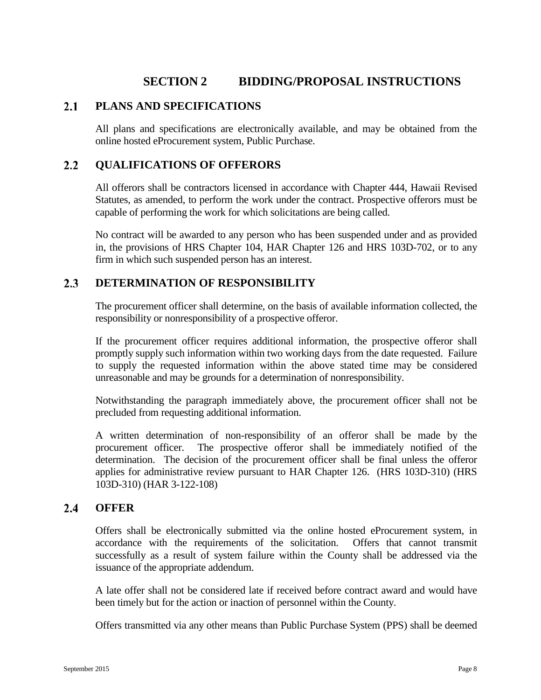# **SECTION 2 BIDDING/PROPOSAL INSTRUCTIONS**

#### <span id="page-12-1"></span><span id="page-12-0"></span> $2.1$ **PLANS AND SPECIFICATIONS**

All plans and specifications are electronically available, and may be obtained from the online hosted eProcurement system, Public Purchase.

#### <span id="page-12-2"></span> $2.2^{\circ}$ **QUALIFICATIONS OF OFFERORS**

All offerors shall be contractors licensed in accordance with Chapter 444, Hawaii Revised Statutes, as amended, to perform the work under the contract. Prospective offerors must be capable of performing the work for which solicitations are being called.

No contract will be awarded to any person who has been suspended under and as provided in, the provisions of HRS Chapter 104, HAR Chapter 126 and HRS 103D-702, or to any firm in which such suspended person has an interest.

#### <span id="page-12-3"></span> $2.3$ **DETERMINATION OF RESPONSIBILITY**

The procurement officer shall determine, on the basis of available information collected, the responsibility or nonresponsibility of a prospective offeror.

If the procurement officer requires additional information, the prospective offeror shall promptly supply such information within two working days from the date requested. Failure to supply the requested information within the above stated time may be considered unreasonable and may be grounds for a determination of nonresponsibility.

Notwithstanding the paragraph immediately above, the procurement officer shall not be precluded from requesting additional information.

A written determination of non-responsibility of an offeror shall be made by the procurement officer. The prospective offeror shall be immediately notified of the determination. The decision of the procurement officer shall be final unless the offeror applies for administrative review pursuant to HAR Chapter 126. (HRS 103D-310) (HRS 103D-310) (HAR 3-122-108)

#### <span id="page-12-4"></span> $2.4$ **OFFER**

Offers shall be electronically submitted via the online hosted eProcurement system, in accordance with the requirements of the solicitation. Offers that cannot transmit successfully as a result of system failure within the County shall be addressed via the issuance of the appropriate addendum.

A late offer shall not be considered late if received before contract award and would have been timely but for the action or inaction of personnel within the County.

Offers transmitted via any other means than Public Purchase System (PPS) shall be deemed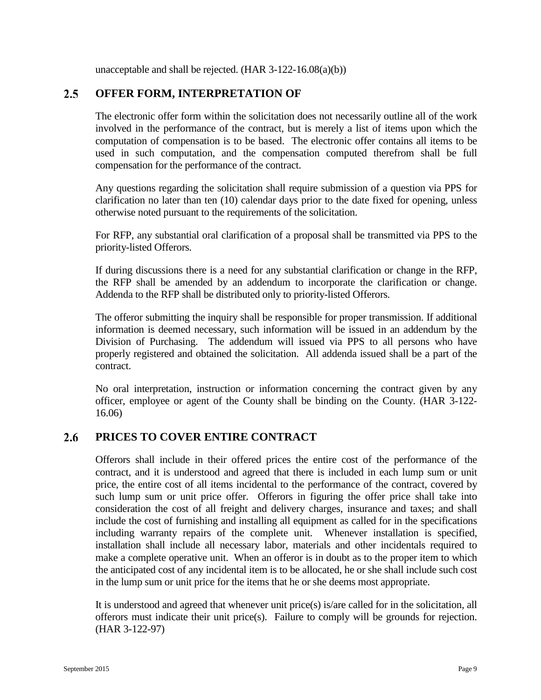unacceptable and shall be rejected. (HAR 3-122-16.08(a)(b))

#### <span id="page-13-0"></span> $2.5^{\circ}$ **OFFER FORM, INTERPRETATION OF**

The electronic offer form within the solicitation does not necessarily outline all of the work involved in the performance of the contract, but is merely a list of items upon which the computation of compensation is to be based. The electronic offer contains all items to be used in such computation, and the compensation computed therefrom shall be full compensation for the performance of the contract.

Any questions regarding the solicitation shall require submission of a question via PPS for clarification no later than ten (10) calendar days prior to the date fixed for opening, unless otherwise noted pursuant to the requirements of the solicitation.

For RFP, any substantial oral clarification of a proposal shall be transmitted via PPS to the priority-listed Offerors.

If during discussions there is a need for any substantial clarification or change in the RFP, the RFP shall be amended by an addendum to incorporate the clarification or change. Addenda to the RFP shall be distributed only to priority-listed Offerors.

The offeror submitting the inquiry shall be responsible for proper transmission. If additional information is deemed necessary, such information will be issued in an addendum by the Division of Purchasing. The addendum will issued via PPS to all persons who have properly registered and obtained the solicitation. All addenda issued shall be a part of the contract.

No oral interpretation, instruction or information concerning the contract given by any officer, employee or agent of the County shall be binding on the County. (HAR 3-122- 16.06)

#### <span id="page-13-1"></span> $2.6$ **PRICES TO COVER ENTIRE CONTRACT**

Offerors shall include in their offered prices the entire cost of the performance of the contract, and it is understood and agreed that there is included in each lump sum or unit price, the entire cost of all items incidental to the performance of the contract, covered by such lump sum or unit price offer. Offerors in figuring the offer price shall take into consideration the cost of all freight and delivery charges, insurance and taxes; and shall include the cost of furnishing and installing all equipment as called for in the specifications including warranty repairs of the complete unit. Whenever installation is specified, installation shall include all necessary labor, materials and other incidentals required to make a complete operative unit. When an offeror is in doubt as to the proper item to which the anticipated cost of any incidental item is to be allocated, he or she shall include such cost in the lump sum or unit price for the items that he or she deems most appropriate.

It is understood and agreed that whenever unit price(s) is/are called for in the solicitation, all offerors must indicate their unit price(s). Failure to comply will be grounds for rejection. (HAR 3-122-97)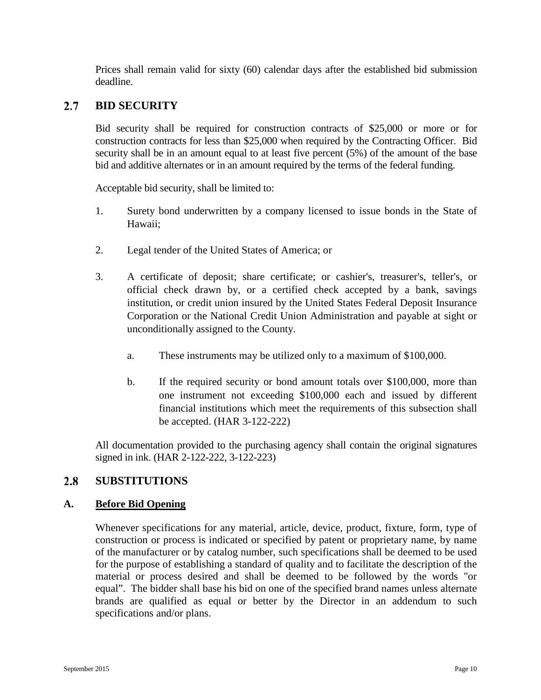Prices shall remain valid for sixty (60) calendar days after the established bid submission deadline.

#### <span id="page-14-0"></span> $2.7$ **BID SECURITY**

Bid security shall be required for construction contracts of \$25,000 or more or for construction contracts for less than \$25,000 when required by the Contracting Officer. Bid security shall be in an amount equal to at least five percent (5%) of the amount of the base bid and additive alternates or in an amount required by the terms of the federal funding.

Acceptable bid security, shall be limited to:

- 1. Surety bond underwritten by a company licensed to issue bonds in the State of Hawaii;
- 2. Legal tender of the United States of America; or
- 3. A certificate of deposit; share certificate; or cashier's, treasurer's, teller's, or official check drawn by, or a certified check accepted by a bank, savings institution, or credit union insured by the United States Federal Deposit Insurance Corporation or the National Credit Union Administration and payable at sight or unconditionally assigned to the County.
	- a. These instruments may be utilized only to a maximum of \$100,000.
	- b. If the required security or bond amount totals over \$100,000, more than one instrument not exceeding \$100,000 each and issued by different financial institutions which meet the requirements of this subsection shall be accepted. (HAR 3-122-222)

All documentation provided to the purchasing agency shall contain the original signatures signed in ink. (HAR 2-122-222, 3-122-223)

#### <span id="page-14-1"></span> $2.8$ **SUBSTITUTIONS**

### **A. Before Bid Opening**

Whenever specifications for any material, article, device, product, fixture, form, type of construction or process is indicated or specified by patent or proprietary name, by name of the manufacturer or by catalog number, such specifications shall be deemed to be used for the purpose of establishing a standard of quality and to facilitate the description of the material or process desired and shall be deemed to be followed by the words "or equal". The bidder shall base his bid on one of the specified brand names unless alternate brands are qualified as equal or better by the Director in an addendum to such specifications and/or plans.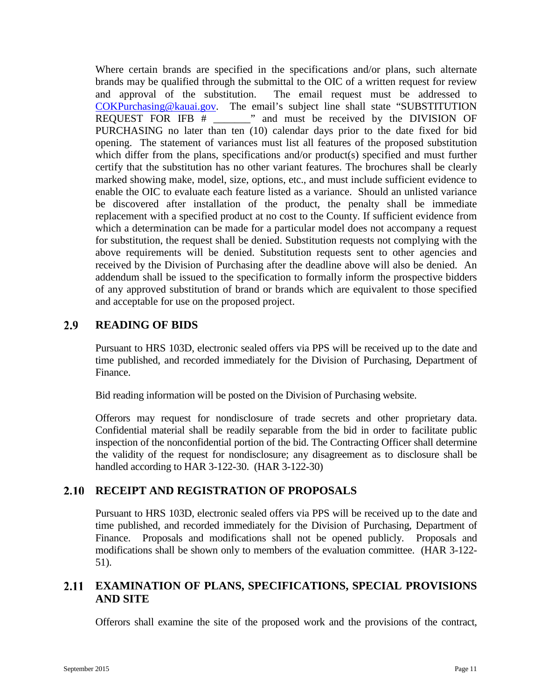Where certain brands are specified in the specifications and/or plans, such alternate brands may be qualified through the submittal to the OIC of a written request for review and approval of the substitution. The email request must be addressed to [COKPurchasing@kauai.gov.](mailto:COKPurchasing@kauai.gov) The email's subject line shall state "SUBSTITUTION REQUEST FOR IFB  $#$   $\Box$ " and must be received by the DIVISION OF PURCHASING no later than ten (10) calendar days prior to the date fixed for bid opening. The statement of variances must list all features of the proposed substitution which differ from the plans, specifications and/or product(s) specified and must further certify that the substitution has no other variant features. The brochures shall be clearly marked showing make, model, size, options, etc., and must include sufficient evidence to enable the OIC to evaluate each feature listed as a variance. Should an unlisted variance be discovered after installation of the product, the penalty shall be immediate replacement with a specified product at no cost to the County. If sufficient evidence from which a determination can be made for a particular model does not accompany a request for substitution, the request shall be denied. Substitution requests not complying with the above requirements will be denied. Substitution requests sent to other agencies and received by the Division of Purchasing after the deadline above will also be denied. An addendum shall be issued to the specification to formally inform the prospective bidders of any approved substitution of brand or brands which are equivalent to those specified and acceptable for use on the proposed project.

#### <span id="page-15-0"></span> $2.9$ **READING OF BIDS**

Pursuant to HRS 103D, electronic sealed offers via PPS will be received up to the date and time published, and recorded immediately for the Division of Purchasing, Department of Finance.

Bid reading information will be posted on the Division of Purchasing website.

Offerors may request for nondisclosure of trade secrets and other proprietary data. Confidential material shall be readily separable from the bid in order to facilitate public inspection of the nonconfidential portion of the bid. The Contracting Officer shall determine the validity of the request for nondisclosure; any disagreement as to disclosure shall be handled according to HAR 3-122-30. (HAR 3-122-30)

# <span id="page-15-1"></span>**RECEIPT AND REGISTRATION OF PROPOSALS**

Pursuant to HRS 103D, electronic sealed offers via PPS will be received up to the date and time published, and recorded immediately for the Division of Purchasing, Department of Finance. Proposals and modifications shall not be opened publicly. Proposals and modifications shall be shown only to members of the evaluation committee. (HAR 3-122- 51).

#### <span id="page-15-2"></span> $2.11$ **EXAMINATION OF PLANS, SPECIFICATIONS, SPECIAL PROVISIONS AND SITE**

Offerors shall examine the site of the proposed work and the provisions of the contract,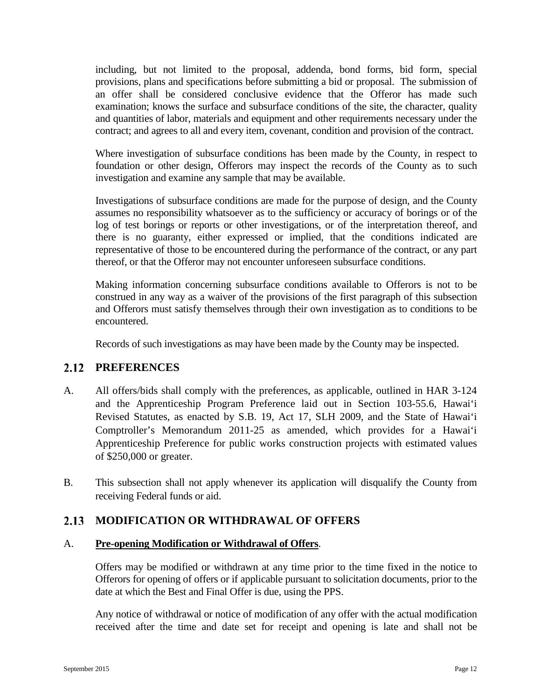including, but not limited to the proposal, addenda, bond forms, bid form, special provisions, plans and specifications before submitting a bid or proposal. The submission of an offer shall be considered conclusive evidence that the Offeror has made such examination; knows the surface and subsurface conditions of the site, the character, quality and quantities of labor, materials and equipment and other requirements necessary under the contract; and agrees to all and every item, covenant, condition and provision of the contract.

Where investigation of subsurface conditions has been made by the County, in respect to foundation or other design, Offerors may inspect the records of the County as to such investigation and examine any sample that may be available.

Investigations of subsurface conditions are made for the purpose of design, and the County assumes no responsibility whatsoever as to the sufficiency or accuracy of borings or of the log of test borings or reports or other investigations, or of the interpretation thereof, and there is no guaranty, either expressed or implied, that the conditions indicated are representative of those to be encountered during the performance of the contract, or any part thereof, or that the Offeror may not encounter unforeseen subsurface conditions.

Making information concerning subsurface conditions available to Offerors is not to be construed in any way as a waiver of the provisions of the first paragraph of this subsection and Offerors must satisfy themselves through their own investigation as to conditions to be encountered.

Records of such investigations as may have been made by the County may be inspected.

#### <span id="page-16-0"></span> $2.12$ **PREFERENCES**

- A. All offers/bids shall comply with the preferences, as applicable, outlined in HAR 3-124 and the Apprenticeship Program Preference laid out in Section 103-55.6, Hawai'i Revised Statutes, as enacted by S.B. 19, Act 17, SLH 2009, and the State of Hawai'i Comptroller's Memorandum 2011-25 as amended, which provides for a Hawai'i Apprenticeship Preference for public works construction projects with estimated values of \$250,000 or greater.
- B. This subsection shall not apply whenever its application will disqualify the County from receiving Federal funds or aid.

#### <span id="page-16-1"></span>2.13 **MODIFICATION OR WITHDRAWAL OF OFFERS**

### A. **Pre-opening Modification or Withdrawal of Offers**.

Offers may be modified or withdrawn at any time prior to the time fixed in the notice to Offerors for opening of offers or if applicable pursuant to solicitation documents, prior to the date at which the Best and Final Offer is due, using the PPS.

Any notice of withdrawal or notice of modification of any offer with the actual modification received after the time and date set for receipt and opening is late and shall not be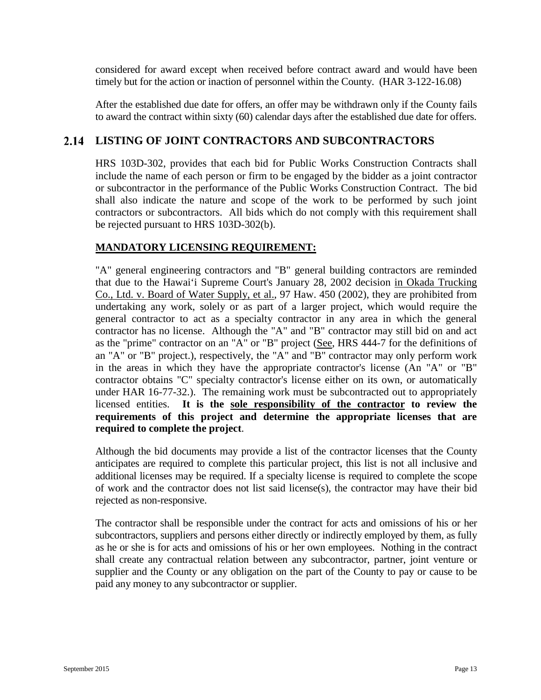considered for award except when received before contract award and would have been timely but for the action or inaction of personnel within the County. (HAR 3-122-16.08)

After the established due date for offers, an offer may be withdrawn only if the County fails to award the contract within sixty (60) calendar days after the established due date for offers.

# <span id="page-17-0"></span>**LISTING OF JOINT CONTRACTORS AND SUBCONTRACTORS**

HRS 103D-302, provides that each bid for Public Works Construction Contracts shall include the name of each person or firm to be engaged by the bidder as a joint contractor or subcontractor in the performance of the Public Works Construction Contract. The bid shall also indicate the nature and scope of the work to be performed by such joint contractors or subcontractors. All bids which do not comply with this requirement shall be rejected pursuant to HRS 103D-302(b).

## **MANDATORY LICENSING REQUIREMENT:**

"A" general engineering contractors and "B" general building contractors are reminded that due to the Hawai'i Supreme Court's January 28, 2002 decision in Okada Trucking Co., Ltd. v. Board of Water Supply, et al., 97 Haw. 450 (2002), they are prohibited from undertaking any work, solely or as part of a larger project, which would require the general contractor to act as a specialty contractor in any area in which the general contractor has no license. Although the "A" and "B" contractor may still bid on and act as the "prime" contractor on an "A" or "B" project (See, HRS 444-7 for the definitions of an "A" or "B" project.), respectively, the " $\overline{A}$ " and "B" contractor may only perform work in the areas in which they have the appropriate contractor's license (An "A" or "B" contractor obtains "C" specialty contractor's license either on its own, or automatically under HAR 16-77-32.). The remaining work must be subcontracted out to appropriately licensed entities. **It is the sole responsibility of the contractor to review the requirements of this project and determine the appropriate licenses that are required to complete the project**.

Although the bid documents may provide a list of the contractor licenses that the County anticipates are required to complete this particular project, this list is not all inclusive and additional licenses may be required. If a specialty license is required to complete the scope of work and the contractor does not list said license(s), the contractor may have their bid rejected as non-responsive.

The contractor shall be responsible under the contract for acts and omissions of his or her subcontractors, suppliers and persons either directly or indirectly employed by them, as fully as he or she is for acts and omissions of his or her own employees. Nothing in the contract shall create any contractual relation between any subcontractor, partner, joint venture or supplier and the County or any obligation on the part of the County to pay or cause to be paid any money to any subcontractor or supplier.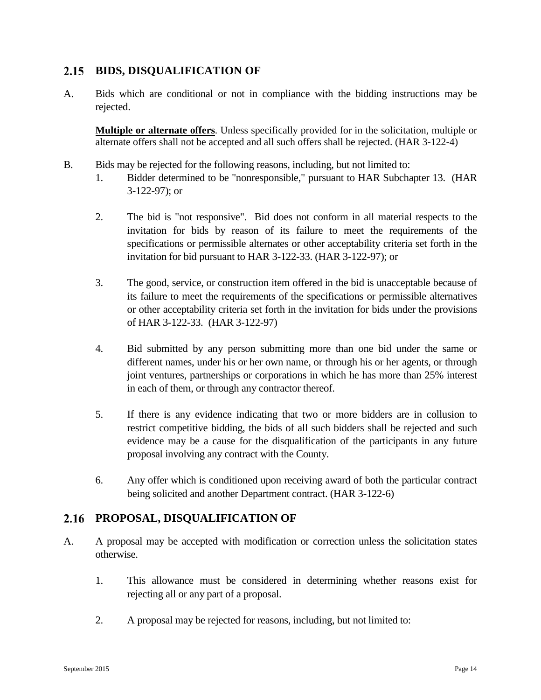#### <span id="page-18-0"></span> $2.15$ **BIDS, DISQUALIFICATION OF**

A. Bids which are conditional or not in compliance with the bidding instructions may be rejected.

**Multiple or alternate offers**. Unless specifically provided for in the solicitation, multiple or alternate offers shall not be accepted and all such offers shall be rejected. (HAR 3-122-4)

- B. Bids may be rejected for the following reasons, including, but not limited to:
	- 1. Bidder determined to be "nonresponsible," pursuant to HAR Subchapter 13. (HAR 3-122-97); or
	- 2. The bid is "not responsive". Bid does not conform in all material respects to the invitation for bids by reason of its failure to meet the requirements of the specifications or permissible alternates or other acceptability criteria set forth in the invitation for bid pursuant to HAR 3-122-33. (HAR 3-122-97); or
	- 3. The good, service, or construction item offered in the bid is unacceptable because of its failure to meet the requirements of the specifications or permissible alternatives or other acceptability criteria set forth in the invitation for bids under the provisions of HAR 3-122-33. (HAR 3-122-97)
	- 4. Bid submitted by any person submitting more than one bid under the same or different names, under his or her own name, or through his or her agents, or through joint ventures, partnerships or corporations in which he has more than 25% interest in each of them, or through any contractor thereof.
	- 5. If there is any evidence indicating that two or more bidders are in collusion to restrict competitive bidding, the bids of all such bidders shall be rejected and such evidence may be a cause for the disqualification of the participants in any future proposal involving any contract with the County.
	- 6. Any offer which is conditioned upon receiving award of both the particular contract being solicited and another Department contract. (HAR 3-122-6)

#### <span id="page-18-1"></span>2.16 **PROPOSAL, DISQUALIFICATION OF**

- A. A proposal may be accepted with modification or correction unless the solicitation states otherwise.
	- 1. This allowance must be considered in determining whether reasons exist for rejecting all or any part of a proposal.
	- 2. A proposal may be rejected for reasons, including, but not limited to: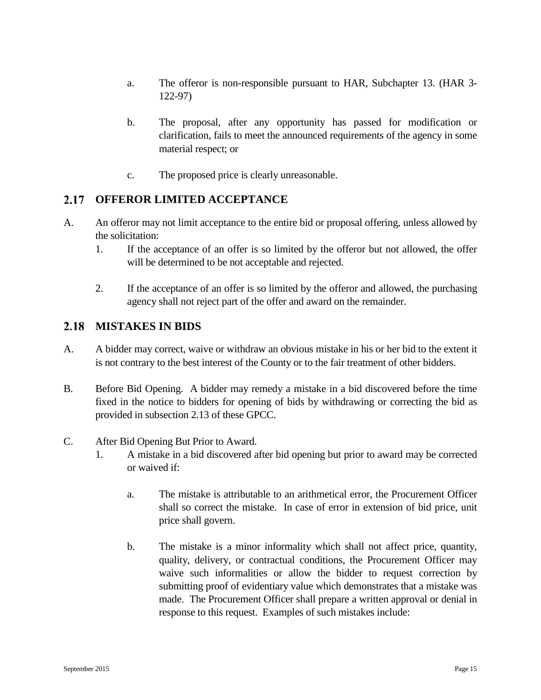- a. The offeror is non-responsible pursuant to HAR, Subchapter 13. (HAR 3- 122-97)
- b. The proposal, after any opportunity has passed for modification or clarification, fails to meet the announced requirements of the agency in some material respect; or
- c. The proposed price is clearly unreasonable.

#### <span id="page-19-0"></span> $2.17$ **OFFEROR LIMITED ACCEPTANCE**

- A. An offeror may not limit acceptance to the entire bid or proposal offering, unless allowed by the solicitation:
	- 1. If the acceptance of an offer is so limited by the offeror but not allowed, the offer will be determined to be not acceptable and rejected.
	- 2. If the acceptance of an offer is so limited by the offeror and allowed, the purchasing agency shall not reject part of the offer and award on the remainder.

#### <span id="page-19-1"></span>2.18 **MISTAKES IN BIDS**

- A. A bidder may correct, waive or withdraw an obvious mistake in his or her bid to the extent it is not contrary to the best interest of the County or to the fair treatment of other bidders.
- B. Before Bid Opening. A bidder may remedy a mistake in a bid discovered before the time fixed in the notice to bidders for opening of bids by withdrawing or correcting the bid as provided in subsection 2.13 of these GPCC.
- C. After Bid Opening But Prior to Award.
	- 1. A mistake in a bid discovered after bid opening but prior to award may be corrected or waived if:
		- a. The mistake is attributable to an arithmetical error, the Procurement Officer shall so correct the mistake. In case of error in extension of bid price, unit price shall govern.
		- b. The mistake is a minor informality which shall not affect price, quantity, quality, delivery, or contractual conditions, the Procurement Officer may waive such informalities or allow the bidder to request correction by submitting proof of evidentiary value which demonstrates that a mistake was made. The Procurement Officer shall prepare a written approval or denial in response to this request. Examples of such mistakes include: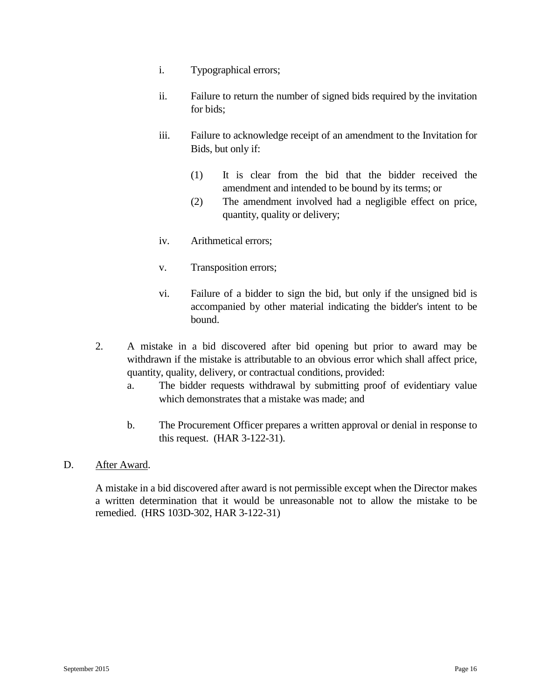- i. Typographical errors;
- ii. Failure to return the number of signed bids required by the invitation for bids;
- iii. Failure to acknowledge receipt of an amendment to the Invitation for Bids, but only if:
	- (1) It is clear from the bid that the bidder received the amendment and intended to be bound by its terms; or
	- (2) The amendment involved had a negligible effect on price, quantity, quality or delivery;
- iv. Arithmetical errors;
- v. Transposition errors;
- vi. Failure of a bidder to sign the bid, but only if the unsigned bid is accompanied by other material indicating the bidder's intent to be bound.
- 2. A mistake in a bid discovered after bid opening but prior to award may be withdrawn if the mistake is attributable to an obvious error which shall affect price, quantity, quality, delivery, or contractual conditions, provided:
	- a. The bidder requests withdrawal by submitting proof of evidentiary value which demonstrates that a mistake was made; and
	- b. The Procurement Officer prepares a written approval or denial in response to this request. (HAR 3-122-31).
- D. After Award.

A mistake in a bid discovered after award is not permissible except when the Director makes a written determination that it would be unreasonable not to allow the mistake to be remedied. (HRS 103D-302, HAR 3-122-31)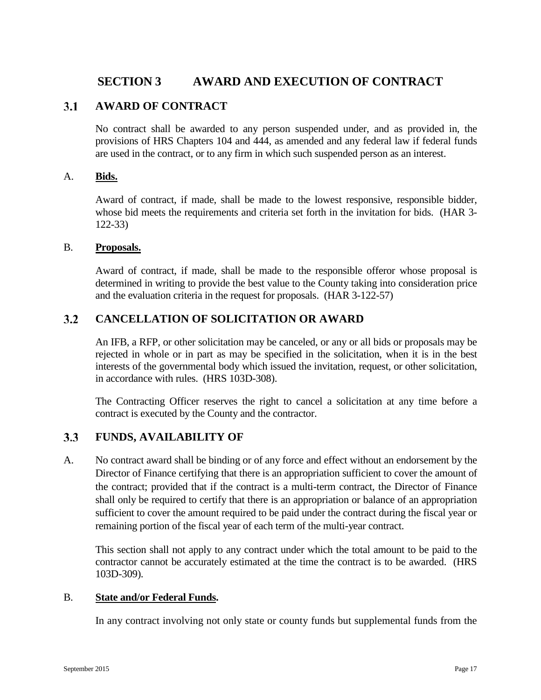# <span id="page-21-0"></span>**SECTION 3 AWARD AND EXECUTION OF CONTRACT**

#### <span id="page-21-1"></span> $3.1$ **AWARD OF CONTRACT**

No contract shall be awarded to any person suspended under, and as provided in, the provisions of HRS Chapters 104 and 444, as amended and any federal law if federal funds are used in the contract, or to any firm in which such suspended person as an interest.

### A. **Bids.**

Award of contract, if made, shall be made to the lowest responsive, responsible bidder, whose bid meets the requirements and criteria set forth in the invitation for bids. (HAR 3- 122-33)

### B. **Proposals.**

Award of contract, if made, shall be made to the responsible offeror whose proposal is determined in writing to provide the best value to the County taking into consideration price and the evaluation criteria in the request for proposals. (HAR 3-122-57)

#### <span id="page-21-2"></span> $3.2$ **CANCELLATION OF SOLICITATION OR AWARD**

An IFB, a RFP, or other solicitation may be canceled, or any or all bids or proposals may be rejected in whole or in part as may be specified in the solicitation, when it is in the best interests of the governmental body which issued the invitation, request, or other solicitation, in accordance with rules. (HRS 103D-308).

The Contracting Officer reserves the right to cancel a solicitation at any time before a contract is executed by the County and the contractor.

#### <span id="page-21-3"></span> $3.3$ **FUNDS, AVAILABILITY OF**

A. No contract award shall be binding or of any force and effect without an endorsement by the Director of Finance certifying that there is an appropriation sufficient to cover the amount of the contract; provided that if the contract is a multi-term contract, the Director of Finance shall only be required to certify that there is an appropriation or balance of an appropriation sufficient to cover the amount required to be paid under the contract during the fiscal year or remaining portion of the fiscal year of each term of the multi-year contract.

This section shall not apply to any contract under which the total amount to be paid to the contractor cannot be accurately estimated at the time the contract is to be awarded. (HRS 103D-309).

### B. **State and/or Federal Funds.**

In any contract involving not only state or county funds but supplemental funds from the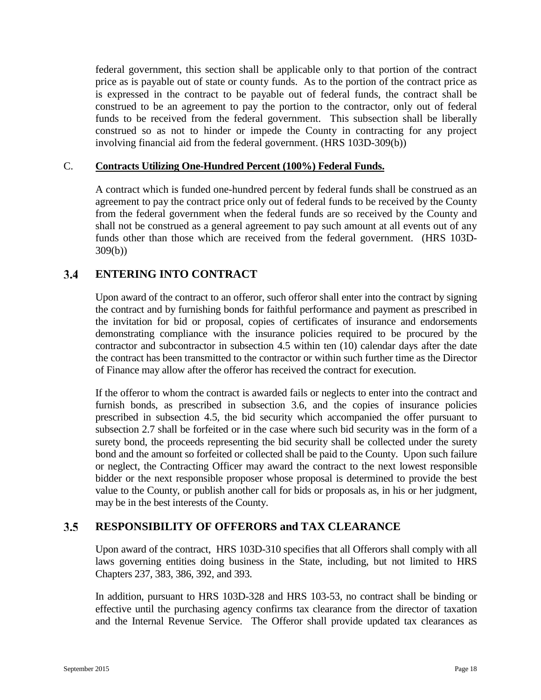federal government, this section shall be applicable only to that portion of the contract price as is payable out of state or county funds. As to the portion of the contract price as is expressed in the contract to be payable out of federal funds, the contract shall be construed to be an agreement to pay the portion to the contractor, only out of federal funds to be received from the federal government. This subsection shall be liberally construed so as not to hinder or impede the County in contracting for any project involving financial aid from the federal government. (HRS 103D-309(b))

### C. **Contracts Utilizing One-Hundred Percent (100%) Federal Funds.**

A contract which is funded one-hundred percent by federal funds shall be construed as an agreement to pay the contract price only out of federal funds to be received by the County from the federal government when the federal funds are so received by the County and shall not be construed as a general agreement to pay such amount at all events out of any funds other than those which are received from the federal government. (HRS 103D-309(b))

#### <span id="page-22-0"></span> $3.4$ **ENTERING INTO CONTRACT**

Upon award of the contract to an offeror, such offeror shall enter into the contract by signing the contract and by furnishing bonds for faithful performance and payment as prescribed in the invitation for bid or proposal, copies of certificates of insurance and endorsements demonstrating compliance with the insurance policies required to be procured by the contractor and subcontractor in subsection 4.5 within ten (10) calendar days after the date the contract has been transmitted to the contractor or within such further time as the Director of Finance may allow after the offeror has received the contract for execution.

If the offeror to whom the contract is awarded fails or neglects to enter into the contract and furnish bonds, as prescribed in subsection 3.6, and the copies of insurance policies prescribed in subsection 4.5, the bid security which accompanied the offer pursuant to subsection 2.7 shall be forfeited or in the case where such bid security was in the form of a surety bond, the proceeds representing the bid security shall be collected under the surety bond and the amount so forfeited or collected shall be paid to the County. Upon such failure or neglect, the Contracting Officer may award the contract to the next lowest responsible bidder or the next responsible proposer whose proposal is determined to provide the best value to the County, or publish another call for bids or proposals as, in his or her judgment, may be in the best interests of the County.

#### <span id="page-22-1"></span> $3.5$ **RESPONSIBILITY OF OFFERORS and TAX CLEARANCE**

Upon award of the contract, HRS 103D-310 specifies that all Offerors shall comply with all laws governing entities doing business in the State, including, but not limited to HRS Chapters 237, 383, 386, 392, and 393.

In addition, pursuant to HRS 103D-328 and HRS 103-53, no contract shall be binding or effective until the purchasing agency confirms tax clearance from the director of taxation and the Internal Revenue Service. The Offeror shall provide updated tax clearances as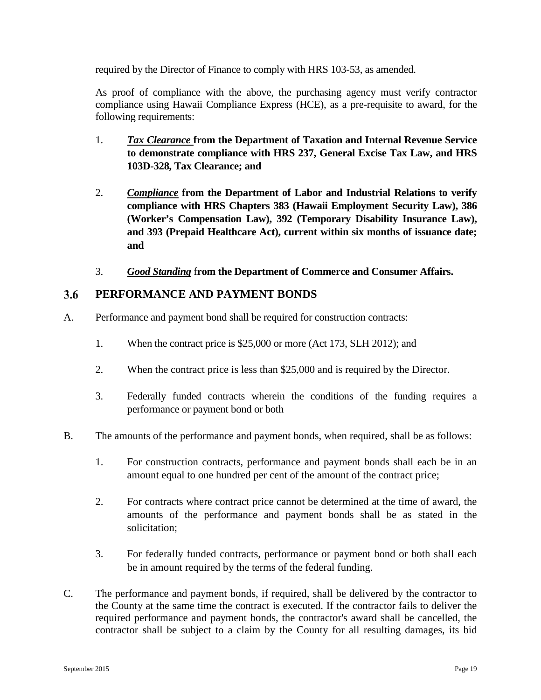required by the Director of Finance to comply with HRS 103-53, as amended.

As proof of compliance with the above, the purchasing agency must verify contractor compliance using Hawaii Compliance Express (HCE), as a pre-requisite to award, for the following requirements:

- 1. *Tax Clearance* **from the Department of Taxation and Internal Revenue Service to demonstrate compliance with HRS 237, General Excise Tax Law, and HRS 103D-328, Tax Clearance; and**
- 2. *Compliance* **from the Department of Labor and Industrial Relations to verify compliance with HRS Chapters 383 (Hawaii Employment Security Law), 386 (Worker's Compensation Law), 392 (Temporary Disability Insurance Law), and 393 (Prepaid Healthcare Act), current within six months of issuance date; and**
- 3. *Good Standing* f**rom the Department of Commerce and Consumer Affairs.**

#### <span id="page-23-0"></span>3.6 **PERFORMANCE AND PAYMENT BONDS**

- A. Performance and payment bond shall be required for construction contracts:
	- 1. When the contract price is \$25,000 or more (Act 173, SLH 2012); and
	- 2. When the contract price is less than \$25,000 and is required by the Director.
	- 3. Federally funded contracts wherein the conditions of the funding requires a performance or payment bond or both
- B. The amounts of the performance and payment bonds, when required, shall be as follows:
	- 1. For construction contracts, performance and payment bonds shall each be in an amount equal to one hundred per cent of the amount of the contract price;
	- 2. For contracts where contract price cannot be determined at the time of award, the amounts of the performance and payment bonds shall be as stated in the solicitation;
	- 3. For federally funded contracts, performance or payment bond or both shall each be in amount required by the terms of the federal funding.
- C. The performance and payment bonds, if required, shall be delivered by the contractor to the County at the same time the contract is executed. If the contractor fails to deliver the required performance and payment bonds, the contractor's award shall be cancelled, the contractor shall be subject to a claim by the County for all resulting damages, its bid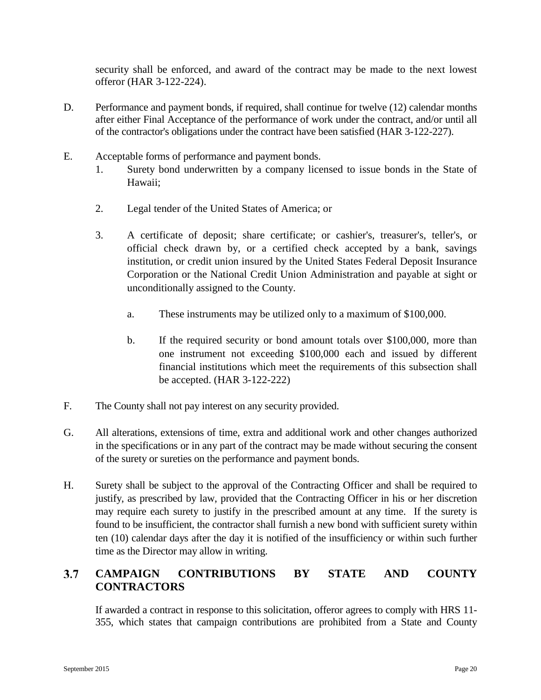security shall be enforced, and award of the contract may be made to the next lowest offeror (HAR 3-122-224).

- D. Performance and payment bonds, if required, shall continue for twelve (12) calendar months after either Final Acceptance of the performance of work under the contract, and/or until all of the contractor's obligations under the contract have been satisfied (HAR 3-122-227).
- E. Acceptable forms of performance and payment bonds.
	- 1. Surety bond underwritten by a company licensed to issue bonds in the State of Hawaii;
	- 2. Legal tender of the United States of America; or
	- 3. A certificate of deposit; share certificate; or cashier's, treasurer's, teller's, or official check drawn by, or a certified check accepted by a bank, savings institution, or credit union insured by the United States Federal Deposit Insurance Corporation or the National Credit Union Administration and payable at sight or unconditionally assigned to the County.
		- a. These instruments may be utilized only to a maximum of \$100,000.
		- b. If the required security or bond amount totals over \$100,000, more than one instrument not exceeding \$100,000 each and issued by different financial institutions which meet the requirements of this subsection shall be accepted. (HAR 3-122-222)
- F. The County shall not pay interest on any security provided.
- G. All alterations, extensions of time, extra and additional work and other changes authorized in the specifications or in any part of the contract may be made without securing the consent of the surety or sureties on the performance and payment bonds.
- H. Surety shall be subject to the approval of the Contracting Officer and shall be required to justify, as prescribed by law, provided that the Contracting Officer in his or her discretion may require each surety to justify in the prescribed amount at any time. If the surety is found to be insufficient, the contractor shall furnish a new bond with sufficient surety within ten (10) calendar days after the day it is notified of the insufficiency or within such further time as the Director may allow in writing.

### <span id="page-24-0"></span> $3.7$ **CAMPAIGN CONTRIBUTIONS BY STATE AND COUNTY CONTRACTORS**

If awarded a contract in response to this solicitation, offeror agrees to comply with HRS 11- 355, which states that campaign contributions are prohibited from a State and County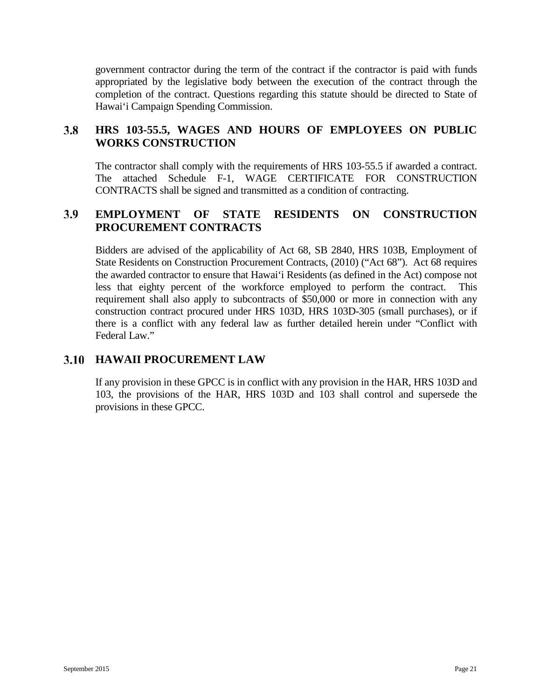government contractor during the term of the contract if the contractor is paid with funds appropriated by the legislative body between the execution of the contract through the completion of the contract. Questions regarding this statute should be directed to State of Hawai'i Campaign Spending Commission.

#### <span id="page-25-0"></span> $3.8$ **HRS 103-55.5, WAGES AND HOURS OF EMPLOYEES ON PUBLIC WORKS CONSTRUCTION**

The contractor shall comply with the requirements of HRS 103-55.5 if awarded a contract. The attached Schedule F-1, WAGE CERTIFICATE FOR CONSTRUCTION CONTRACTS shall be signed and transmitted as a condition of contracting.

#### <span id="page-25-1"></span>3.9 **EMPLOYMENT OF STATE RESIDENTS ON CONSTRUCTION PROCUREMENT CONTRACTS**

Bidders are advised of the applicability of Act 68, SB 2840, HRS 103B, Employment of State Residents on Construction Procurement Contracts, (2010) ("Act 68"). Act 68 requires the awarded contractor to ensure that Hawai'i Residents (as defined in the Act) compose not less that eighty percent of the workforce employed to perform the contract. This requirement shall also apply to subcontracts of \$50,000 or more in connection with any construction contract procured under HRS 103D, HRS 103D-305 (small purchases), or if there is a conflict with any federal law as further detailed herein under "Conflict with Federal Law."

# <span id="page-25-2"></span>**HAWAII PROCUREMENT LAW**

If any provision in these GPCC is in conflict with any provision in the HAR, HRS 103D and 103, the provisions of the HAR, HRS 103D and 103 shall control and supersede the provisions in these GPCC.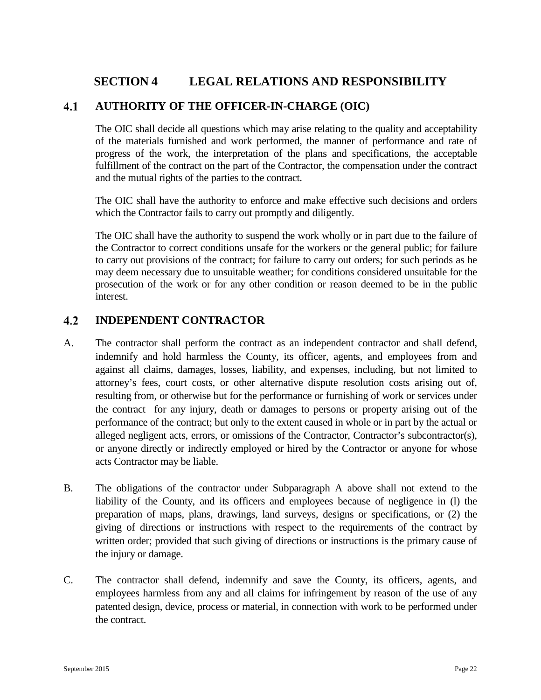# <span id="page-26-0"></span>**SECTION 4 LEGAL RELATIONS AND RESPONSIBILITY**

#### <span id="page-26-1"></span> $4.1$ **AUTHORITY OF THE OFFICER-IN-CHARGE (OIC)**

The OIC shall decide all questions which may arise relating to the quality and acceptability of the materials furnished and work performed, the manner of performance and rate of progress of the work, the interpretation of the plans and specifications, the acceptable fulfillment of the contract on the part of the Contractor, the compensation under the contract and the mutual rights of the parties to the contract.

The OIC shall have the authority to enforce and make effective such decisions and orders which the Contractor fails to carry out promptly and diligently.

The OIC shall have the authority to suspend the work wholly or in part due to the failure of the Contractor to correct conditions unsafe for the workers or the general public; for failure to carry out provisions of the contract; for failure to carry out orders; for such periods as he may deem necessary due to unsuitable weather; for conditions considered unsuitable for the prosecution of the work or for any other condition or reason deemed to be in the public interest.

#### <span id="page-26-2"></span> $4.2$ **INDEPENDENT CONTRACTOR**

- A. The contractor shall perform the contract as an independent contractor and shall defend, indemnify and hold harmless the County, its officer, agents, and employees from and against all claims, damages, losses, liability, and expenses, including, but not limited to attorney's fees, court costs, or other alternative dispute resolution costs arising out of, resulting from, or otherwise but for the performance or furnishing of work or services under the contract for any injury, death or damages to persons or property arising out of the performance of the contract; but only to the extent caused in whole or in part by the actual or alleged negligent acts, errors, or omissions of the Contractor, Contractor's subcontractor(s), or anyone directly or indirectly employed or hired by the Contractor or anyone for whose acts Contractor may be liable.
- B. The obligations of the contractor under Subparagraph A above shall not extend to the liability of the County, and its officers and employees because of negligence in (l) the preparation of maps, plans, drawings, land surveys, designs or specifications, or (2) the giving of directions or instructions with respect to the requirements of the contract by written order; provided that such giving of directions or instructions is the primary cause of the injury or damage.
- C. The contractor shall defend, indemnify and save the County, its officers, agents, and employees harmless from any and all claims for infringement by reason of the use of any patented design, device, process or material, in connection with work to be performed under the contract.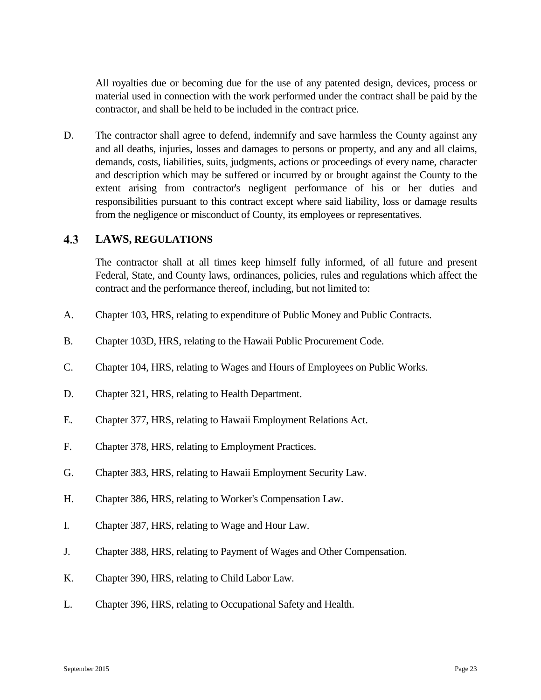All royalties due or becoming due for the use of any patented design, devices, process or material used in connection with the work performed under the contract shall be paid by the contractor, and shall be held to be included in the contract price.

D. The contractor shall agree to defend, indemnify and save harmless the County against any and all deaths, injuries, losses and damages to persons or property, and any and all claims, demands, costs, liabilities, suits, judgments, actions or proceedings of every name, character and description which may be suffered or incurred by or brought against the County to the extent arising from contractor's negligent performance of his or her duties and responsibilities pursuant to this contract except where said liability, loss or damage results from the negligence or misconduct of County, its employees or representatives.

#### <span id="page-27-0"></span> $4.3$ **LAWS, REGULATIONS**

The contractor shall at all times keep himself fully informed, of all future and present Federal, State, and County laws, ordinances, policies, rules and regulations which affect the contract and the performance thereof, including, but not limited to:

- A. Chapter 103, HRS, relating to expenditure of Public Money and Public Contracts.
- B. Chapter 103D, HRS, relating to the Hawaii Public Procurement Code.
- C. Chapter 104, HRS, relating to Wages and Hours of Employees on Public Works.
- D. Chapter 321, HRS, relating to Health Department.
- E. Chapter 377, HRS, relating to Hawaii Employment Relations Act.
- F. Chapter 378, HRS, relating to Employment Practices.
- G. Chapter 383, HRS, relating to Hawaii Employment Security Law.
- H. Chapter 386, HRS, relating to Worker's Compensation Law.
- I. Chapter 387, HRS, relating to Wage and Hour Law.
- J. Chapter 388, HRS, relating to Payment of Wages and Other Compensation.
- K. Chapter 390, HRS, relating to Child Labor Law.
- L. Chapter 396, HRS, relating to Occupational Safety and Health.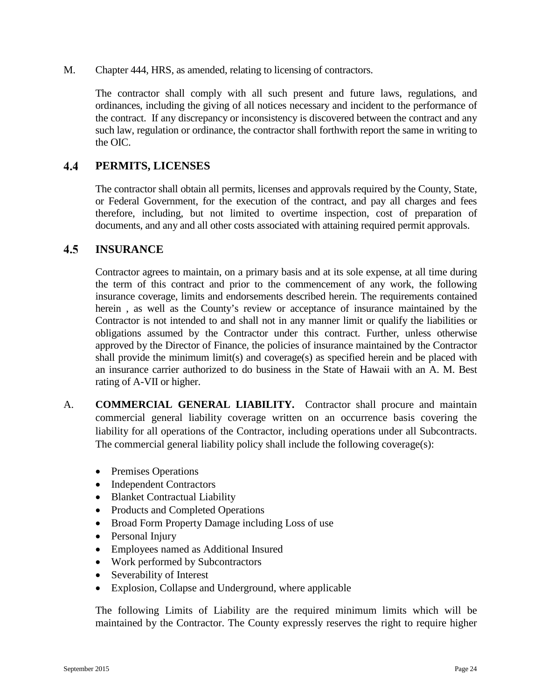M. Chapter 444, HRS, as amended, relating to licensing of contractors.

The contractor shall comply with all such present and future laws, regulations, and ordinances, including the giving of all notices necessary and incident to the performance of the contract. If any discrepancy or inconsistency is discovered between the contract and any such law, regulation or ordinance, the contractor shall forthwith report the same in writing to the OIC.

#### <span id="page-28-0"></span>4.4 **PERMITS, LICENSES**

The contractor shall obtain all permits, licenses and approvals required by the County, State, or Federal Government, for the execution of the contract, and pay all charges and fees therefore, including, but not limited to overtime inspection, cost of preparation of documents, and any and all other costs associated with attaining required permit approvals.

#### <span id="page-28-1"></span> $4.5$ **INSURANCE**

Contractor agrees to maintain, on a primary basis and at its sole expense, at all time during the term of this contract and prior to the commencement of any work, the following insurance coverage, limits and endorsements described herein. The requirements contained herein , as well as the County's review or acceptance of insurance maintained by the Contractor is not intended to and shall not in any manner limit or qualify the liabilities or obligations assumed by the Contractor under this contract. Further, unless otherwise approved by the Director of Finance, the policies of insurance maintained by the Contractor shall provide the minimum limit(s) and coverage(s) as specified herein and be placed with an insurance carrier authorized to do business in the State of Hawaii with an A. M. Best rating of A-VII or higher.

- A. **COMMERCIAL GENERAL LIABILITY.** Contractor shall procure and maintain commercial general liability coverage written on an occurrence basis covering the liability for all operations of the Contractor, including operations under all Subcontracts. The commercial general liability policy shall include the following coverage(s):
	- Premises Operations
	- Independent Contractors
	- Blanket Contractual Liability
	- Products and Completed Operations
	- Broad Form Property Damage including Loss of use
	- Personal Injury
	- Employees named as Additional Insured
	- Work performed by Subcontractors
	- Severability of Interest
	- Explosion, Collapse and Underground, where applicable

The following Limits of Liability are the required minimum limits which will be maintained by the Contractor. The County expressly reserves the right to require higher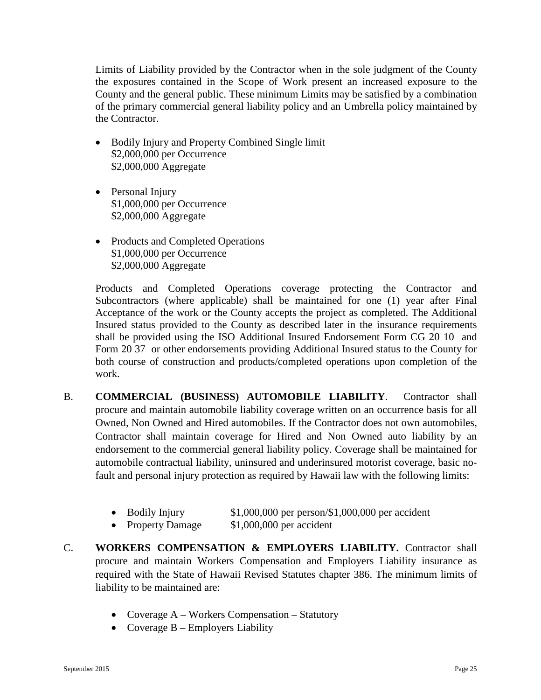Limits of Liability provided by the Contractor when in the sole judgment of the County the exposures contained in the Scope of Work present an increased exposure to the County and the general public. These minimum Limits may be satisfied by a combination of the primary commercial general liability policy and an Umbrella policy maintained by the Contractor.

- Bodily Injury and Property Combined Single limit \$2,000,000 per Occurrence \$2,000,000 Aggregate
- Personal Injury \$1,000,000 per Occurrence \$2,000,000 Aggregate
- Products and Completed Operations \$1,000,000 per Occurrence \$2,000,000 Aggregate

Products and Completed Operations coverage protecting the Contractor and Subcontractors (where applicable) shall be maintained for one (1) year after Final Acceptance of the work or the County accepts the project as completed. The Additional Insured status provided to the County as described later in the insurance requirements shall be provided using the ISO Additional Insured Endorsement Form CG 20 10 and Form 20 37 or other endorsements providing Additional Insured status to the County for both course of construction and products/completed operations upon completion of the work.

- B. **COMMERCIAL (BUSINESS) AUTOMOBILE LIABILITY**. Contractor shall procure and maintain automobile liability coverage written on an occurrence basis for all Owned, Non Owned and Hired automobiles. If the Contractor does not own automobiles, Contractor shall maintain coverage for Hired and Non Owned auto liability by an endorsement to the commercial general liability policy. Coverage shall be maintained for automobile contractual liability, uninsured and underinsured motorist coverage, basic nofault and personal injury protection as required by Hawaii law with the following limits:
	- Bodily Injury \$1,000,000 per person/\$1,000,000 per accident
	- Property Damage \$1,000,000 per accident
- C. **WORKERS COMPENSATION & EMPLOYERS LIABILITY.** Contractor shall procure and maintain Workers Compensation and Employers Liability insurance as required with the State of Hawaii Revised Statutes chapter 386. The minimum limits of liability to be maintained are:
	- Coverage A Workers Compensation Statutory
	- Coverage  $B$  Employers Liability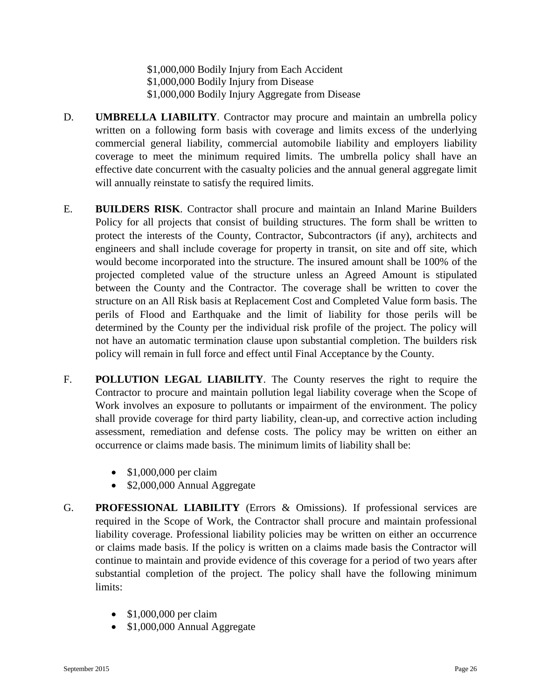\$1,000,000 Bodily Injury from Each Accident \$1,000,000 Bodily Injury from Disease \$1,000,000 Bodily Injury Aggregate from Disease

- D. **UMBRELLA LIABILITY**. Contractor may procure and maintain an umbrella policy written on a following form basis with coverage and limits excess of the underlying commercial general liability, commercial automobile liability and employers liability coverage to meet the minimum required limits. The umbrella policy shall have an effective date concurrent with the casualty policies and the annual general aggregate limit will annually reinstate to satisfy the required limits.
- E. **BUILDERS RISK**. Contractor shall procure and maintain an Inland Marine Builders Policy for all projects that consist of building structures. The form shall be written to protect the interests of the County, Contractor, Subcontractors (if any), architects and engineers and shall include coverage for property in transit, on site and off site, which would become incorporated into the structure. The insured amount shall be 100% of the projected completed value of the structure unless an Agreed Amount is stipulated between the County and the Contractor. The coverage shall be written to cover the structure on an All Risk basis at Replacement Cost and Completed Value form basis. The perils of Flood and Earthquake and the limit of liability for those perils will be determined by the County per the individual risk profile of the project. The policy will not have an automatic termination clause upon substantial completion. The builders risk policy will remain in full force and effect until Final Acceptance by the County.
- F. **POLLUTION LEGAL LIABILITY**. The County reserves the right to require the Contractor to procure and maintain pollution legal liability coverage when the Scope of Work involves an exposure to pollutants or impairment of the environment. The policy shall provide coverage for third party liability, clean-up, and corrective action including assessment, remediation and defense costs. The policy may be written on either an occurrence or claims made basis. The minimum limits of liability shall be:
	- \$1,000,000 per claim
	- \$2,000,000 Annual Aggregate
- G. **PROFESSIONAL LIABILITY** (Errors & Omissions). If professional services are required in the Scope of Work, the Contractor shall procure and maintain professional liability coverage. Professional liability policies may be written on either an occurrence or claims made basis. If the policy is written on a claims made basis the Contractor will continue to maintain and provide evidence of this coverage for a period of two years after substantial completion of the project. The policy shall have the following minimum limits:
	- \$1,000,000 per claim
	- \$1,000,000 Annual Aggregate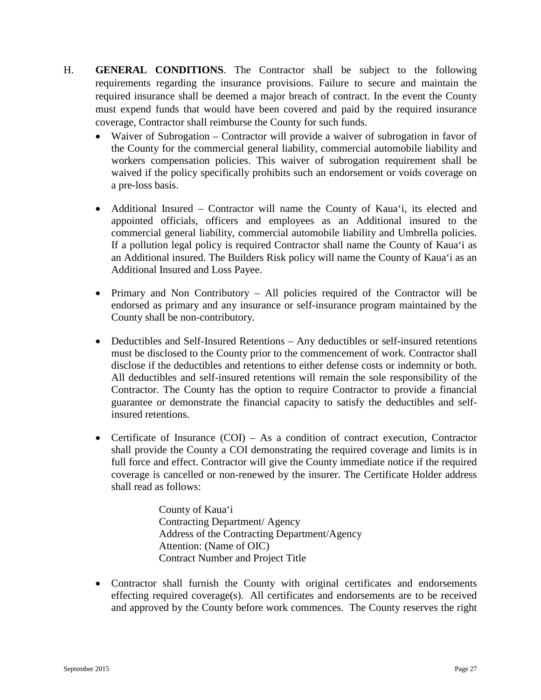- H. **GENERAL CONDITIONS**. The Contractor shall be subject to the following requirements regarding the insurance provisions. Failure to secure and maintain the required insurance shall be deemed a major breach of contract. In the event the County must expend funds that would have been covered and paid by the required insurance coverage, Contractor shall reimburse the County for such funds.
	- Waiver of Subrogation Contractor will provide a waiver of subrogation in favor of the County for the commercial general liability, commercial automobile liability and workers compensation policies. This waiver of subrogation requirement shall be waived if the policy specifically prohibits such an endorsement or voids coverage on a pre-loss basis.
	- Additional Insured Contractor will name the County of Kaua'i, its elected and appointed officials, officers and employees as an Additional insured to the commercial general liability, commercial automobile liability and Umbrella policies. If a pollution legal policy is required Contractor shall name the County of Kaua'i as an Additional insured. The Builders Risk policy will name the County of Kaua'i as an Additional Insured and Loss Payee.
	- Primary and Non Contributory All policies required of the Contractor will be endorsed as primary and any insurance or self-insurance program maintained by the County shall be non-contributory.
	- Deductibles and Self-Insured Retentions Any deductibles or self-insured retentions must be disclosed to the County prior to the commencement of work. Contractor shall disclose if the deductibles and retentions to either defense costs or indemnity or both. All deductibles and self-insured retentions will remain the sole responsibility of the Contractor. The County has the option to require Contractor to provide a financial guarantee or demonstrate the financial capacity to satisfy the deductibles and selfinsured retentions.
	- Certificate of Insurance (COI) As a condition of contract execution, Contractor shall provide the County a COI demonstrating the required coverage and limits is in full force and effect. Contractor will give the County immediate notice if the required coverage is cancelled or non-renewed by the insurer. The Certificate Holder address shall read as follows:

County of Kaua'i Contracting Department/ Agency Address of the Contracting Department/Agency Attention: (Name of OIC) Contract Number and Project Title

• Contractor shall furnish the County with original certificates and endorsements effecting required coverage(s). All certificates and endorsements are to be received and approved by the County before work commences. The County reserves the right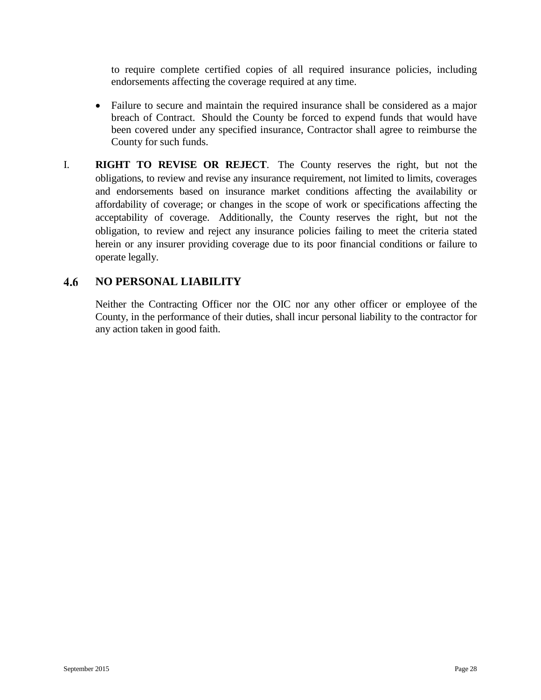to require complete certified copies of all required insurance policies, including endorsements affecting the coverage required at any time.

- Failure to secure and maintain the required insurance shall be considered as a major breach of Contract. Should the County be forced to expend funds that would have been covered under any specified insurance, Contractor shall agree to reimburse the County for such funds.
- I. **RIGHT TO REVISE OR REJECT**. The County reserves the right, but not the obligations, to review and revise any insurance requirement, not limited to limits, coverages and endorsements based on insurance market conditions affecting the availability or affordability of coverage; or changes in the scope of work or specifications affecting the acceptability of coverage. Additionally, the County reserves the right, but not the obligation, to review and reject any insurance policies failing to meet the criteria stated herein or any insurer providing coverage due to its poor financial conditions or failure to operate legally.

#### <span id="page-32-0"></span>4.6 **NO PERSONAL LIABILITY**

Neither the Contracting Officer nor the OIC nor any other officer or employee of the County, in the performance of their duties, shall incur personal liability to the contractor for any action taken in good faith.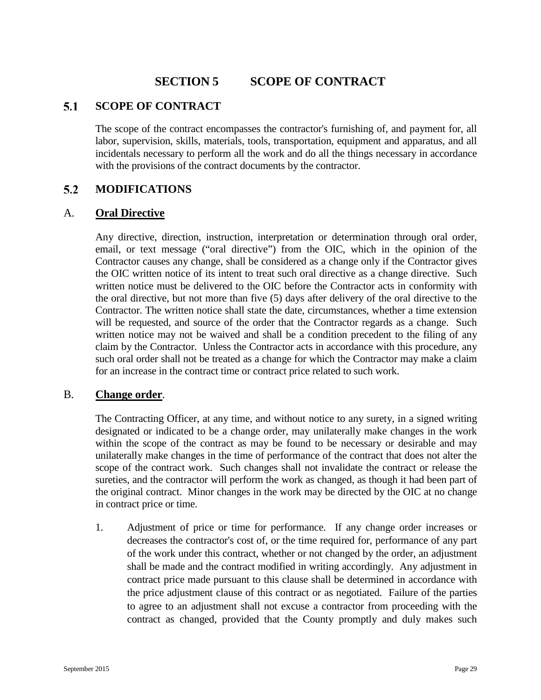# **SECTION 5 SCOPE OF CONTRACT**

#### <span id="page-33-1"></span><span id="page-33-0"></span> $5.1$ **SCOPE OF CONTRACT**

The scope of the contract encompasses the contractor's furnishing of, and payment for, all labor, supervision, skills, materials, tools, transportation, equipment and apparatus, and all incidentals necessary to perform all the work and do all the things necessary in accordance with the provisions of the contract documents by the contractor.

#### <span id="page-33-2"></span> $5.2$ **MODIFICATIONS**

## A. **Oral Directive**

Any directive, direction, instruction, interpretation or determination through oral order, email, or text message ("oral directive") from the OIC, which in the opinion of the Contractor causes any change, shall be considered as a change only if the Contractor gives the OIC written notice of its intent to treat such oral directive as a change directive. Such written notice must be delivered to the OIC before the Contractor acts in conformity with the oral directive, but not more than five (5) days after delivery of the oral directive to the Contractor. The written notice shall state the date, circumstances, whether a time extension will be requested, and source of the order that the Contractor regards as a change. Such written notice may not be waived and shall be a condition precedent to the filing of any claim by the Contractor. Unless the Contractor acts in accordance with this procedure, any such oral order shall not be treated as a change for which the Contractor may make a claim for an increase in the contract time or contract price related to such work.

### B. **Change order**.

The Contracting Officer, at any time, and without notice to any surety, in a signed writing designated or indicated to be a change order, may unilaterally make changes in the work within the scope of the contract as may be found to be necessary or desirable and may unilaterally make changes in the time of performance of the contract that does not alter the scope of the contract work. Such changes shall not invalidate the contract or release the sureties, and the contractor will perform the work as changed, as though it had been part of the original contract. Minor changes in the work may be directed by the OIC at no change in contract price or time.

1. Adjustment of price or time for performance. If any change order increases or decreases the contractor's cost of, or the time required for, performance of any part of the work under this contract, whether or not changed by the order, an adjustment shall be made and the contract modified in writing accordingly. Any adjustment in contract price made pursuant to this clause shall be determined in accordance with the price adjustment clause of this contract or as negotiated. Failure of the parties to agree to an adjustment shall not excuse a contractor from proceeding with the contract as changed, provided that the County promptly and duly makes such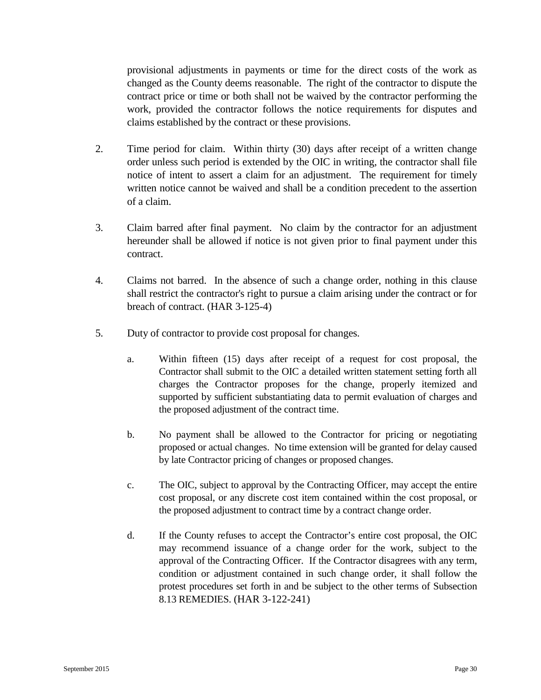provisional adjustments in payments or time for the direct costs of the work as changed as the County deems reasonable. The right of the contractor to dispute the contract price or time or both shall not be waived by the contractor performing the work, provided the contractor follows the notice requirements for disputes and claims established by the contract or these provisions.

- 2. Time period for claim. Within thirty (30) days after receipt of a written change order unless such period is extended by the OIC in writing, the contractor shall file notice of intent to assert a claim for an adjustment. The requirement for timely written notice cannot be waived and shall be a condition precedent to the assertion of a claim.
- 3. Claim barred after final payment. No claim by the contractor for an adjustment hereunder shall be allowed if notice is not given prior to final payment under this contract.
- 4. Claims not barred. In the absence of such a change order, nothing in this clause shall restrict the contractor's right to pursue a claim arising under the contract or for breach of contract. (HAR 3-125-4)
- 5. Duty of contractor to provide cost proposal for changes.
	- a. Within fifteen (15) days after receipt of a request for cost proposal, the Contractor shall submit to the OIC a detailed written statement setting forth all charges the Contractor proposes for the change, properly itemized and supported by sufficient substantiating data to permit evaluation of charges and the proposed adjustment of the contract time.
	- b. No payment shall be allowed to the Contractor for pricing or negotiating proposed or actual changes. No time extension will be granted for delay caused by late Contractor pricing of changes or proposed changes.
	- c. The OIC, subject to approval by the Contracting Officer, may accept the entire cost proposal, or any discrete cost item contained within the cost proposal, or the proposed adjustment to contract time by a contract change order.
	- d. If the County refuses to accept the Contractor's entire cost proposal, the OIC may recommend issuance of a change order for the work, subject to the approval of the Contracting Officer. If the Contractor disagrees with any term, condition or adjustment contained in such change order, it shall follow the protest procedures set forth in and be subject to the other terms of Subsection 8.13 REMEDIES. (HAR 3-122-241)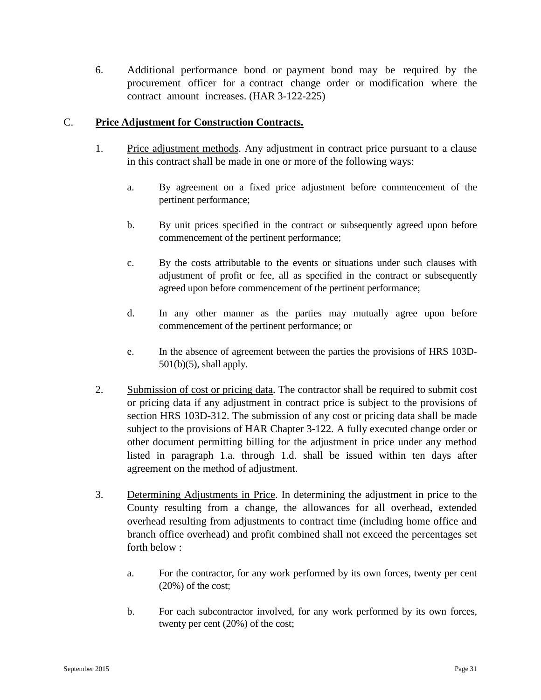6. Additional performance bond or payment bond may be required by the procurement officer for a contract change order or modification where the contract amount increases. (HAR 3-122-225)

## C. **Price Adjustment for Construction Contracts.**

- 1. Price adjustment methods. Any adjustment in contract price pursuant to a clause in this contract shall be made in one or more of the following ways:
	- a. By agreement on a fixed price adjustment before commencement of the pertinent performance;
	- b. By unit prices specified in the contract or subsequently agreed upon before commencement of the pertinent performance;
	- c. By the costs attributable to the events or situations under such clauses with adjustment of profit or fee, all as specified in the contract or subsequently agreed upon before commencement of the pertinent performance;
	- d. In any other manner as the parties may mutually agree upon before commencement of the pertinent performance; or
	- e. In the absence of agreement between the parties the provisions of HRS 103D-501(b)(5), shall apply.
- 2. Submission of cost or pricing data. The contractor shall be required to submit cost or pricing data if any adjustment in contract price is subject to the provisions of section HRS 103D-312. The submission of any cost or pricing data shall be made subject to the provisions of HAR Chapter 3-122. A fully executed change order or other document permitting billing for the adjustment in price under any method listed in paragraph 1.a. through 1.d. shall be issued within ten days after agreement on the method of adjustment.
- 3. Determining Adjustments in Price. In determining the adjustment in price to the County resulting from a change, the allowances for all overhead, extended overhead resulting from adjustments to contract time (including home office and branch office overhead) and profit combined shall not exceed the percentages set forth below :
	- a. For the contractor, for any work performed by its own forces, twenty per cent (20%) of the cost;
	- b. For each subcontractor involved, for any work performed by its own forces, twenty per cent (20%) of the cost;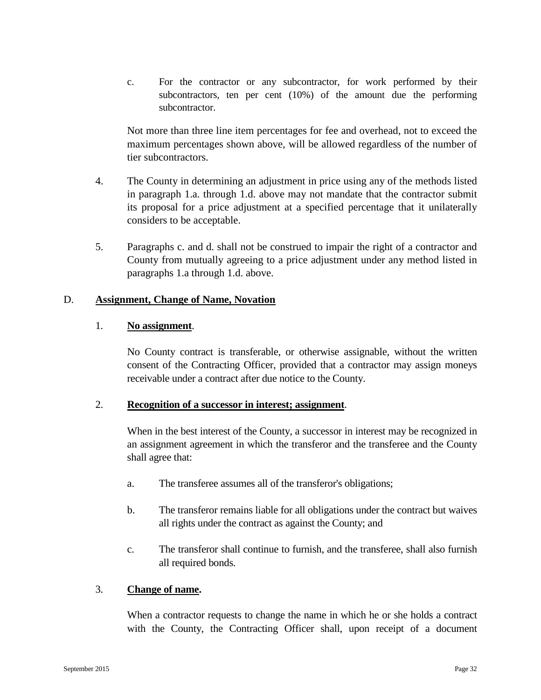c. For the contractor or any subcontractor, for work performed by their subcontractors, ten per cent (10%) of the amount due the performing subcontractor.

Not more than three line item percentages for fee and overhead, not to exceed the maximum percentages shown above, will be allowed regardless of the number of tier subcontractors.

- 4. The County in determining an adjustment in price using any of the methods listed in paragraph 1.a. through 1.d. above may not mandate that the contractor submit its proposal for a price adjustment at a specified percentage that it unilaterally considers to be acceptable.
- 5. Paragraphs c. and d. shall not be construed to impair the right of a contractor and County from mutually agreeing to a price adjustment under any method listed in paragraphs 1.a through 1.d. above.

### D. **Assignment, Change of Name, Novation**

### 1. **No assignment**.

No County contract is transferable, or otherwise assignable, without the written consent of the Contracting Officer, provided that a contractor may assign moneys receivable under a contract after due notice to the County.

### 2. **Recognition of a successor in interest; assignment**.

When in the best interest of the County, a successor in interest may be recognized in an assignment agreement in which the transferor and the transferee and the County shall agree that:

- a. The transferee assumes all of the transferor's obligations;
- b. The transferor remains liable for all obligations under the contract but waives all rights under the contract as against the County; and
- c. The transferor shall continue to furnish, and the transferee, shall also furnish all required bonds.

## 3. **Change of name.**

When a contractor requests to change the name in which he or she holds a contract with the County, the Contracting Officer shall, upon receipt of a document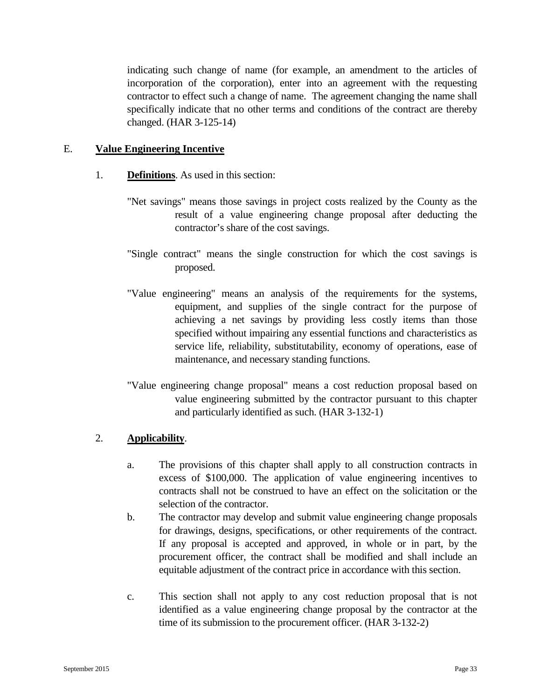indicating such change of name (for example, an amendment to the articles of incorporation of the corporation), enter into an agreement with the requesting contractor to effect such a change of name. The agreement changing the name shall specifically indicate that no other terms and conditions of the contract are thereby changed. (HAR 3-125-14)

### E. **Value Engineering Incentive**

- 1. **Definitions**. As used in this section:
	- "Net savings" means those savings in project costs realized by the County as the result of a value engineering change proposal after deducting the contractor's share of the cost savings.
	- "Single contract" means the single construction for which the cost savings is proposed.
	- "Value engineering" means an analysis of the requirements for the systems, equipment, and supplies of the single contract for the purpose of achieving a net savings by providing less costly items than those specified without impairing any essential functions and characteristics as service life, reliability, substitutability, economy of operations, ease of maintenance, and necessary standing functions.
	- "Value engineering change proposal" means a cost reduction proposal based on value engineering submitted by the contractor pursuant to this chapter and particularly identified as such. (HAR 3-132-1)

### 2. **Applicability**.

- a. The provisions of this chapter shall apply to all construction contracts in excess of \$100,000. The application of value engineering incentives to contracts shall not be construed to have an effect on the solicitation or the selection of the contractor.
- b. The contractor may develop and submit value engineering change proposals for drawings, designs, specifications, or other requirements of the contract. If any proposal is accepted and approved, in whole or in part, by the procurement officer, the contract shall be modified and shall include an equitable adjustment of the contract price in accordance with this section.
- c. This section shall not apply to any cost reduction proposal that is not identified as a value engineering change proposal by the contractor at the time of its submission to the procurement officer. (HAR 3-132-2)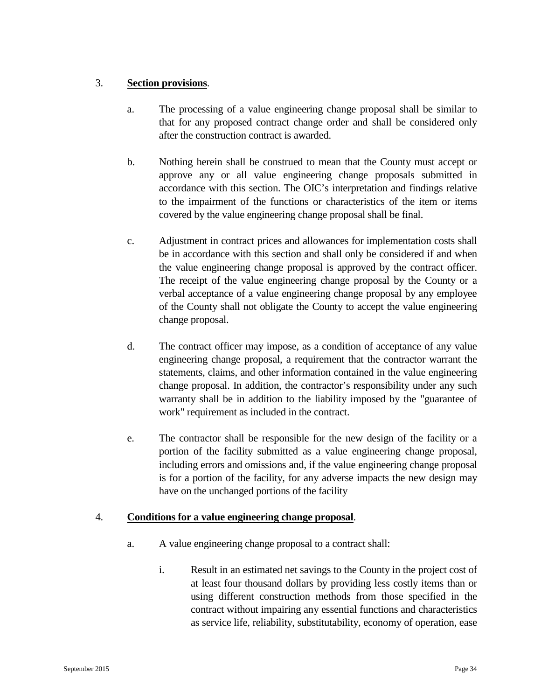# 3. **Section provisions**.

- a. The processing of a value engineering change proposal shall be similar to that for any proposed contract change order and shall be considered only after the construction contract is awarded.
- b. Nothing herein shall be construed to mean that the County must accept or approve any or all value engineering change proposals submitted in accordance with this section. The OIC's interpretation and findings relative to the impairment of the functions or characteristics of the item or items covered by the value engineering change proposal shall be final.
- c. Adjustment in contract prices and allowances for implementation costs shall be in accordance with this section and shall only be considered if and when the value engineering change proposal is approved by the contract officer. The receipt of the value engineering change proposal by the County or a verbal acceptance of a value engineering change proposal by any employee of the County shall not obligate the County to accept the value engineering change proposal.
- d. The contract officer may impose, as a condition of acceptance of any value engineering change proposal, a requirement that the contractor warrant the statements, claims, and other information contained in the value engineering change proposal. In addition, the contractor's responsibility under any such warranty shall be in addition to the liability imposed by the "guarantee of work" requirement as included in the contract.
- e. The contractor shall be responsible for the new design of the facility or a portion of the facility submitted as a value engineering change proposal, including errors and omissions and, if the value engineering change proposal is for a portion of the facility, for any adverse impacts the new design may have on the unchanged portions of the facility

## 4. **Conditions for a value engineering change proposal**.

- a. A value engineering change proposal to a contract shall:
	- i. Result in an estimated net savings to the County in the project cost of at least four thousand dollars by providing less costly items than or using different construction methods from those specified in the contract without impairing any essential functions and characteristics as service life, reliability, substitutability, economy of operation, ease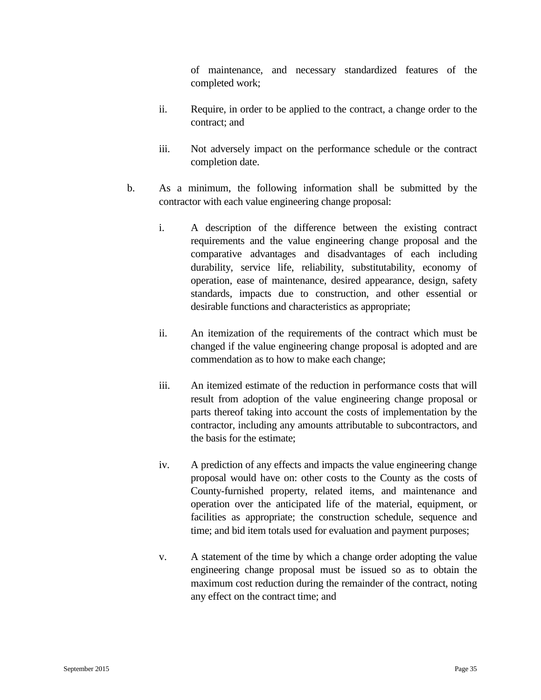of maintenance, and necessary standardized features of the completed work;

- ii. Require, in order to be applied to the contract, a change order to the contract; and
- iii. Not adversely impact on the performance schedule or the contract completion date.
- b. As a minimum, the following information shall be submitted by the contractor with each value engineering change proposal:
	- i. A description of the difference between the existing contract requirements and the value engineering change proposal and the comparative advantages and disadvantages of each including durability, service life, reliability, substitutability, economy of operation, ease of maintenance, desired appearance, design, safety standards, impacts due to construction, and other essential or desirable functions and characteristics as appropriate;
	- ii. An itemization of the requirements of the contract which must be changed if the value engineering change proposal is adopted and are commendation as to how to make each change;
	- iii. An itemized estimate of the reduction in performance costs that will result from adoption of the value engineering change proposal or parts thereof taking into account the costs of implementation by the contractor, including any amounts attributable to subcontractors, and the basis for the estimate;
	- iv. A prediction of any effects and impacts the value engineering change proposal would have on: other costs to the County as the costs of County-furnished property, related items, and maintenance and operation over the anticipated life of the material, equipment, or facilities as appropriate; the construction schedule, sequence and time; and bid item totals used for evaluation and payment purposes;
	- v. A statement of the time by which a change order adopting the value engineering change proposal must be issued so as to obtain the maximum cost reduction during the remainder of the contract, noting any effect on the contract time; and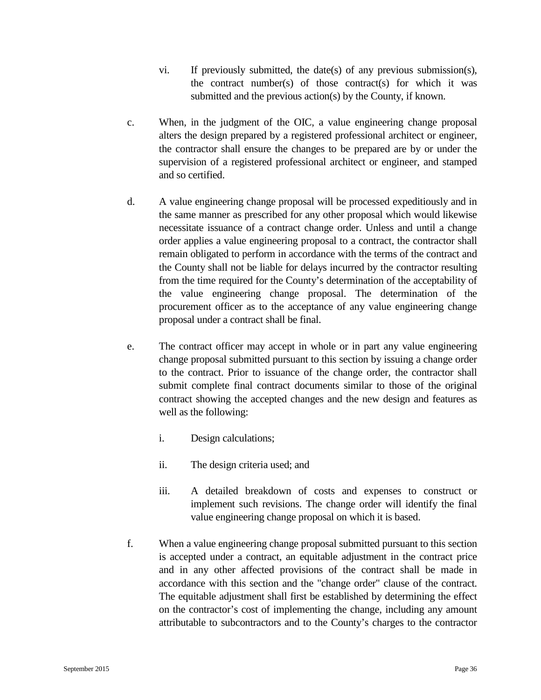- vi. If previously submitted, the date(s) of any previous submission(s), the contract number(s) of those contract(s) for which it was submitted and the previous action(s) by the County, if known.
- c. When, in the judgment of the OIC, a value engineering change proposal alters the design prepared by a registered professional architect or engineer, the contractor shall ensure the changes to be prepared are by or under the supervision of a registered professional architect or engineer, and stamped and so certified.
- d. A value engineering change proposal will be processed expeditiously and in the same manner as prescribed for any other proposal which would likewise necessitate issuance of a contract change order. Unless and until a change order applies a value engineering proposal to a contract, the contractor shall remain obligated to perform in accordance with the terms of the contract and the County shall not be liable for delays incurred by the contractor resulting from the time required for the County's determination of the acceptability of the value engineering change proposal. The determination of the procurement officer as to the acceptance of any value engineering change proposal under a contract shall be final.
- e. The contract officer may accept in whole or in part any value engineering change proposal submitted pursuant to this section by issuing a change order to the contract. Prior to issuance of the change order, the contractor shall submit complete final contract documents similar to those of the original contract showing the accepted changes and the new design and features as well as the following:
	- i. Design calculations;
	- ii. The design criteria used; and
	- iii. A detailed breakdown of costs and expenses to construct or implement such revisions. The change order will identify the final value engineering change proposal on which it is based.
- f. When a value engineering change proposal submitted pursuant to this section is accepted under a contract, an equitable adjustment in the contract price and in any other affected provisions of the contract shall be made in accordance with this section and the "change order" clause of the contract. The equitable adjustment shall first be established by determining the effect on the contractor's cost of implementing the change, including any amount attributable to subcontractors and to the County's charges to the contractor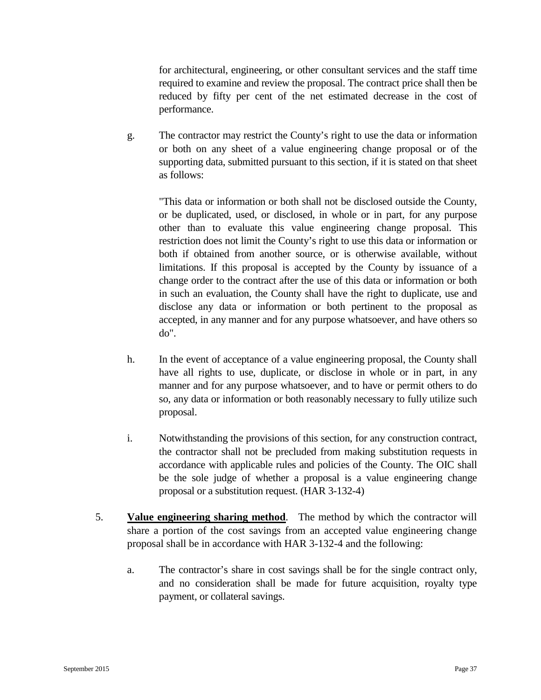for architectural, engineering, or other consultant services and the staff time required to examine and review the proposal. The contract price shall then be reduced by fifty per cent of the net estimated decrease in the cost of performance.

g. The contractor may restrict the County's right to use the data or information or both on any sheet of a value engineering change proposal or of the supporting data, submitted pursuant to this section, if it is stated on that sheet as follows:

"This data or information or both shall not be disclosed outside the County, or be duplicated, used, or disclosed, in whole or in part, for any purpose other than to evaluate this value engineering change proposal. This restriction does not limit the County's right to use this data or information or both if obtained from another source, or is otherwise available, without limitations. If this proposal is accepted by the County by issuance of a change order to the contract after the use of this data or information or both in such an evaluation, the County shall have the right to duplicate, use and disclose any data or information or both pertinent to the proposal as accepted, in any manner and for any purpose whatsoever, and have others so do".

- h. In the event of acceptance of a value engineering proposal, the County shall have all rights to use, duplicate, or disclose in whole or in part, in any manner and for any purpose whatsoever, and to have or permit others to do so, any data or information or both reasonably necessary to fully utilize such proposal.
- i. Notwithstanding the provisions of this section, for any construction contract, the contractor shall not be precluded from making substitution requests in accordance with applicable rules and policies of the County. The OIC shall be the sole judge of whether a proposal is a value engineering change proposal or a substitution request. (HAR 3-132-4)
- 5. **Value engineering sharing method**. The method by which the contractor will share a portion of the cost savings from an accepted value engineering change proposal shall be in accordance with HAR 3-132-4 and the following:
	- a. The contractor's share in cost savings shall be for the single contract only, and no consideration shall be made for future acquisition, royalty type payment, or collateral savings.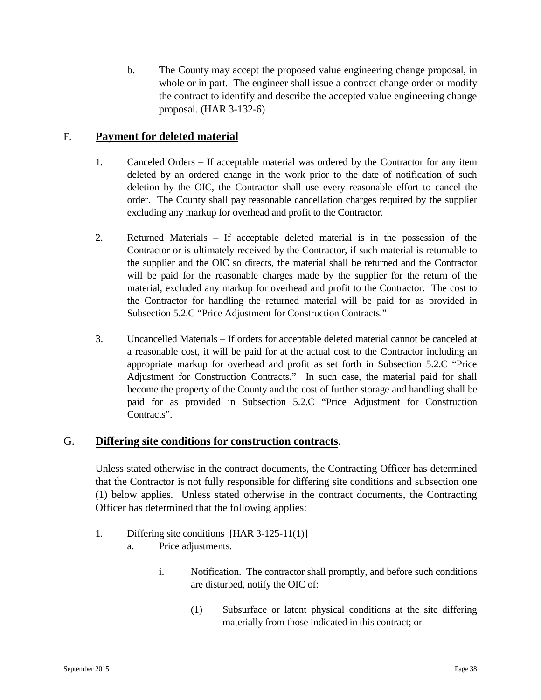b. The County may accept the proposed value engineering change proposal, in whole or in part. The engineer shall issue a contract change order or modify the contract to identify and describe the accepted value engineering change proposal. (HAR 3-132-6)

# F. **Payment for deleted material**

- 1. Canceled Orders If acceptable material was ordered by the Contractor for any item deleted by an ordered change in the work prior to the date of notification of such deletion by the OIC, the Contractor shall use every reasonable effort to cancel the order. The County shall pay reasonable cancellation charges required by the supplier excluding any markup for overhead and profit to the Contractor.
- 2. Returned Materials If acceptable deleted material is in the possession of the Contractor or is ultimately received by the Contractor, if such material is returnable to the supplier and the OIC so directs, the material shall be returned and the Contractor will be paid for the reasonable charges made by the supplier for the return of the material, excluded any markup for overhead and profit to the Contractor. The cost to the Contractor for handling the returned material will be paid for as provided in Subsection 5.2.C "Price Adjustment for Construction Contracts."
- 3. Uncancelled Materials If orders for acceptable deleted material cannot be canceled at a reasonable cost, it will be paid for at the actual cost to the Contractor including an appropriate markup for overhead and profit as set forth in Subsection 5.2.C "Price Adjustment for Construction Contracts." In such case, the material paid for shall become the property of the County and the cost of further storage and handling shall be paid for as provided in Subsection 5.2.C "Price Adjustment for Construction Contracts".

## G. **Differing site conditions for construction contracts**.

Unless stated otherwise in the contract documents, the Contracting Officer has determined that the Contractor is not fully responsible for differing site conditions and subsection one (1) below applies. Unless stated otherwise in the contract documents, the Contracting Officer has determined that the following applies:

- 1. Differing site conditions [HAR 3-125-11(1)]
	- a. Price adjustments.
		- i. Notification. The contractor shall promptly, and before such conditions are disturbed, notify the OIC of:
			- (1) Subsurface or latent physical conditions at the site differing materially from those indicated in this contract; or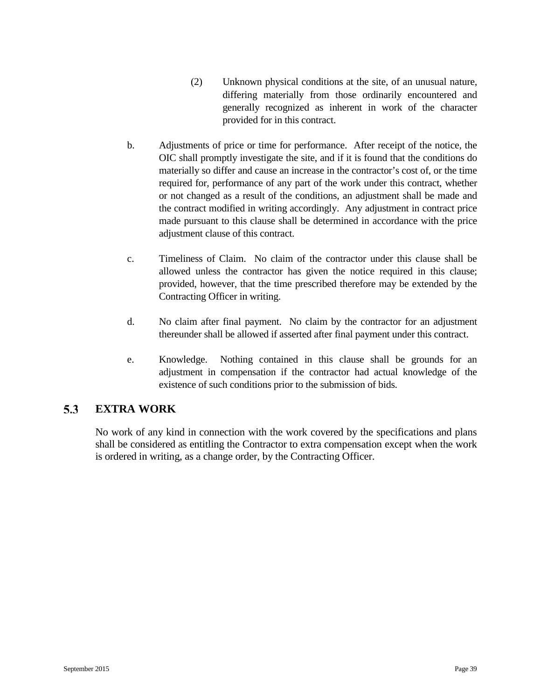- (2) Unknown physical conditions at the site, of an unusual nature, differing materially from those ordinarily encountered and generally recognized as inherent in work of the character provided for in this contract.
- b. Adjustments of price or time for performance. After receipt of the notice, the OIC shall promptly investigate the site, and if it is found that the conditions do materially so differ and cause an increase in the contractor's cost of, or the time required for, performance of any part of the work under this contract, whether or not changed as a result of the conditions, an adjustment shall be made and the contract modified in writing accordingly. Any adjustment in contract price made pursuant to this clause shall be determined in accordance with the price adjustment clause of this contract.
- c. Timeliness of Claim. No claim of the contractor under this clause shall be allowed unless the contractor has given the notice required in this clause; provided, however, that the time prescribed therefore may be extended by the Contracting Officer in writing.
- d. No claim after final payment. No claim by the contractor for an adjustment thereunder shall be allowed if asserted after final payment under this contract.
- e. Knowledge. Nothing contained in this clause shall be grounds for an adjustment in compensation if the contractor had actual knowledge of the existence of such conditions prior to the submission of bids.

#### $5.3$ **EXTRA WORK**

No work of any kind in connection with the work covered by the specifications and plans shall be considered as entitling the Contractor to extra compensation except when the work is ordered in writing, as a change order, by the Contracting Officer.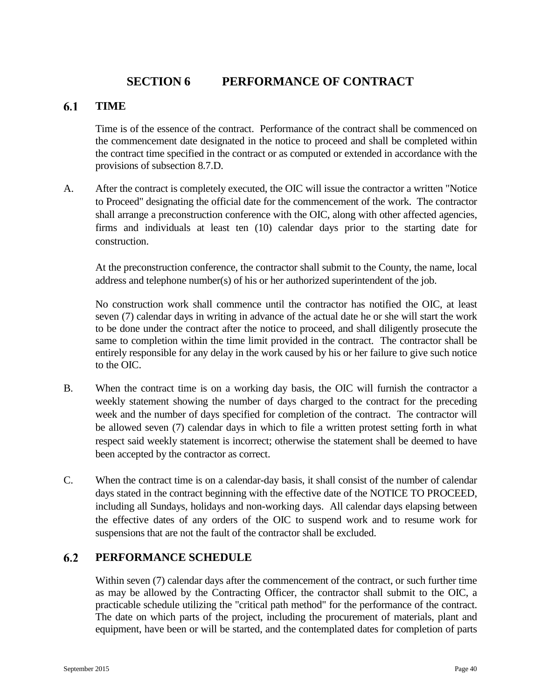# **SECTION 6 PERFORMANCE OF CONTRACT**

#### 6.1 **TIME**

Time is of the essence of the contract. Performance of the contract shall be commenced on the commencement date designated in the notice to proceed and shall be completed within the contract time specified in the contract or as computed or extended in accordance with the provisions of subsection 8.7.D.

A. After the contract is completely executed, the OIC will issue the contractor a written "Notice to Proceed" designating the official date for the commencement of the work. The contractor shall arrange a preconstruction conference with the OIC, along with other affected agencies, firms and individuals at least ten (10) calendar days prior to the starting date for construction.

At the preconstruction conference, the contractor shall submit to the County, the name, local address and telephone number(s) of his or her authorized superintendent of the job.

No construction work shall commence until the contractor has notified the OIC, at least seven (7) calendar days in writing in advance of the actual date he or she will start the work to be done under the contract after the notice to proceed, and shall diligently prosecute the same to completion within the time limit provided in the contract. The contractor shall be entirely responsible for any delay in the work caused by his or her failure to give such notice to the OIC.

- B. When the contract time is on a working day basis, the OIC will furnish the contractor a weekly statement showing the number of days charged to the contract for the preceding week and the number of days specified for completion of the contract. The contractor will be allowed seven (7) calendar days in which to file a written protest setting forth in what respect said weekly statement is incorrect; otherwise the statement shall be deemed to have been accepted by the contractor as correct.
- C. When the contract time is on a calendar-day basis, it shall consist of the number of calendar days stated in the contract beginning with the effective date of the NOTICE TO PROCEED, including all Sundays, holidays and non-working days. All calendar days elapsing between the effective dates of any orders of the OIC to suspend work and to resume work for suspensions that are not the fault of the contractor shall be excluded.

#### $6.2$ **PERFORMANCE SCHEDULE**

Within seven (7) calendar days after the commencement of the contract, or such further time as may be allowed by the Contracting Officer, the contractor shall submit to the OIC, a practicable schedule utilizing the "critical path method" for the performance of the contract. The date on which parts of the project, including the procurement of materials, plant and equipment, have been or will be started, and the contemplated dates for completion of parts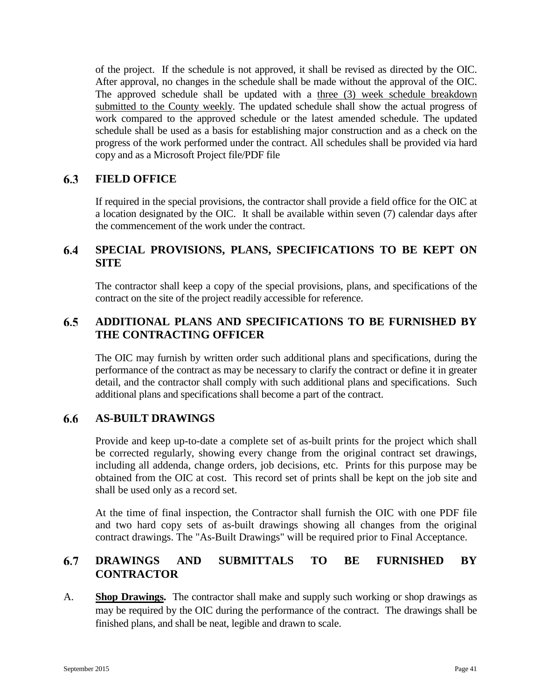of the project. If the schedule is not approved, it shall be revised as directed by the OIC. After approval, no changes in the schedule shall be made without the approval of the OIC. The approved schedule shall be updated with a three (3) week schedule breakdown submitted to the County weekly. The updated schedule shall show the actual progress of work compared to the approved schedule or the latest amended schedule. The updated schedule shall be used as a basis for establishing major construction and as a check on the progress of the work performed under the contract. All schedules shall be provided via hard copy and as a Microsoft Project file/PDF file

#### 6.3 **FIELD OFFICE**

If required in the special provisions, the contractor shall provide a field office for the OIC at a location designated by the OIC. It shall be available within seven (7) calendar days after the commencement of the work under the contract.

#### 6.4 **SPECIAL PROVISIONS, PLANS, SPECIFICATIONS TO BE KEPT ON SITE**

The contractor shall keep a copy of the special provisions, plans, and specifications of the contract on the site of the project readily accessible for reference.

#### 6.5 **ADDITIONAL PLANS AND SPECIFICATIONS TO BE FURNISHED BY THE CONTRACTI**N**G OFFICER**

The OIC may furnish by written order such additional plans and specifications, during the performance of the contract as may be necessary to clarify the contract or define it in greater detail, and the contractor shall comply with such additional plans and specifications. Such additional plans and specifications shall become a part of the contract.

#### 6.6 **AS-BUILT DRAWINGS**

Provide and keep up-to-date a complete set of as-built prints for the project which shall be corrected regularly, showing every change from the original contract set drawings, including all addenda, change orders, job decisions, etc. Prints for this purpose may be obtained from the OIC at cost. This record set of prints shall be kept on the job site and shall be used only as a record set.

At the time of final inspection, the Contractor shall furnish the OIC with one PDF file and two hard copy sets of as-built drawings showing all changes from the original contract drawings. The "As-Built Drawings" will be required prior to Final Acceptance.

#### 6.7 **DRAWINGS AND SUBMITTALS TO BE FURNISHED BY CONTRACTOR**

A. **Shop Drawings.** The contractor shall make and supply such working or shop drawings as may be required by the OIC during the performance of the contract. The drawings shall be finished plans, and shall be neat, legible and drawn to scale.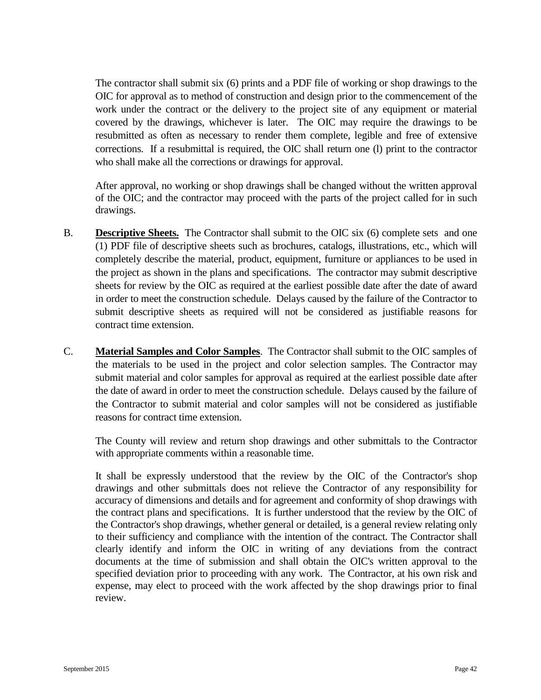The contractor shall submit six (6) prints and a PDF file of working or shop drawings to the OIC for approval as to method of construction and design prior to the commencement of the work under the contract or the delivery to the project site of any equipment or material covered by the drawings, whichever is later. The OIC may require the drawings to be resubmitted as often as necessary to render them complete, legible and free of extensive corrections. If a resubmittal is required, the OIC shall return one (l) print to the contractor who shall make all the corrections or drawings for approval.

After approval, no working or shop drawings shall be changed without the written approval of the OIC; and the contractor may proceed with the parts of the project called for in such drawings.

- B. **Descriptive Sheets.** The Contractor shall submit to the OIC six (6) complete sets and one (1) PDF file of descriptive sheets such as brochures, catalogs, illustrations, etc., which will completely describe the material, product, equipment, furniture or appliances to be used in the project as shown in the plans and specifications. The contractor may submit descriptive sheets for review by the OIC as required at the earliest possible date after the date of award in order to meet the construction schedule. Delays caused by the failure of the Contractor to submit descriptive sheets as required will not be considered as justifiable reasons for contract time extension.
- C. **Material Samples and Color Samples**. The Contractor shall submit to the OIC samples of the materials to be used in the project and color selection samples. The Contractor may submit material and color samples for approval as required at the earliest possible date after the date of award in order to meet the construction schedule. Delays caused by the failure of the Contractor to submit material and color samples will not be considered as justifiable reasons for contract time extension.

The County will review and return shop drawings and other submittals to the Contractor with appropriate comments within a reasonable time.

It shall be expressly understood that the review by the OIC of the Contractor's shop drawings and other submittals does not relieve the Contractor of any responsibility for accuracy of dimensions and details and for agreement and conformity of shop drawings with the contract plans and specifications. It is further understood that the review by the OIC of the Contractor's shop drawings, whether general or detailed, is a general review relating only to their sufficiency and compliance with the intention of the contract. The Contractor shall clearly identify and inform the OIC in writing of any deviations from the contract documents at the time of submission and shall obtain the OIC's written approval to the specified deviation prior to proceeding with any work. The Contractor, at his own risk and expense, may elect to proceed with the work affected by the shop drawings prior to final review.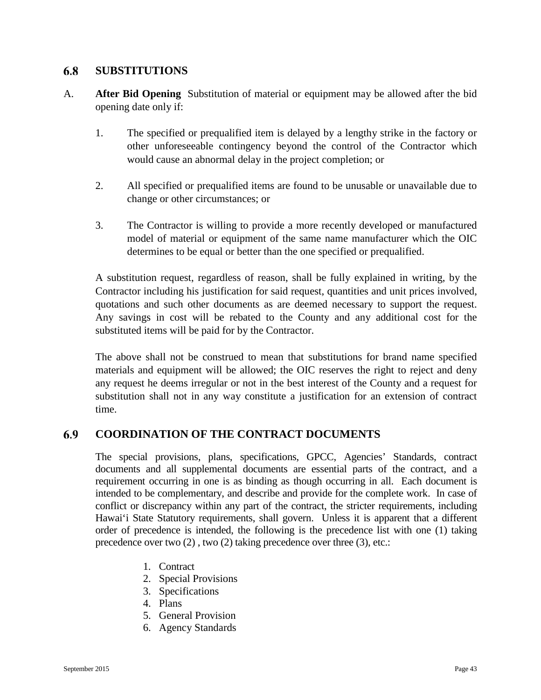#### 6.8 **SUBSTITUTIONS**

- A. **After Bid Opening** Substitution of material or equipment may be allowed after the bid opening date only if:
	- 1. The specified or prequalified item is delayed by a lengthy strike in the factory or other unforeseeable contingency beyond the control of the Contractor which would cause an abnormal delay in the project completion; or
	- 2. All specified or prequalified items are found to be unusable or unavailable due to change or other circumstances; or
	- 3. The Contractor is willing to provide a more recently developed or manufactured model of material or equipment of the same name manufacturer which the OIC determines to be equal or better than the one specified or prequalified.

A substitution request, regardless of reason, shall be fully explained in writing, by the Contractor including his justification for said request, quantities and unit prices involved, quotations and such other documents as are deemed necessary to support the request. Any savings in cost will be rebated to the County and any additional cost for the substituted items will be paid for by the Contractor.

The above shall not be construed to mean that substitutions for brand name specified materials and equipment will be allowed; the OIC reserves the right to reject and deny any request he deems irregular or not in the best interest of the County and a request for substitution shall not in any way constitute a justification for an extension of contract time.

#### 6.9 **COORDINATION OF THE CONTRACT DOCUMENTS**

The special provisions, plans, specifications, GPCC, Agencies' Standards, contract documents and all supplemental documents are essential parts of the contract, and a requirement occurring in one is as binding as though occurring in all. Each document is intended to be complementary, and describe and provide for the complete work. In case of conflict or discrepancy within any part of the contract, the stricter requirements, including Hawai'i State Statutory requirements, shall govern. Unless it is apparent that a different order of precedence is intended, the following is the precedence list with one (1) taking precedence over two (2) , two (2) taking precedence over three (3), etc.:

- 1. Contract
- 2. Special Provisions
- 3. Specifications
- 4. Plans
- 5. General Provision
- 6. Agency Standards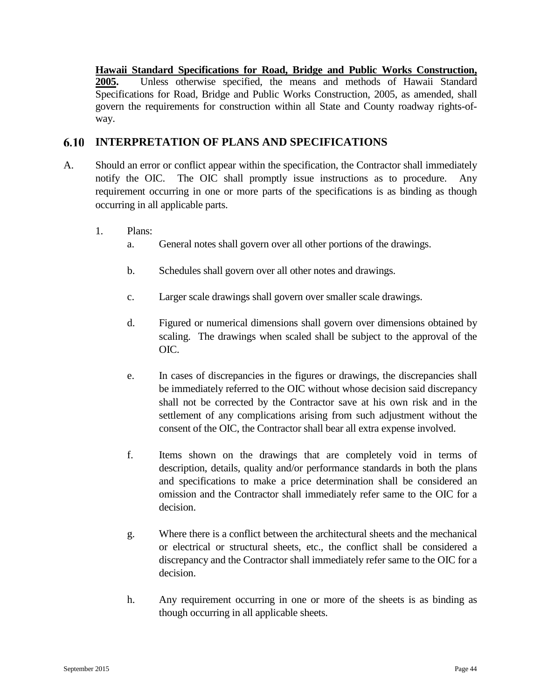**Hawaii Standard Specifications for Road, Bridge and Public Works Construction, 2005.** Unless otherwise specified, the means and methods of Hawaii Standard Specifications for Road, Bridge and Public Works Construction, 2005, as amended, shall govern the requirements for construction within all State and County roadway rights-ofway.

#### 6.10 **INTERPRETATION OF PLANS AND SPECIFICATIONS**

- A. Should an error or conflict appear within the specification, the Contractor shall immediately notify the OIC. The OIC shall promptly issue instructions as to procedure. Any requirement occurring in one or more parts of the specifications is as binding as though occurring in all applicable parts.
	- 1. Plans:
		- a. General notes shall govern over all other portions of the drawings.
		- b. Schedules shall govern over all other notes and drawings.
		- c. Larger scale drawings shall govern over smaller scale drawings.
		- d. Figured or numerical dimensions shall govern over dimensions obtained by scaling. The drawings when scaled shall be subject to the approval of the OIC.
		- e. In cases of discrepancies in the figures or drawings, the discrepancies shall be immediately referred to the OIC without whose decision said discrepancy shall not be corrected by the Contractor save at his own risk and in the settlement of any complications arising from such adjustment without the consent of the OIC, the Contractor shall bear all extra expense involved.
		- f. Items shown on the drawings that are completely void in terms of description, details, quality and/or performance standards in both the plans and specifications to make a price determination shall be considered an omission and the Contractor shall immediately refer same to the OIC for a decision.
		- g. Where there is a conflict between the architectural sheets and the mechanical or electrical or structural sheets, etc., the conflict shall be considered a discrepancy and the Contractor shall immediately refer same to the OIC for a decision.
		- h. Any requirement occurring in one or more of the sheets is as binding as though occurring in all applicable sheets.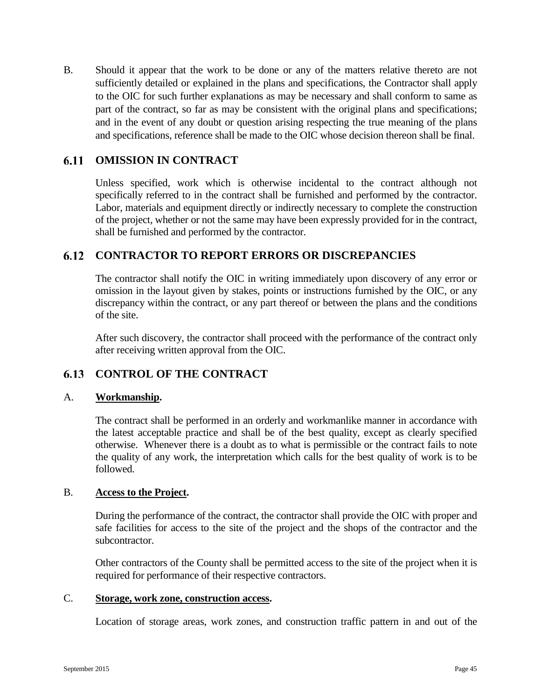B. Should it appear that the work to be done or any of the matters relative thereto are not sufficiently detailed or explained in the plans and specifications, the Contractor shall apply to the OIC for such further explanations as may be necessary and shall conform to same as part of the contract, so far as may be consistent with the original plans and specifications; and in the event of any doubt or question arising respecting the true meaning of the plans and specifications, reference shall be made to the OIC whose decision thereon shall be final.

#### 6.11 **OMISSION IN CONTRACT**

Unless specified, work which is otherwise incidental to the contract although not specifically referred to in the contract shall be furnished and performed by the contractor. Labor, materials and equipment directly or indirectly necessary to complete the construction of the project, whether or not the same may have been expressly provided for in the contract, shall be furnished and performed by the contractor.

## **CONTRACTOR TO REPORT ERRORS OR DISCREPANCIES**

The contractor shall notify the OIC in writing immediately upon discovery of any error or omission in the layout given by stakes, points or instructions furnished by the OIC, or any discrepancy within the contract, or any part thereof or between the plans and the conditions of the site.

After such discovery, the contractor shall proceed with the performance of the contract only after receiving written approval from the OIC.

#### 6.13 **CONTROL OF THE CONTRACT**

### A. **Workmanship.**

The contract shall be performed in an orderly and workmanlike manner in accordance with the latest acceptable practice and shall be of the best quality, except as clearly specified otherwise. Whenever there is a doubt as to what is permissible or the contract fails to note the quality of any work, the interpretation which calls for the best quality of work is to be followed.

### B. **Access to the Project.**

During the performance of the contract, the contractor shall provide the OIC with proper and safe facilities for access to the site of the project and the shops of the contractor and the subcontractor.

Other contractors of the County shall be permitted access to the site of the project when it is required for performance of their respective contractors.

#### C. **Storage, work zone, construction access.**

Location of storage areas, work zones, and construction traffic pattern in and out of the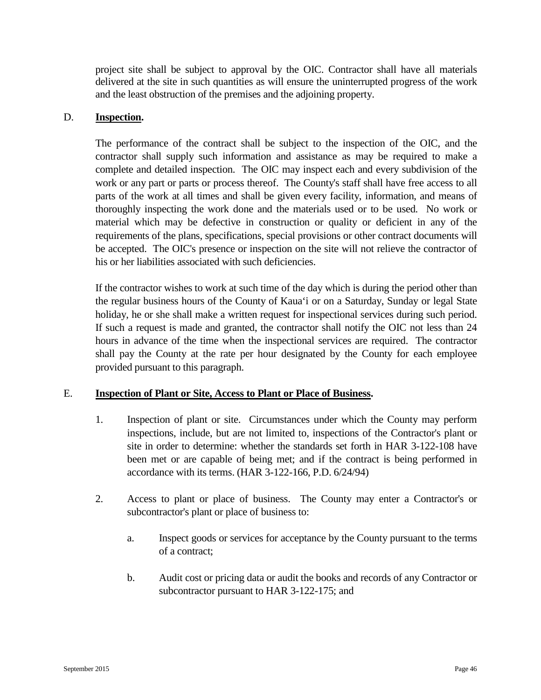project site shall be subject to approval by the OIC. Contractor shall have all materials delivered at the site in such quantities as will ensure the uninterrupted progress of the work and the least obstruction of the premises and the adjoining property.

### D. **Inspection.**

The performance of the contract shall be subject to the inspection of the OIC, and the contractor shall supply such information and assistance as may be required to make a complete and detailed inspection. The OIC may inspect each and every subdivision of the work or any part or parts or process thereof. The County's staff shall have free access to all parts of the work at all times and shall be given every facility, information, and means of thoroughly inspecting the work done and the materials used or to be used. No work or material which may be defective in construction or quality or deficient in any of the requirements of the plans, specifications, special provisions or other contract documents will be accepted. The OIC's presence or inspection on the site will not relieve the contractor of his or her liabilities associated with such deficiencies.

If the contractor wishes to work at such time of the day which is during the period other than the regular business hours of the County of Kaua'i or on a Saturday, Sunday or legal State holiday, he or she shall make a written request for inspectional services during such period. If such a request is made and granted, the contractor shall notify the OIC not less than 24 hours in advance of the time when the inspectional services are required. The contractor shall pay the County at the rate per hour designated by the County for each employee provided pursuant to this paragraph.

## E. **Inspection of Plant or Site, Access to Plant or Place of Business.**

- 1. Inspection of plant or site. Circumstances under which the County may perform inspections, include, but are not limited to, inspections of the Contractor's plant or site in order to determine: whether the standards set forth in HAR 3-122-108 have been met or are capable of being met; and if the contract is being performed in accordance with its terms. (HAR 3-122-166, P.D. 6/24/94)
- 2. Access to plant or place of business. The County may enter a Contractor's or subcontractor's plant or place of business to:
	- a. Inspect goods or services for acceptance by the County pursuant to the terms of a contract;
	- b. Audit cost or pricing data or audit the books and records of any Contractor or subcontractor pursuant to HAR 3-122-175; and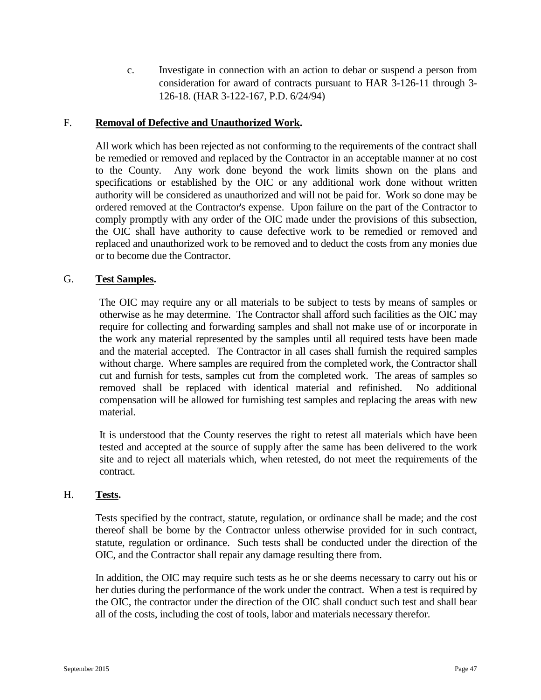c. Investigate in connection with an action to debar or suspend a person from consideration for award of contracts pursuant to HAR 3-126-11 through 3- 126-18. (HAR 3-122-167, P.D. 6/24/94)

#### F. **Removal of Defective and Unauthorized Work.**

All work which has been rejected as not conforming to the requirements of the contract shall be remedied or removed and replaced by the Contractor in an acceptable manner at no cost to the County. Any work done beyond the work limits shown on the plans and specifications or established by the OIC or any additional work done without written authority will be considered as unauthorized and will not be paid for. Work so done may be ordered removed at the Contractor's expense. Upon failure on the part of the Contractor to comply promptly with any order of the OIC made under the provisions of this subsection, the OIC shall have authority to cause defective work to be remedied or removed and replaced and unauthorized work to be removed and to deduct the costs from any monies due or to become due the Contractor.

#### G. **Test Samples.**

The OIC may require any or all materials to be subject to tests by means of samples or otherwise as he may determine. The Contractor shall afford such facilities as the OIC may require for collecting and forwarding samples and shall not make use of or incorporate in the work any material represented by the samples until all required tests have been made and the material accepted. The Contractor in all cases shall furnish the required samples without charge. Where samples are required from the completed work, the Contractor shall cut and furnish for tests, samples cut from the completed work. The areas of samples so removed shall be replaced with identical material and refinished. No additional compensation will be allowed for furnishing test samples and replacing the areas with new material.

It is understood that the County reserves the right to retest all materials which have been tested and accepted at the source of supply after the same has been delivered to the work site and to reject all materials which, when retested, do not meet the requirements of the contract.

#### H. **Tests.**

Tests specified by the contract, statute, regulation, or ordinance shall be made; and the cost thereof shall be borne by the Contractor unless otherwise provided for in such contract, statute, regulation or ordinance. Such tests shall be conducted under the direction of the OIC, and the Contractor shall repair any damage resulting there from.

In addition, the OIC may require such tests as he or she deems necessary to carry out his or her duties during the performance of the work under the contract. When a test is required by the OIC, the contractor under the direction of the OIC shall conduct such test and shall bear all of the costs, including the cost of tools, labor and materials necessary therefor.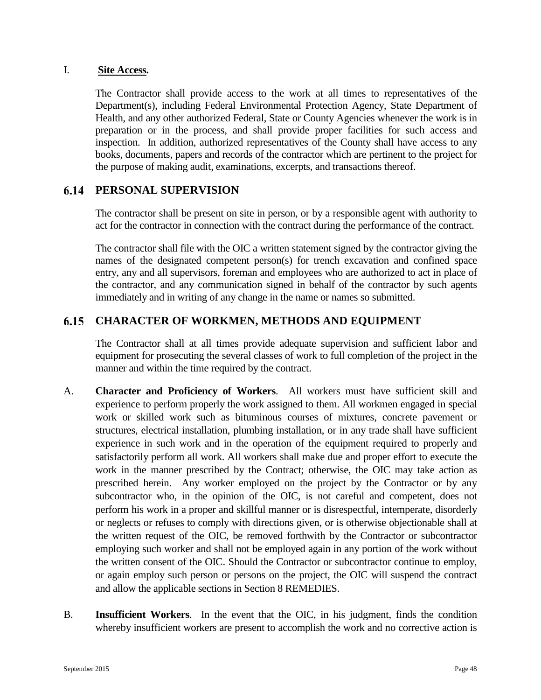### I. **Site Access.**

The Contractor shall provide access to the work at all times to representatives of the Department(s), including Federal Environmental Protection Agency, State Department of Health, and any other authorized Federal, State or County Agencies whenever the work is in preparation or in the process, and shall provide proper facilities for such access and inspection. In addition, authorized representatives of the County shall have access to any books, documents, papers and records of the contractor which are pertinent to the project for the purpose of making audit, examinations, excerpts, and transactions thereof.

#### 6.14 **PERSONAL SUPERVISION**

The contractor shall be present on site in person, or by a responsible agent with authority to act for the contractor in connection with the contract during the performance of the contract.

The contractor shall file with the OIC a written statement signed by the contractor giving the names of the designated competent person(s) for trench excavation and confined space entry, any and all supervisors, foreman and employees who are authorized to act in place of the contractor, and any communication signed in behalf of the contractor by such agents immediately and in writing of any change in the name or names so submitted.

#### 6.15 **CHARACTER OF WORKMEN, METHODS AND EQUIPMENT**

The Contractor shall at all times provide adequate supervision and sufficient labor and equipment for prosecuting the several classes of work to full completion of the project in the manner and within the time required by the contract.

- A. **Character and Proficiency of Workers**. All workers must have sufficient skill and experience to perform properly the work assigned to them. All workmen engaged in special work or skilled work such as bituminous courses of mixtures, concrete pavement or structures, electrical installation, plumbing installation, or in any trade shall have sufficient experience in such work and in the operation of the equipment required to properly and satisfactorily perform all work. All workers shall make due and proper effort to execute the work in the manner prescribed by the Contract; otherwise, the OIC may take action as prescribed herein. Any worker employed on the project by the Contractor or by any subcontractor who, in the opinion of the OIC, is not careful and competent, does not perform his work in a proper and skillful manner or is disrespectful, intemperate, disorderly or neglects or refuses to comply with directions given, or is otherwise objectionable shall at the written request of the OIC, be removed forthwith by the Contractor or subcontractor employing such worker and shall not be employed again in any portion of the work without the written consent of the OIC. Should the Contractor or subcontractor continue to employ, or again employ such person or persons on the project, the OIC will suspend the contract and allow the applicable sections in Section 8 REMEDIES.
- B. **Insufficient Workers**. In the event that the OIC, in his judgment, finds the condition whereby insufficient workers are present to accomplish the work and no corrective action is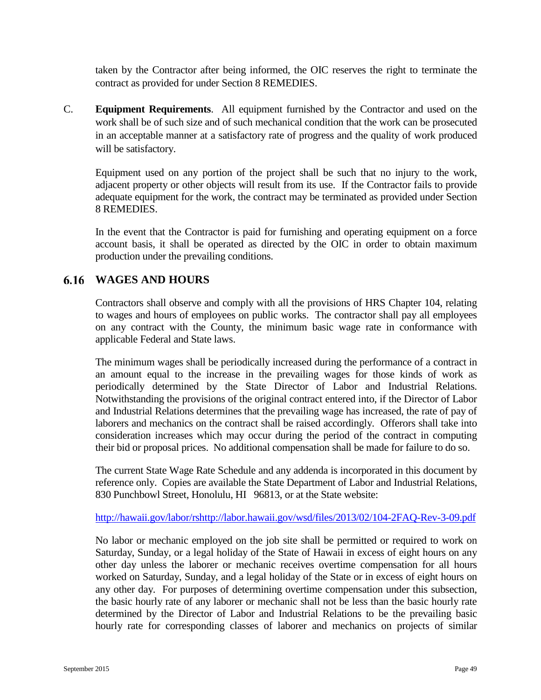taken by the Contractor after being informed, the OIC reserves the right to terminate the contract as provided for under Section 8 REMEDIES.

C. **Equipment Requirements**. All equipment furnished by the Contractor and used on the work shall be of such size and of such mechanical condition that the work can be prosecuted in an acceptable manner at a satisfactory rate of progress and the quality of work produced will be satisfactory.

Equipment used on any portion of the project shall be such that no injury to the work, adjacent property or other objects will result from its use. If the Contractor fails to provide adequate equipment for the work, the contract may be terminated as provided under Section 8 REMEDIES.

In the event that the Contractor is paid for furnishing and operating equipment on a force account basis, it shall be operated as directed by the OIC in order to obtain maximum production under the prevailing conditions.

## **WAGES AND HOURS**

Contractors shall observe and comply with all the provisions of HRS Chapter 104, relating to wages and hours of employees on public works. The contractor shall pay all employees on any contract with the County, the minimum basic wage rate in conformance with applicable Federal and State laws.

The minimum wages shall be periodically increased during the performance of a contract in an amount equal to the increase in the prevailing wages for those kinds of work as periodically determined by the State Director of Labor and Industrial Relations. Notwithstanding the provisions of the original contract entered into, if the Director of Labor and Industrial Relations determines that the prevailing wage has increased, the rate of pay of laborers and mechanics on the contract shall be raised accordingly. Offerors shall take into consideration increases which may occur during the period of the contract in computing their bid or proposal prices. No additional compensation shall be made for failure to do so.

The current State Wage Rate Schedule and any addenda is incorporated in this document by reference only. Copies are available the State Department of Labor and Industrial Relations, 830 Punchbowl Street, Honolulu, HI 96813, or at the State website:

[http://hawaii.gov/labor/rshttp://labor.hawaii.gov/wsd/files/2013/02/104-2FAQ-Rev-3-09.pdf](http://hawaii.gov/labor/rshttp:/labor.hawaii.gov/wsd/files/2013/02/104-2FAQ-Rev-3-09.pdf)

No labor or mechanic employed on the job site shall be permitted or required to work on Saturday, Sunday, or a legal holiday of the State of Hawaii in excess of eight hours on any other day unless the laborer or mechanic receives overtime compensation for all hours worked on Saturday, Sunday, and a legal holiday of the State or in excess of eight hours on any other day. For purposes of determining overtime compensation under this subsection, the basic hourly rate of any laborer or mechanic shall not be less than the basic hourly rate determined by the Director of Labor and Industrial Relations to be the prevailing basic hourly rate for corresponding classes of laborer and mechanics on projects of similar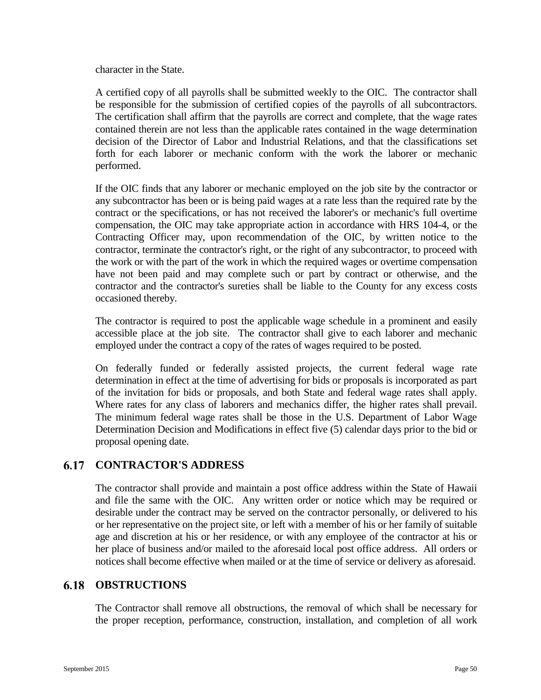character in the State.

A certified copy of all payrolls shall be submitted weekly to the OIC. The contractor shall be responsible for the submission of certified copies of the payrolls of all subcontractors. The certification shall affirm that the payrolls are correct and complete, that the wage rates contained therein are not less than the applicable rates contained in the wage determination decision of the Director of Labor and Industrial Relations, and that the classifications set forth for each laborer or mechanic conform with the work the laborer or mechanic performed.

If the OIC finds that any laborer or mechanic employed on the job site by the contractor or any subcontractor has been or is being paid wages at a rate less than the required rate by the contract or the specifications, or has not received the laborer's or mechanic's full overtime compensation, the OIC may take appropriate action in accordance with HRS 104-4, or the Contracting Officer may, upon recommendation of the OIC, by written notice to the contractor, terminate the contractor's right, or the right of any subcontractor, to proceed with the work or with the part of the work in which the required wages or overtime compensation have not been paid and may complete such or part by contract or otherwise, and the contractor and the contractor's sureties shall be liable to the County for any excess costs occasioned thereby.

The contractor is required to post the applicable wage schedule in a prominent and easily accessible place at the job site. The contractor shall give to each laborer and mechanic employed under the contract a copy of the rates of wages required to be posted.

On federally funded or federally assisted projects, the current federal wage rate determination in effect at the time of advertising for bids or proposals is incorporated as part of the invitation for bids or proposals, and both State and federal wage rates shall apply. Where rates for any class of laborers and mechanics differ, the higher rates shall prevail. The minimum federal wage rates shall be those in the U.S. Department of Labor Wage Determination Decision and Modifications in effect five (5) calendar days prior to the bid or proposal opening date.

## **CONTRACTOR'S ADDRESS**

The contractor shall provide and maintain a post office address within the State of Hawaii and file the same with the OIC. Any written order or notice which may be required or desirable under the contract may be served on the contractor personally, or delivered to his or her representative on the project site, or left with a member of his or her family of suitable age and discretion at his or her residence, or with any employee of the contractor at his or her place of business and/or mailed to the aforesaid local post office address. All orders or notices shall become effective when mailed or at the time of service or delivery as aforesaid.

## **6.18 OBSTRUCTIONS**

The Contractor shall remove all obstructions, the removal of which shall be necessary for the proper reception, performance, construction, installation, and completion of all work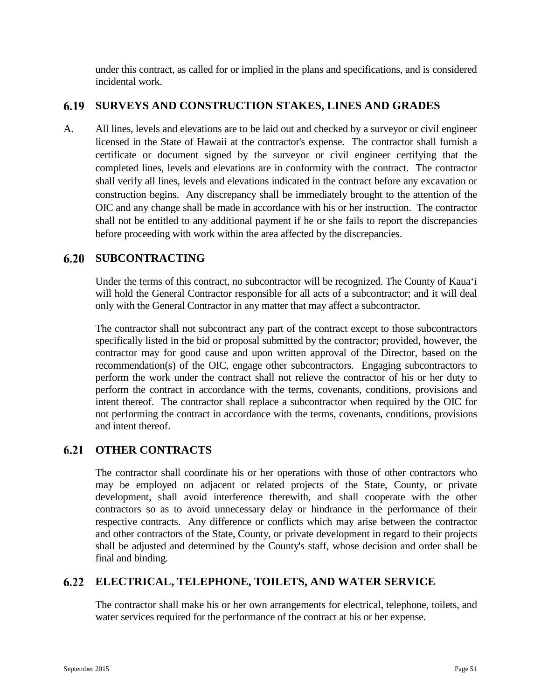under this contract, as called for or implied in the plans and specifications, and is considered incidental work.

# **SURVEYS AND CONSTRUCTION STAKES, LINES AND GRADES**

A. All lines, levels and elevations are to be laid out and checked by a surveyor or civil engineer licensed in the State of Hawaii at the contractor's expense. The contractor shall furnish a certificate or document signed by the surveyor or civil engineer certifying that the completed lines, levels and elevations are in conformity with the contract. The contractor shall verify all lines, levels and elevations indicated in the contract before any excavation or construction begins. Any discrepancy shall be immediately brought to the attention of the OIC and any change shall be made in accordance with his or her instruction. The contractor shall not be entitled to any additional payment if he or she fails to report the discrepancies before proceeding with work within the area affected by the discrepancies.

# **SUBCONTRACTING**

Under the terms of this contract, no subcontractor will be recognized. The County of Kaua'i will hold the General Contractor responsible for all acts of a subcontractor; and it will deal only with the General Contractor in any matter that may affect a subcontractor.

The contractor shall not subcontract any part of the contract except to those subcontractors specifically listed in the bid or proposal submitted by the contractor; provided, however, the contractor may for good cause and upon written approval of the Director, based on the recommendation(s) of the OIC, engage other subcontractors. Engaging subcontractors to perform the work under the contract shall not relieve the contractor of his or her duty to perform the contract in accordance with the terms, covenants, conditions, provisions and intent thereof. The contractor shall replace a subcontractor when required by the OIC for not performing the contract in accordance with the terms, covenants, conditions, provisions and intent thereof.

#### **OTHER CONTRACTS** 6.21

The contractor shall coordinate his or her operations with those of other contractors who may be employed on adjacent or related projects of the State, County, or private development, shall avoid interference therewith, and shall cooperate with the other contractors so as to avoid unnecessary delay or hindrance in the performance of their respective contracts. Any difference or conflicts which may arise between the contractor and other contractors of the State, County, or private development in regard to their projects shall be adjusted and determined by the County's staff, whose decision and order shall be final and binding.

## **ELECTRICAL, TELEPHONE, TOILETS, AND WATER SERVICE**

The contractor shall make his or her own arrangements for electrical, telephone, toilets, and water services required for the performance of the contract at his or her expense.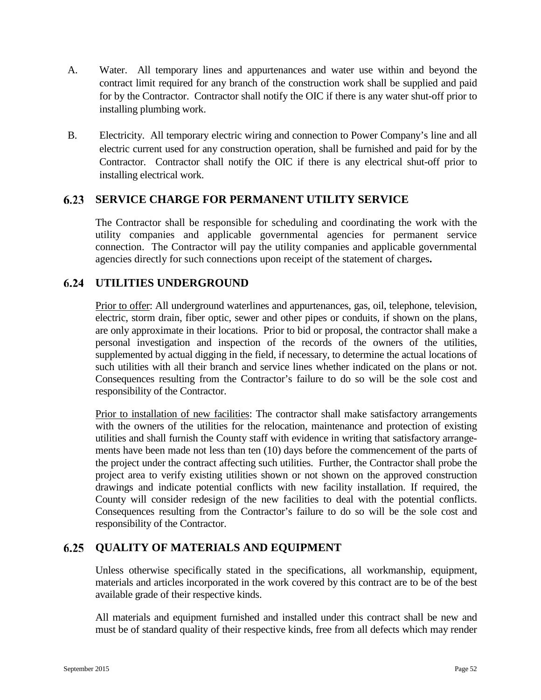- A. Water. All temporary lines and appurtenances and water use within and beyond the contract limit required for any branch of the construction work shall be supplied and paid for by the Contractor. Contractor shall notify the OIC if there is any water shut-off prior to installing plumbing work.
- B. Electricity. All temporary electric wiring and connection to Power Company's line and all electric current used for any construction operation, shall be furnished and paid for by the Contractor. Contractor shall notify the OIC if there is any electrical shut-off prior to installing electrical work.

#### $6.23$ **SERVICE CHARGE FOR PERMANENT UTILITY SERVICE**

The Contractor shall be responsible for scheduling and coordinating the work with the utility companies and applicable governmental agencies for permanent service connection. The Contractor will pay the utility companies and applicable governmental agencies directly for such connections upon receipt of the statement of charges**.**

## **UTILITIES UNDERGROUND**

Prior to offer: All underground waterlines and appurtenances, gas, oil, telephone, television, electric, storm drain, fiber optic, sewer and other pipes or conduits, if shown on the plans, are only approximate in their locations. Prior to bid or proposal, the contractor shall make a personal investigation and inspection of the records of the owners of the utilities, supplemented by actual digging in the field, if necessary, to determine the actual locations of such utilities with all their branch and service lines whether indicated on the plans or not. Consequences resulting from the Contractor's failure to do so will be the sole cost and responsibility of the Contractor.

Prior to installation of new facilities: The contractor shall make satisfactory arrangements with the owners of the utilities for the relocation, maintenance and protection of existing utilities and shall furnish the County staff with evidence in writing that satisfactory arrangements have been made not less than ten (10) days before the commencement of the parts of the project under the contract affecting such utilities. Further, the Contractor shall probe the project area to verify existing utilities shown or not shown on the approved construction drawings and indicate potential conflicts with new facility installation. If required, the County will consider redesign of the new facilities to deal with the potential conflicts. Consequences resulting from the Contractor's failure to do so will be the sole cost and responsibility of the Contractor.

#### $6.25$ **QUALITY OF MATERIALS AND EQUIPMENT**

Unless otherwise specifically stated in the specifications, all workmanship, equipment, materials and articles incorporated in the work covered by this contract are to be of the best available grade of their respective kinds.

All materials and equipment furnished and installed under this contract shall be new and must be of standard quality of their respective kinds, free from all defects which may render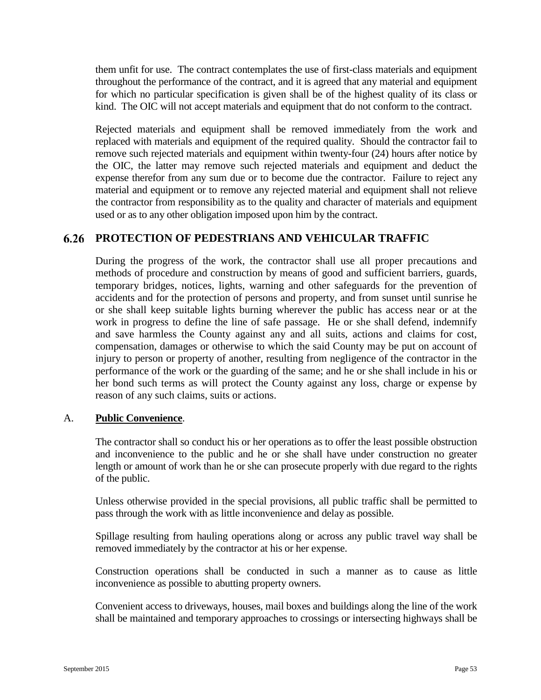them unfit for use. The contract contemplates the use of first-class materials and equipment throughout the performance of the contract, and it is agreed that any material and equipment for which no particular specification is given shall be of the highest quality of its class or kind. The OIC will not accept materials and equipment that do not conform to the contract.

Rejected materials and equipment shall be removed immediately from the work and replaced with materials and equipment of the required quality. Should the contractor fail to remove such rejected materials and equipment within twenty-four (24) hours after notice by the OIC, the latter may remove such rejected materials and equipment and deduct the expense therefor from any sum due or to become due the contractor. Failure to reject any material and equipment or to remove any rejected material and equipment shall not relieve the contractor from responsibility as to the quality and character of materials and equipment used or as to any other obligation imposed upon him by the contract.

# **PROTECTION OF PEDESTRIANS AND VEHICULAR TRAFFIC**

During the progress of the work, the contractor shall use all proper precautions and methods of procedure and construction by means of good and sufficient barriers, guards, temporary bridges, notices, lights, warning and other safeguards for the prevention of accidents and for the protection of persons and property, and from sunset until sunrise he or she shall keep suitable lights burning wherever the public has access near or at the work in progress to define the line of safe passage. He or she shall defend, indemnify and save harmless the County against any and all suits, actions and claims for cost, compensation, damages or otherwise to which the said County may be put on account of injury to person or property of another, resulting from negligence of the contractor in the performance of the work or the guarding of the same; and he or she shall include in his or her bond such terms as will protect the County against any loss, charge or expense by reason of any such claims, suits or actions.

### A. **Public Convenience**.

The contractor shall so conduct his or her operations as to offer the least possible obstruction and inconvenience to the public and he or she shall have under construction no greater length or amount of work than he or she can prosecute properly with due regard to the rights of the public.

Unless otherwise provided in the special provisions, all public traffic shall be permitted to pass through the work with as little inconvenience and delay as possible.

Spillage resulting from hauling operations along or across any public travel way shall be removed immediately by the contractor at his or her expense.

Construction operations shall be conducted in such a manner as to cause as little inconvenience as possible to abutting property owners.

Convenient access to driveways, houses, mail boxes and buildings along the line of the work shall be maintained and temporary approaches to crossings or intersecting highways shall be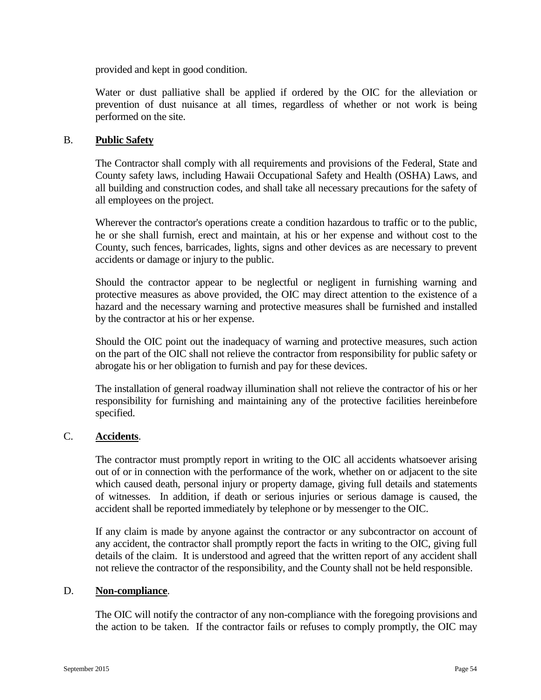provided and kept in good condition.

Water or dust palliative shall be applied if ordered by the OIC for the alleviation or prevention of dust nuisance at all times, regardless of whether or not work is being performed on the site.

### B. **Public Safety**

The Contractor shall comply with all requirements and provisions of the Federal, State and County safety laws, including Hawaii Occupational Safety and Health (OSHA) Laws, and all building and construction codes, and shall take all necessary precautions for the safety of all employees on the project.

Wherever the contractor's operations create a condition hazardous to traffic or to the public, he or she shall furnish, erect and maintain, at his or her expense and without cost to the County, such fences, barricades, lights, signs and other devices as are necessary to prevent accidents or damage or injury to the public.

Should the contractor appear to be neglectful or negligent in furnishing warning and protective measures as above provided, the OIC may direct attention to the existence of a hazard and the necessary warning and protective measures shall be furnished and installed by the contractor at his or her expense.

Should the OIC point out the inadequacy of warning and protective measures, such action on the part of the OIC shall not relieve the contractor from responsibility for public safety or abrogate his or her obligation to furnish and pay for these devices.

The installation of general roadway illumination shall not relieve the contractor of his or her responsibility for furnishing and maintaining any of the protective facilities hereinbefore specified.

## C. **Accidents**.

The contractor must promptly report in writing to the OIC all accidents whatsoever arising out of or in connection with the performance of the work, whether on or adjacent to the site which caused death, personal injury or property damage, giving full details and statements of witnesses. In addition, if death or serious injuries or serious damage is caused, the accident shall be reported immediately by telephone or by messenger to the OIC.

If any claim is made by anyone against the contractor or any subcontractor on account of any accident, the contractor shall promptly report the facts in writing to the OIC, giving full details of the claim. It is understood and agreed that the written report of any accident shall not relieve the contractor of the responsibility, and the County shall not be held responsible.

### D. **Non-compliance**.

The OIC will notify the contractor of any non-compliance with the foregoing provisions and the action to be taken. If the contractor fails or refuses to comply promptly, the OIC may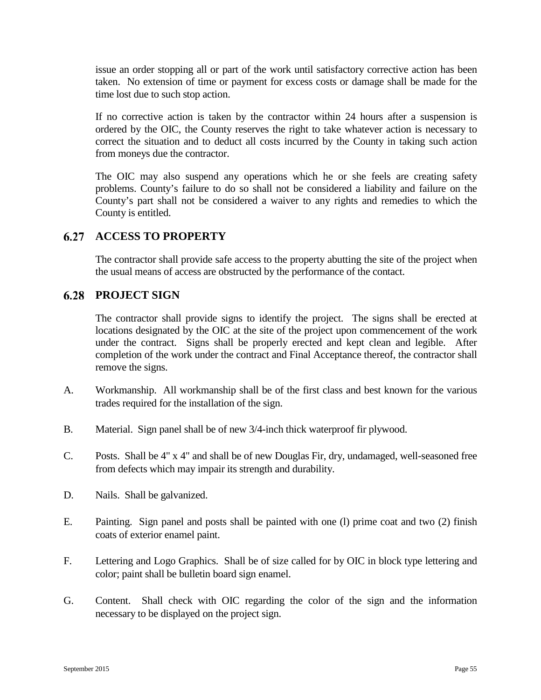issue an order stopping all or part of the work until satisfactory corrective action has been taken. No extension of time or payment for excess costs or damage shall be made for the time lost due to such stop action.

If no corrective action is taken by the contractor within 24 hours after a suspension is ordered by the OIC, the County reserves the right to take whatever action is necessary to correct the situation and to deduct all costs incurred by the County in taking such action from moneys due the contractor.

The OIC may also suspend any operations which he or she feels are creating safety problems. County's failure to do so shall not be considered a liability and failure on the County's part shall not be considered a waiver to any rights and remedies to which the County is entitled.

#### $6.27$ **ACCESS TO PROPERTY**

The contractor shall provide safe access to the property abutting the site of the project when the usual means of access are obstructed by the performance of the contact.

## **6.28 PROJECT SIGN**

The contractor shall provide signs to identify the project. The signs shall be erected at locations designated by the OIC at the site of the project upon commencement of the work under the contract. Signs shall be properly erected and kept clean and legible. After completion of the work under the contract and Final Acceptance thereof, the contractor shall remove the signs.

- A. Workmanship. All workmanship shall be of the first class and best known for the various trades required for the installation of the sign.
- B. Material. Sign panel shall be of new 3/4-inch thick waterproof fir plywood.
- C. Posts. Shall be 4" x 4" and shall be of new Douglas Fir, dry, undamaged, well-seasoned free from defects which may impair its strength and durability.
- D. Nails. Shall be galvanized.
- E. Painting. Sign panel and posts shall be painted with one (l) prime coat and two (2) finish coats of exterior enamel paint.
- F. Lettering and Logo Graphics. Shall be of size called for by OIC in block type lettering and color; paint shall be bulletin board sign enamel.
- G. Content. Shall check with OIC regarding the color of the sign and the information necessary to be displayed on the project sign.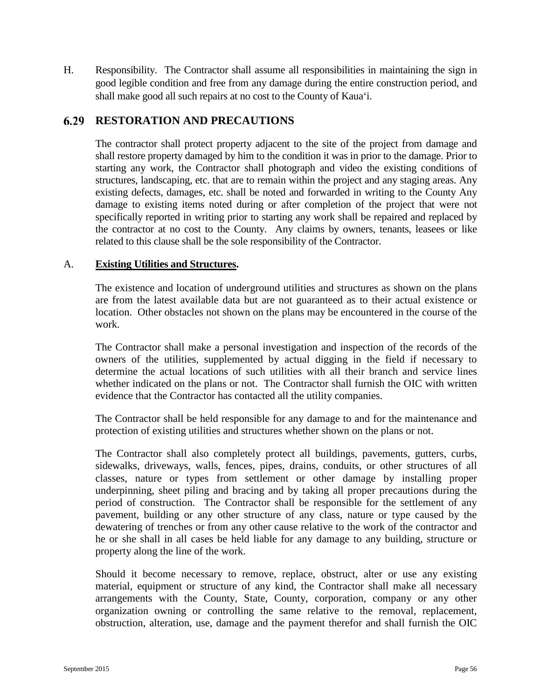H. Responsibility. The Contractor shall assume all responsibilities in maintaining the sign in good legible condition and free from any damage during the entire construction period, and shall make good all such repairs at no cost to the County of Kaua'i.

# **RESTORATION AND PRECAUTIONS**

The contractor shall protect property adjacent to the site of the project from damage and shall restore property damaged by him to the condition it was in prior to the damage. Prior to starting any work, the Contractor shall photograph and video the existing conditions of structures, landscaping, etc. that are to remain within the project and any staging areas. Any existing defects, damages, etc. shall be noted and forwarded in writing to the County Any damage to existing items noted during or after completion of the project that were not specifically reported in writing prior to starting any work shall be repaired and replaced by the contractor at no cost to the County. Any claims by owners, tenants, leasees or like related to this clause shall be the sole responsibility of the Contractor.

### A. **Existing Utilities and Structures.**

The existence and location of underground utilities and structures as shown on the plans are from the latest available data but are not guaranteed as to their actual existence or location. Other obstacles not shown on the plans may be encountered in the course of the work.

The Contractor shall make a personal investigation and inspection of the records of the owners of the utilities, supplemented by actual digging in the field if necessary to determine the actual locations of such utilities with all their branch and service lines whether indicated on the plans or not. The Contractor shall furnish the OIC with written evidence that the Contractor has contacted all the utility companies.

The Contractor shall be held responsible for any damage to and for the maintenance and protection of existing utilities and structures whether shown on the plans or not.

The Contractor shall also completely protect all buildings, pavements, gutters, curbs, sidewalks, driveways, walls, fences, pipes, drains, conduits, or other structures of all classes, nature or types from settlement or other damage by installing proper underpinning, sheet piling and bracing and by taking all proper precautions during the period of construction. The Contractor shall be responsible for the settlement of any pavement, building or any other structure of any class, nature or type caused by the dewatering of trenches or from any other cause relative to the work of the contractor and he or she shall in all cases be held liable for any damage to any building, structure or property along the line of the work.

Should it become necessary to remove, replace, obstruct, alter or use any existing material, equipment or structure of any kind, the Contractor shall make all necessary arrangements with the County, State, County, corporation, company or any other organization owning or controlling the same relative to the removal, replacement, obstruction, alteration, use, damage and the payment therefor and shall furnish the OIC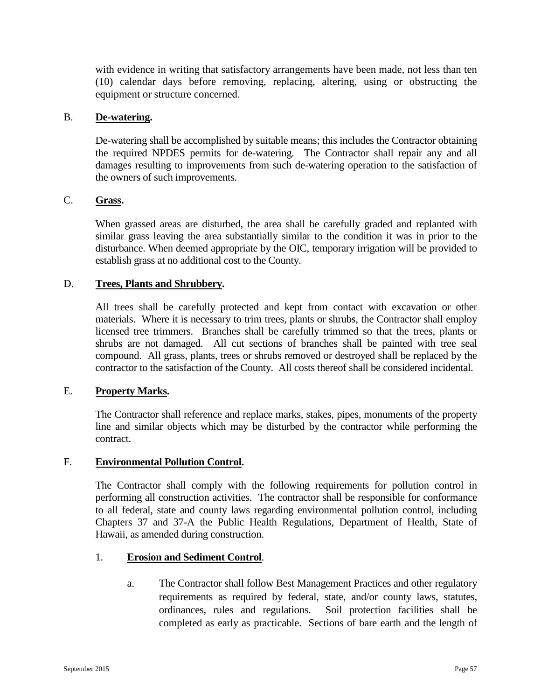with evidence in writing that satisfactory arrangements have been made, not less than ten (10) calendar days before removing, replacing, altering, using or obstructing the equipment or structure concerned.

#### B. **De-watering.**

De-watering shall be accomplished by suitable means; this includes the Contractor obtaining the required NPDES permits for de-watering. The Contractor shall repair any and all damages resulting to improvements from such de-watering operation to the satisfaction of the owners of such improvements.

### C. **Grass.**

When grassed areas are disturbed, the area shall be carefully graded and replanted with similar grass leaving the area substantially similar to the condition it was in prior to the disturbance. When deemed appropriate by the OIC, temporary irrigation will be provided to establish grass at no additional cost to the County.

#### D. **Trees, Plants and Shrubbery.**

All trees shall be carefully protected and kept from contact with excavation or other materials. Where it is necessary to trim trees, plants or shrubs, the Contractor shall employ licensed tree trimmers. Branches shall be carefully trimmed so that the trees, plants or shrubs are not damaged. All cut sections of branches shall be painted with tree seal compound. All grass, plants, trees or shrubs removed or destroyed shall be replaced by the contractor to the satisfaction of the County. All costs thereof shall be considered incidental.

#### E. **Property Marks.**

The Contractor shall reference and replace marks, stakes, pipes, monuments of the property line and similar objects which may be disturbed by the contractor while performing the contract.

#### F. **Environmental Pollution Control.**

The Contractor shall comply with the following requirements for pollution control in performing all construction activities. The contractor shall be responsible for conformance to all federal, state and county laws regarding environmental pollution control, including Chapters 37 and 37-A the Public Health Regulations, Department of Health, State of Hawaii, as amended during construction.

#### 1. **Erosion and Sediment Control**.

a. The Contractor shall follow Best Management Practices and other regulatory requirements as required by federal, state, and/or county laws, statutes, ordinances, rules and regulations. Soil protection facilities shall be completed as early as practicable. Sections of bare earth and the length of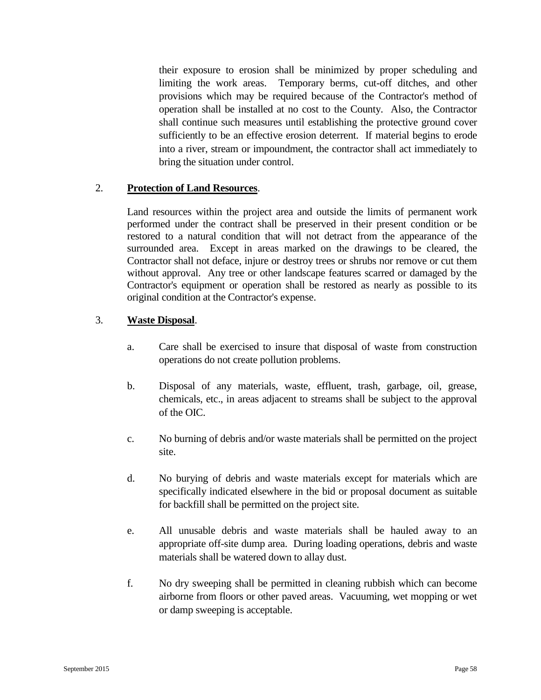their exposure to erosion shall be minimized by proper scheduling and limiting the work areas. Temporary berms, cut-off ditches, and other provisions which may be required because of the Contractor's method of operation shall be installed at no cost to the County. Also, the Contractor shall continue such measures until establishing the protective ground cover sufficiently to be an effective erosion deterrent. If material begins to erode into a river, stream or impoundment, the contractor shall act immediately to bring the situation under control.

### 2. **Protection of Land Resources**.

Land resources within the project area and outside the limits of permanent work performed under the contract shall be preserved in their present condition or be restored to a natural condition that will not detract from the appearance of the surrounded area. Except in areas marked on the drawings to be cleared, the Contractor shall not deface, injure or destroy trees or shrubs nor remove or cut them without approval. Any tree or other landscape features scarred or damaged by the Contractor's equipment or operation shall be restored as nearly as possible to its original condition at the Contractor's expense.

### 3. **Waste Disposal**.

- a. Care shall be exercised to insure that disposal of waste from construction operations do not create pollution problems.
- b. Disposal of any materials, waste, effluent, trash, garbage, oil, grease, chemicals, etc., in areas adjacent to streams shall be subject to the approval of the OIC.
- c. No burning of debris and/or waste materials shall be permitted on the project site.
- d. No burying of debris and waste materials except for materials which are specifically indicated elsewhere in the bid or proposal document as suitable for backfill shall be permitted on the project site.
- e. All unusable debris and waste materials shall be hauled away to an appropriate off-site dump area. During loading operations, debris and waste materials shall be watered down to allay dust.
- f. No dry sweeping shall be permitted in cleaning rubbish which can become airborne from floors or other paved areas. Vacuuming, wet mopping or wet or damp sweeping is acceptable.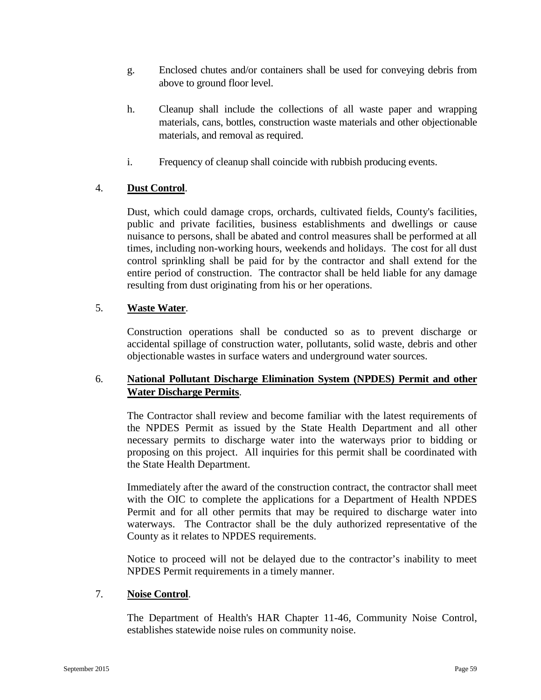- g. Enclosed chutes and/or containers shall be used for conveying debris from above to ground floor level.
- h. Cleanup shall include the collections of all waste paper and wrapping materials, cans, bottles, construction waste materials and other objectionable materials, and removal as required.
- i. Frequency of cleanup shall coincide with rubbish producing events.

# 4. **Dust Control**.

Dust, which could damage crops, orchards, cultivated fields, County's facilities, public and private facilities, business establishments and dwellings or cause nuisance to persons, shall be abated and control measures shall be performed at all times, including non-working hours, weekends and holidays. The cost for all dust control sprinkling shall be paid for by the contractor and shall extend for the entire period of construction. The contractor shall be held liable for any damage resulting from dust originating from his or her operations.

## 5. **Waste Water**.

Construction operations shall be conducted so as to prevent discharge or accidental spillage of construction water, pollutants, solid waste, debris and other objectionable wastes in surface waters and underground water sources.

## 6. **National Pollutant Discharge Elimination System (NPDES) Permit and other Water Discharge Permits**.

The Contractor shall review and become familiar with the latest requirements of the NPDES Permit as issued by the State Health Department and all other necessary permits to discharge water into the waterways prior to bidding or proposing on this project. All inquiries for this permit shall be coordinated with the State Health Department.

Immediately after the award of the construction contract, the contractor shall meet with the OIC to complete the applications for a Department of Health NPDES Permit and for all other permits that may be required to discharge water into waterways. The Contractor shall be the duly authorized representative of the County as it relates to NPDES requirements.

Notice to proceed will not be delayed due to the contractor's inability to meet NPDES Permit requirements in a timely manner.

## 7. **Noise Control**.

The Department of Health's HAR Chapter 11-46, Community Noise Control, establishes statewide noise rules on community noise.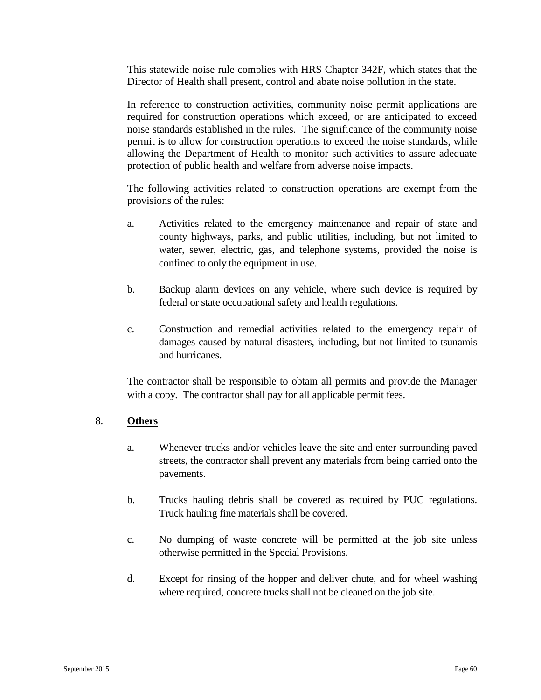This statewide noise rule complies with HRS Chapter 342F, which states that the Director of Health shall present, control and abate noise pollution in the state.

In reference to construction activities, community noise permit applications are required for construction operations which exceed, or are anticipated to exceed noise standards established in the rules. The significance of the community noise permit is to allow for construction operations to exceed the noise standards, while allowing the Department of Health to monitor such activities to assure adequate protection of public health and welfare from adverse noise impacts.

The following activities related to construction operations are exempt from the provisions of the rules:

- a. Activities related to the emergency maintenance and repair of state and county highways, parks, and public utilities, including, but not limited to water, sewer, electric, gas, and telephone systems, provided the noise is confined to only the equipment in use.
- b. Backup alarm devices on any vehicle, where such device is required by federal or state occupational safety and health regulations.
- c. Construction and remedial activities related to the emergency repair of damages caused by natural disasters, including, but not limited to tsunamis and hurricanes.

The contractor shall be responsible to obtain all permits and provide the Manager with a copy. The contractor shall pay for all applicable permit fees.

## 8. **Others**

- a. Whenever trucks and/or vehicles leave the site and enter surrounding paved streets, the contractor shall prevent any materials from being carried onto the pavements.
- b. Trucks hauling debris shall be covered as required by PUC regulations. Truck hauling fine materials shall be covered.
- c. No dumping of waste concrete will be permitted at the job site unless otherwise permitted in the Special Provisions.
- d. Except for rinsing of the hopper and deliver chute, and for wheel washing where required, concrete trucks shall not be cleaned on the job site.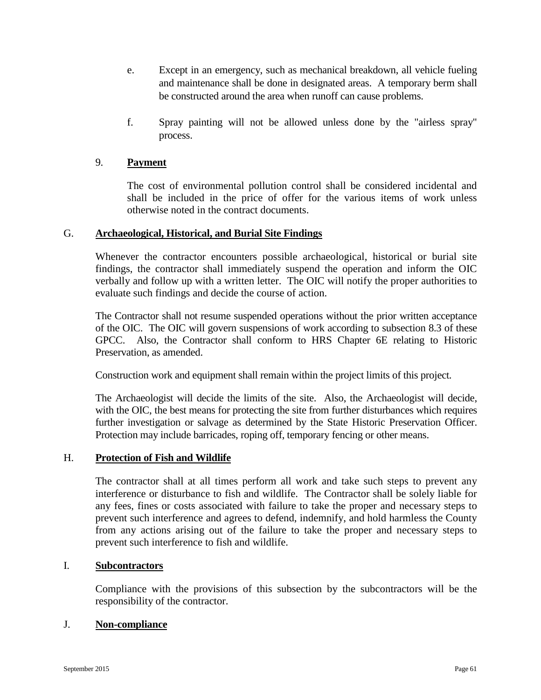- e. Except in an emergency, such as mechanical breakdown, all vehicle fueling and maintenance shall be done in designated areas. A temporary berm shall be constructed around the area when runoff can cause problems.
- f. Spray painting will not be allowed unless done by the "airless spray" process.

### 9. **Payment**

The cost of environmental pollution control shall be considered incidental and shall be included in the price of offer for the various items of work unless otherwise noted in the contract documents.

### G. **Archaeological, Historical, and Burial Site Findings**

Whenever the contractor encounters possible archaeological, historical or burial site findings, the contractor shall immediately suspend the operation and inform the OIC verbally and follow up with a written letter. The OIC will notify the proper authorities to evaluate such findings and decide the course of action.

The Contractor shall not resume suspended operations without the prior written acceptance of the OIC. The OIC will govern suspensions of work according to subsection 8.3 of these GPCC. Also, the Contractor shall conform to HRS Chapter 6E relating to Historic Preservation, as amended.

Construction work and equipment shall remain within the project limits of this project.

The Archaeologist will decide the limits of the site. Also, the Archaeologist will decide, with the OIC, the best means for protecting the site from further disturbances which requires further investigation or salvage as determined by the State Historic Preservation Officer. Protection may include barricades, roping off, temporary fencing or other means.

### H. **Protection of Fish and Wildlife**

The contractor shall at all times perform all work and take such steps to prevent any interference or disturbance to fish and wildlife. The Contractor shall be solely liable for any fees, fines or costs associated with failure to take the proper and necessary steps to prevent such interference and agrees to defend, indemnify, and hold harmless the County from any actions arising out of the failure to take the proper and necessary steps to prevent such interference to fish and wildlife.

#### I. **Subcontractors**

Compliance with the provisions of this subsection by the subcontractors will be the responsibility of the contractor.

### J. **Non-compliance**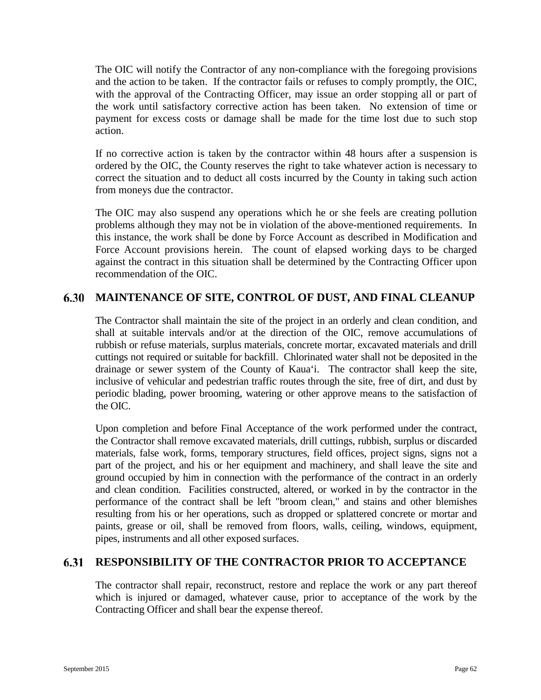The OIC will notify the Contractor of any non-compliance with the foregoing provisions and the action to be taken. If the contractor fails or refuses to comply promptly, the OIC, with the approval of the Contracting Officer, may issue an order stopping all or part of the work until satisfactory corrective action has been taken. No extension of time or payment for excess costs or damage shall be made for the time lost due to such stop action.

If no corrective action is taken by the contractor within 48 hours after a suspension is ordered by the OIC, the County reserves the right to take whatever action is necessary to correct the situation and to deduct all costs incurred by the County in taking such action from moneys due the contractor.

The OIC may also suspend any operations which he or she feels are creating pollution problems although they may not be in violation of the above-mentioned requirements. In this instance, the work shall be done by Force Account as described in Modification and Force Account provisions herein. The count of elapsed working days to be charged against the contract in this situation shall be determined by the Contracting Officer upon recommendation of the OIC.

# **MAINTENANCE OF SITE, CONTROL OF DUST, AND FINAL CLEANUP**

The Contractor shall maintain the site of the project in an orderly and clean condition, and shall at suitable intervals and/or at the direction of the OIC, remove accumulations of rubbish or refuse materials, surplus materials, concrete mortar, excavated materials and drill cuttings not required or suitable for backfill. Chlorinated water shall not be deposited in the drainage or sewer system of the County of Kaua'i. The contractor shall keep the site, inclusive of vehicular and pedestrian traffic routes through the site, free of dirt, and dust by periodic blading, power brooming, watering or other approve means to the satisfaction of the OIC.

Upon completion and before Final Acceptance of the work performed under the contract, the Contractor shall remove excavated materials, drill cuttings, rubbish, surplus or discarded materials, false work, forms, temporary structures, field offices, project signs, signs not a part of the project, and his or her equipment and machinery, and shall leave the site and ground occupied by him in connection with the performance of the contract in an orderly and clean condition. Facilities constructed, altered, or worked in by the contractor in the performance of the contract shall be left "broom clean," and stains and other blemishes resulting from his or her operations, such as dropped or splattered concrete or mortar and paints, grease or oil, shall be removed from floors, walls, ceiling, windows, equipment, pipes, instruments and all other exposed surfaces.

#### 6.31 **RESPONSIBILITY OF THE CONTRACTOR PRIOR TO ACCEPTANCE**

The contractor shall repair, reconstruct, restore and replace the work or any part thereof which is injured or damaged, whatever cause, prior to acceptance of the work by the Contracting Officer and shall bear the expense thereof.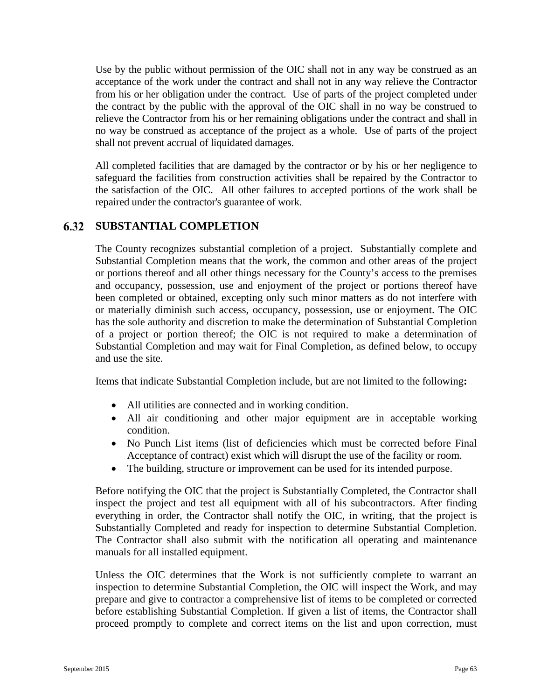Use by the public without permission of the OIC shall not in any way be construed as an acceptance of the work under the contract and shall not in any way relieve the Contractor from his or her obligation under the contract. Use of parts of the project completed under the contract by the public with the approval of the OIC shall in no way be construed to relieve the Contractor from his or her remaining obligations under the contract and shall in no way be construed as acceptance of the project as a whole. Use of parts of the project shall not prevent accrual of liquidated damages.

All completed facilities that are damaged by the contractor or by his or her negligence to safeguard the facilities from construction activities shall be repaired by the Contractor to the satisfaction of the OIC. All other failures to accepted portions of the work shall be repaired under the contractor's guarantee of work.

#### 6.32 **SUBSTANTIAL COMPLETION**

The County recognizes substantial completion of a project. Substantially complete and Substantial Completion means that the work, the common and other areas of the project or portions thereof and all other things necessary for the County's access to the premises and occupancy, possession, use and enjoyment of the project or portions thereof have been completed or obtained, excepting only such minor matters as do not interfere with or materially diminish such access, occupancy, possession, use or enjoyment. The OIC has the sole authority and discretion to make the determination of Substantial Completion of a project or portion thereof; the OIC is not required to make a determination of Substantial Completion and may wait for Final Completion, as defined below, to occupy and use the site.

Items that indicate Substantial Completion include, but are not limited to the following**:**

- All utilities are connected and in working condition.
- All air conditioning and other major equipment are in acceptable working condition.
- No Punch List items (list of deficiencies which must be corrected before Final Acceptance of contract) exist which will disrupt the use of the facility or room.
- The building, structure or improvement can be used for its intended purpose.

Before notifying the OIC that the project is Substantially Completed, the Contractor shall inspect the project and test all equipment with all of his subcontractors. After finding everything in order, the Contractor shall notify the OIC, in writing, that the project is Substantially Completed and ready for inspection to determine Substantial Completion. The Contractor shall also submit with the notification all operating and maintenance manuals for all installed equipment.

Unless the OIC determines that the Work is not sufficiently complete to warrant an inspection to determine Substantial Completion, the OIC will inspect the Work, and may prepare and give to contractor a comprehensive list of items to be completed or corrected before establishing Substantial Completion. If given a list of items, the Contractor shall proceed promptly to complete and correct items on the list and upon correction, must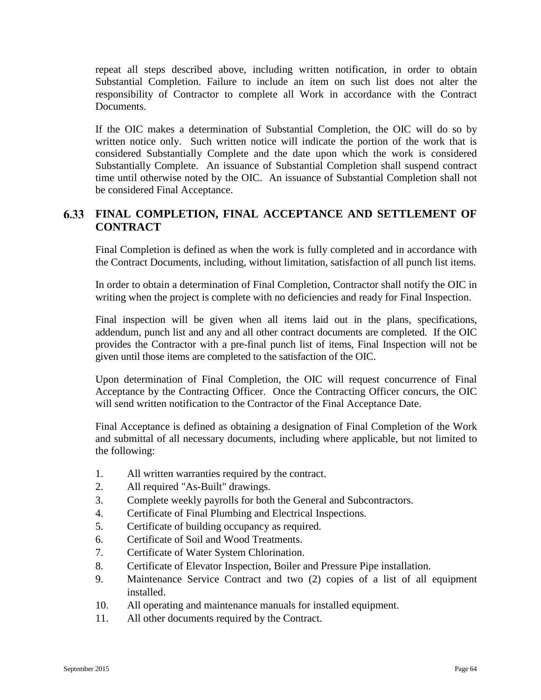repeat all steps described above, including written notification, in order to obtain Substantial Completion. Failure to include an item on such list does not alter the responsibility of Contractor to complete all Work in accordance with the Contract Documents.

If the OIC makes a determination of Substantial Completion, the OIC will do so by written notice only. Such written notice will indicate the portion of the work that is considered Substantially Complete and the date upon which the work is considered Substantially Complete. An issuance of Substantial Completion shall suspend contract time until otherwise noted by the OIC. An issuance of Substantial Completion shall not be considered Final Acceptance.

# **FINAL COMPLETION, FINAL ACCEPTANCE AND SETTLEMENT OF CONTRACT**

Final Completion is defined as when the work is fully completed and in accordance with the Contract Documents, including, without limitation, satisfaction of all punch list items.

In order to obtain a determination of Final Completion, Contractor shall notify the OIC in writing when the project is complete with no deficiencies and ready for Final Inspection.

Final inspection will be given when all items laid out in the plans, specifications, addendum, punch list and any and all other contract documents are completed. If the OIC provides the Contractor with a pre-final punch list of items, Final Inspection will not be given until those items are completed to the satisfaction of the OIC.

Upon determination of Final Completion, the OIC will request concurrence of Final Acceptance by the Contracting Officer. Once the Contracting Officer concurs, the OIC will send written notification to the Contractor of the Final Acceptance Date.

Final Acceptance is defined as obtaining a designation of Final Completion of the Work and submittal of all necessary documents, including where applicable, but not limited to the following:

- 1. All written warranties required by the contract.
- 2. All required "As-Built" drawings.
- 3. Complete weekly payrolls for both the General and Subcontractors.
- 4. Certificate of Final Plumbing and Electrical Inspections.
- 5. Certificate of building occupancy as required.
- 6. Certificate of Soil and Wood Treatments.
- 7. Certificate of Water System Chlorination.
- 8. Certificate of Elevator Inspection, Boiler and Pressure Pipe installation.
- 9. Maintenance Service Contract and two (2) copies of a list of all equipment installed.
- 10. All operating and maintenance manuals for installed equipment.
- 11. All other documents required by the Contract.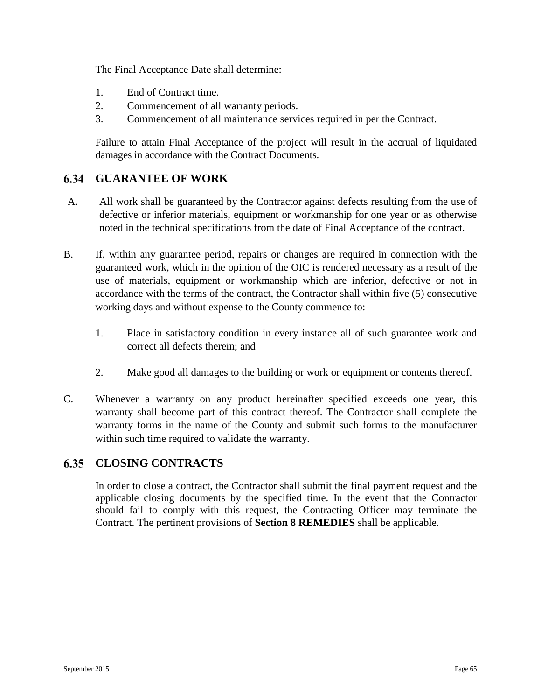The Final Acceptance Date shall determine:

- 1. End of Contract time.
- 2. Commencement of all warranty periods.
- 3. Commencement of all maintenance services required in per the Contract.

Failure to attain Final Acceptance of the project will result in the accrual of liquidated damages in accordance with the Contract Documents.

#### 6.34 **GUARANTEE OF WORK**

- A. All work shall be guaranteed by the Contractor against defects resulting from the use of defective or inferior materials, equipment or workmanship for one year or as otherwise noted in the technical specifications from the date of Final Acceptance of the contract.
- B. If, within any guarantee period, repairs or changes are required in connection with the guaranteed work, which in the opinion of the OIC is rendered necessary as a result of the use of materials, equipment or workmanship which are inferior, defective or not in accordance with the terms of the contract, the Contractor shall within five (5) consecutive working days and without expense to the County commence to:
	- 1. Place in satisfactory condition in every instance all of such guarantee work and correct all defects therein; and
	- 2. Make good all damages to the building or work or equipment or contents thereof.
- C. Whenever a warranty on any product hereinafter specified exceeds one year, this warranty shall become part of this contract thereof. The Contractor shall complete the warranty forms in the name of the County and submit such forms to the manufacturer within such time required to validate the warranty.

# **CLOSING CONTRACTS**

In order to close a contract, the Contractor shall submit the final payment request and the applicable closing documents by the specified time. In the event that the Contractor should fail to comply with this request, the Contracting Officer may terminate the Contract. The pertinent provisions of **Section 8 REMEDIES** shall be applicable.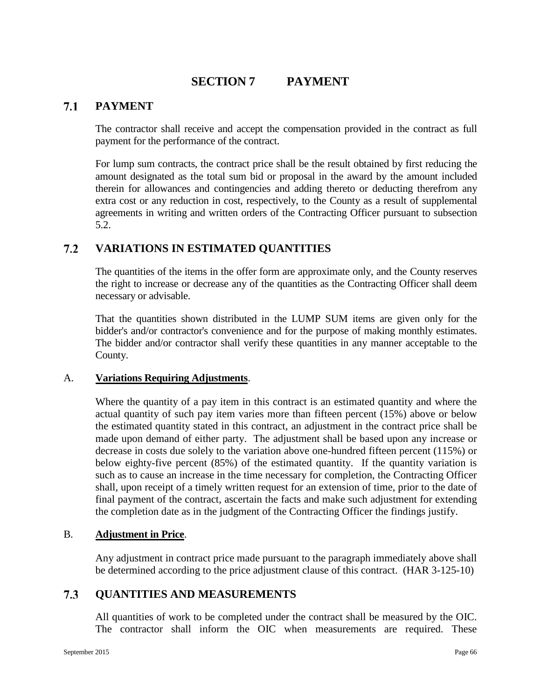# **SECTION 7 PAYMENT**

#### $7.1$ **PAYMENT**

The contractor shall receive and accept the compensation provided in the contract as full payment for the performance of the contract.

For lump sum contracts, the contract price shall be the result obtained by first reducing the amount designated as the total sum bid or proposal in the award by the amount included therein for allowances and contingencies and adding thereto or deducting therefrom any extra cost or any reduction in cost, respectively, to the County as a result of supplemental agreements in writing and written orders of the Contracting Officer pursuant to subsection 5.2.

#### $7.2$ **VARIATIONS IN ESTIMATED QUANTITIES**

The quantities of the items in the offer form are approximate only, and the County reserves the right to increase or decrease any of the quantities as the Contracting Officer shall deem necessary or advisable.

That the quantities shown distributed in the LUMP SUM items are given only for the bidder's and/or contractor's convenience and for the purpose of making monthly estimates. The bidder and/or contractor shall verify these quantities in any manner acceptable to the County.

### A. **Variations Requiring Adjustments**.

Where the quantity of a pay item in this contract is an estimated quantity and where the actual quantity of such pay item varies more than fifteen percent (15%) above or below the estimated quantity stated in this contract, an adjustment in the contract price shall be made upon demand of either party. The adjustment shall be based upon any increase or decrease in costs due solely to the variation above one-hundred fifteen percent (115%) or below eighty-five percent (85%) of the estimated quantity. If the quantity variation is such as to cause an increase in the time necessary for completion, the Contracting Officer shall, upon receipt of a timely written request for an extension of time, prior to the date of final payment of the contract, ascertain the facts and make such adjustment for extending the completion date as in the judgment of the Contracting Officer the findings justify.

### B. **Adjustment in Price**.

Any adjustment in contract price made pursuant to the paragraph immediately above shall be determined according to the price adjustment clause of this contract. (HAR 3-125-10)

#### 7.3 **QUANTITIES AND MEASUREMENTS**

All quantities of work to be completed under the contract shall be measured by the OIC. The contractor shall inform the OIC when measurements are required. These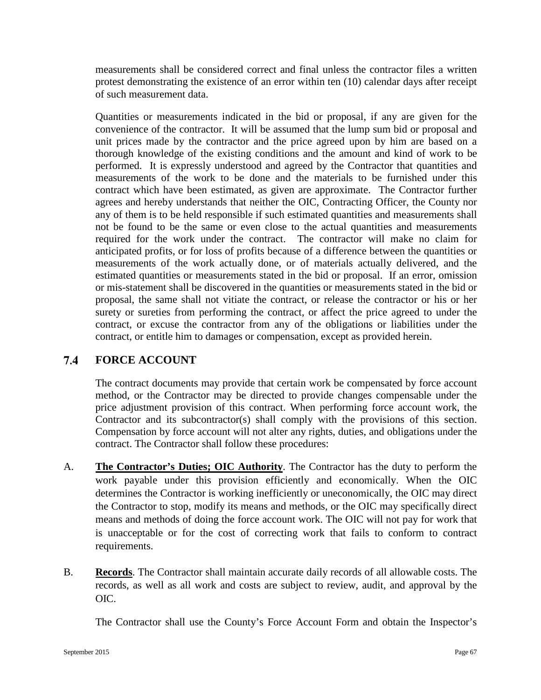measurements shall be considered correct and final unless the contractor files a written protest demonstrating the existence of an error within ten (10) calendar days after receipt of such measurement data.

Quantities or measurements indicated in the bid or proposal, if any are given for the convenience of the contractor. It will be assumed that the lump sum bid or proposal and unit prices made by the contractor and the price agreed upon by him are based on a thorough knowledge of the existing conditions and the amount and kind of work to be performed. It is expressly understood and agreed by the Contractor that quantities and measurements of the work to be done and the materials to be furnished under this contract which have been estimated, as given are approximate. The Contractor further agrees and hereby understands that neither the OIC, Contracting Officer, the County nor any of them is to be held responsible if such estimated quantities and measurements shall not be found to be the same or even close to the actual quantities and measurements required for the work under the contract. The contractor will make no claim for anticipated profits, or for loss of profits because of a difference between the quantities or measurements of the work actually done, or of materials actually delivered, and the estimated quantities or measurements stated in the bid or proposal. If an error, omission or mis-statement shall be discovered in the quantities or measurements stated in the bid or proposal, the same shall not vitiate the contract, or release the contractor or his or her surety or sureties from performing the contract, or affect the price agreed to under the contract, or excuse the contractor from any of the obligations or liabilities under the contract, or entitle him to damages or compensation, except as provided herein.

#### $7.4$ **FORCE ACCOUNT**

The contract documents may provide that certain work be compensated by force account method, or the Contractor may be directed to provide changes compensable under the price adjustment provision of this contract. When performing force account work, the Contractor and its subcontractor(s) shall comply with the provisions of this section. Compensation by force account will not alter any rights, duties, and obligations under the contract. The Contractor shall follow these procedures:

- A. **The Contractor's Duties; OIC Authority**. The Contractor has the duty to perform the work payable under this provision efficiently and economically. When the OIC determines the Contractor is working inefficiently or uneconomically, the OIC may direct the Contractor to stop, modify its means and methods, or the OIC may specifically direct means and methods of doing the force account work. The OIC will not pay for work that is unacceptable or for the cost of correcting work that fails to conform to contract requirements.
- B. **Records**. The Contractor shall maintain accurate daily records of all allowable costs. The records, as well as all work and costs are subject to review, audit, and approval by the OIC.

The Contractor shall use the County's Force Account Form and obtain the Inspector's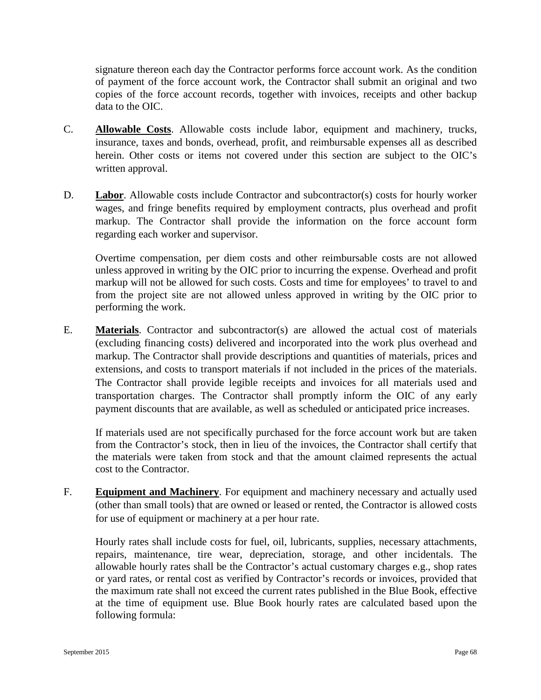signature thereon each day the Contractor performs force account work. As the condition of payment of the force account work, the Contractor shall submit an original and two copies of the force account records, together with invoices, receipts and other backup data to the OIC.

- C. **Allowable Costs**. Allowable costs include labor, equipment and machinery, trucks, insurance, taxes and bonds, overhead, profit, and reimbursable expenses all as described herein. Other costs or items not covered under this section are subject to the OIC's written approval.
- D. **Labor**. Allowable costs include Contractor and subcontractor(s) costs for hourly worker wages, and fringe benefits required by employment contracts, plus overhead and profit markup. The Contractor shall provide the information on the force account form regarding each worker and supervisor.

Overtime compensation, per diem costs and other reimbursable costs are not allowed unless approved in writing by the OIC prior to incurring the expense. Overhead and profit markup will not be allowed for such costs. Costs and time for employees' to travel to and from the project site are not allowed unless approved in writing by the OIC prior to performing the work.

E. **Materials**. Contractor and subcontractor(s) are allowed the actual cost of materials (excluding financing costs) delivered and incorporated into the work plus overhead and markup. The Contractor shall provide descriptions and quantities of materials, prices and extensions, and costs to transport materials if not included in the prices of the materials. The Contractor shall provide legible receipts and invoices for all materials used and transportation charges. The Contractor shall promptly inform the OIC of any early payment discounts that are available, as well as scheduled or anticipated price increases.

If materials used are not specifically purchased for the force account work but are taken from the Contractor's stock, then in lieu of the invoices, the Contractor shall certify that the materials were taken from stock and that the amount claimed represents the actual cost to the Contractor.

F. **Equipment and Machinery**. For equipment and machinery necessary and actually used (other than small tools) that are owned or leased or rented, the Contractor is allowed costs for use of equipment or machinery at a per hour rate.

Hourly rates shall include costs for fuel, oil, lubricants, supplies, necessary attachments, repairs, maintenance, tire wear, depreciation, storage, and other incidentals. The allowable hourly rates shall be the Contractor's actual customary charges e.g., shop rates or yard rates, or rental cost as verified by Contractor's records or invoices, provided that the maximum rate shall not exceed the current rates published in the Blue Book, effective at the time of equipment use. Blue Book hourly rates are calculated based upon the following formula: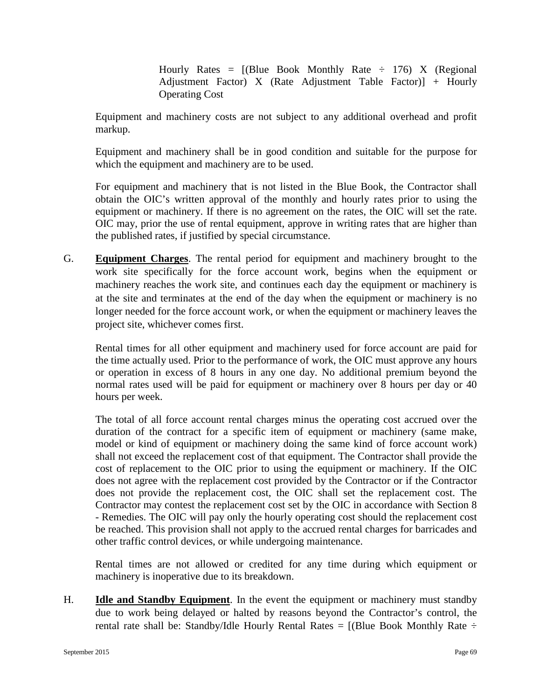Hourly Rates =  $[(Blue Book Monthly Rate \div 176) X (Regional$ Adjustment Factor) X (Rate Adjustment Table Factor)] + Hourly Operating Cost

Equipment and machinery costs are not subject to any additional overhead and profit markup.

Equipment and machinery shall be in good condition and suitable for the purpose for which the equipment and machinery are to be used.

For equipment and machinery that is not listed in the Blue Book, the Contractor shall obtain the OIC's written approval of the monthly and hourly rates prior to using the equipment or machinery. If there is no agreement on the rates, the OIC will set the rate. OIC may, prior the use of rental equipment, approve in writing rates that are higher than the published rates, if justified by special circumstance.

G. **Equipment Charges**. The rental period for equipment and machinery brought to the work site specifically for the force account work, begins when the equipment or machinery reaches the work site, and continues each day the equipment or machinery is at the site and terminates at the end of the day when the equipment or machinery is no longer needed for the force account work, or when the equipment or machinery leaves the project site, whichever comes first.

Rental times for all other equipment and machinery used for force account are paid for the time actually used. Prior to the performance of work, the OIC must approve any hours or operation in excess of 8 hours in any one day. No additional premium beyond the normal rates used will be paid for equipment or machinery over 8 hours per day or 40 hours per week.

The total of all force account rental charges minus the operating cost accrued over the duration of the contract for a specific item of equipment or machinery (same make, model or kind of equipment or machinery doing the same kind of force account work) shall not exceed the replacement cost of that equipment. The Contractor shall provide the cost of replacement to the OIC prior to using the equipment or machinery. If the OIC does not agree with the replacement cost provided by the Contractor or if the Contractor does not provide the replacement cost, the OIC shall set the replacement cost. The Contractor may contest the replacement cost set by the OIC in accordance with Section 8 - Remedies. The OIC will pay only the hourly operating cost should the replacement cost be reached. This provision shall not apply to the accrued rental charges for barricades and other traffic control devices, or while undergoing maintenance.

Rental times are not allowed or credited for any time during which equipment or machinery is inoperative due to its breakdown.

H. **Idle and Standby Equipment**. In the event the equipment or machinery must standby due to work being delayed or halted by reasons beyond the Contractor's control, the rental rate shall be: Standby/Idle Hourly Rental Rates =  $[$ (Blue Book Monthly Rate  $\div$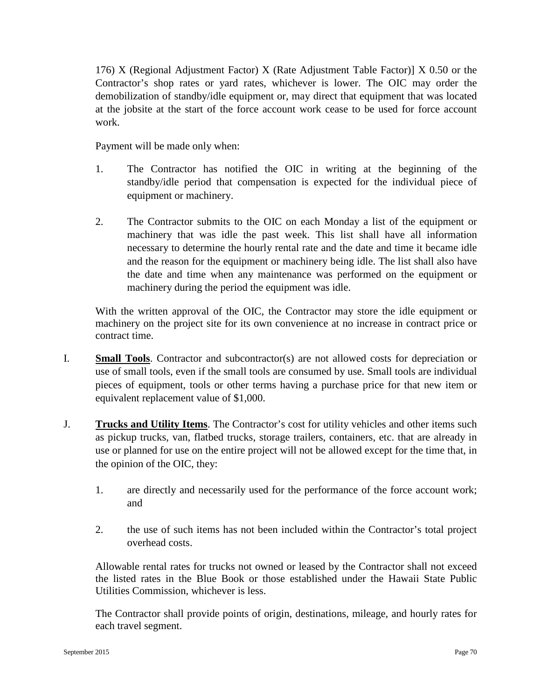176) X (Regional Adjustment Factor) X (Rate Adjustment Table Factor)] X 0.50 or the Contractor's shop rates or yard rates, whichever is lower. The OIC may order the demobilization of standby/idle equipment or, may direct that equipment that was located at the jobsite at the start of the force account work cease to be used for force account work.

Payment will be made only when:

- 1. The Contractor has notified the OIC in writing at the beginning of the standby/idle period that compensation is expected for the individual piece of equipment or machinery.
- 2. The Contractor submits to the OIC on each Monday a list of the equipment or machinery that was idle the past week. This list shall have all information necessary to determine the hourly rental rate and the date and time it became idle and the reason for the equipment or machinery being idle. The list shall also have the date and time when any maintenance was performed on the equipment or machinery during the period the equipment was idle.

With the written approval of the OIC, the Contractor may store the idle equipment or machinery on the project site for its own convenience at no increase in contract price or contract time.

- I. **Small Tools**. Contractor and subcontractor(s) are not allowed costs for depreciation or use of small tools, even if the small tools are consumed by use. Small tools are individual pieces of equipment, tools or other terms having a purchase price for that new item or equivalent replacement value of \$1,000.
- J. **Trucks and Utility Items**. The Contractor's cost for utility vehicles and other items such as pickup trucks, van, flatbed trucks, storage trailers, containers, etc. that are already in use or planned for use on the entire project will not be allowed except for the time that, in the opinion of the OIC, they:
	- 1. are directly and necessarily used for the performance of the force account work; and
	- 2. the use of such items has not been included within the Contractor's total project overhead costs.

Allowable rental rates for trucks not owned or leased by the Contractor shall not exceed the listed rates in the Blue Book or those established under the Hawaii State Public Utilities Commission, whichever is less.

The Contractor shall provide points of origin, destinations, mileage, and hourly rates for each travel segment.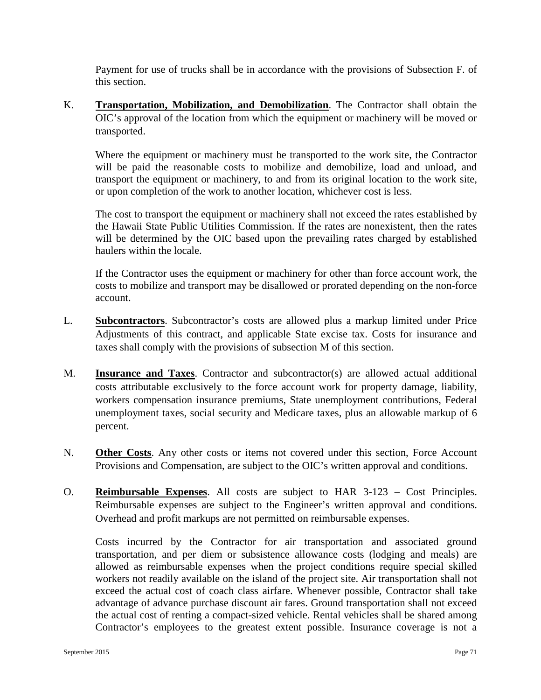Payment for use of trucks shall be in accordance with the provisions of Subsection F. of this section.

K. **Transportation, Mobilization, and Demobilization**. The Contractor shall obtain the OIC's approval of the location from which the equipment or machinery will be moved or transported.

Where the equipment or machinery must be transported to the work site, the Contractor will be paid the reasonable costs to mobilize and demobilize, load and unload, and transport the equipment or machinery, to and from its original location to the work site, or upon completion of the work to another location, whichever cost is less.

The cost to transport the equipment or machinery shall not exceed the rates established by the Hawaii State Public Utilities Commission. If the rates are nonexistent, then the rates will be determined by the OIC based upon the prevailing rates charged by established haulers within the locale.

If the Contractor uses the equipment or machinery for other than force account work, the costs to mobilize and transport may be disallowed or prorated depending on the non-force account.

- L. **Subcontractors**. Subcontractor's costs are allowed plus a markup limited under Price Adjustments of this contract, and applicable State excise tax. Costs for insurance and taxes shall comply with the provisions of subsection M of this section.
- M. **Insurance and Taxes**. Contractor and subcontractor(s) are allowed actual additional costs attributable exclusively to the force account work for property damage, liability, workers compensation insurance premiums, State unemployment contributions, Federal unemployment taxes, social security and Medicare taxes, plus an allowable markup of 6 percent.
- N. **Other Costs**. Any other costs or items not covered under this section, Force Account Provisions and Compensation, are subject to the OIC's written approval and conditions.
- O. **Reimbursable Expenses**. All costs are subject to HAR 3-123 Cost Principles. Reimbursable expenses are subject to the Engineer's written approval and conditions. Overhead and profit markups are not permitted on reimbursable expenses.

Costs incurred by the Contractor for air transportation and associated ground transportation, and per diem or subsistence allowance costs (lodging and meals) are allowed as reimbursable expenses when the project conditions require special skilled workers not readily available on the island of the project site. Air transportation shall not exceed the actual cost of coach class airfare. Whenever possible, Contractor shall take advantage of advance purchase discount air fares. Ground transportation shall not exceed the actual cost of renting a compact-sized vehicle. Rental vehicles shall be shared among Contractor's employees to the greatest extent possible. Insurance coverage is not a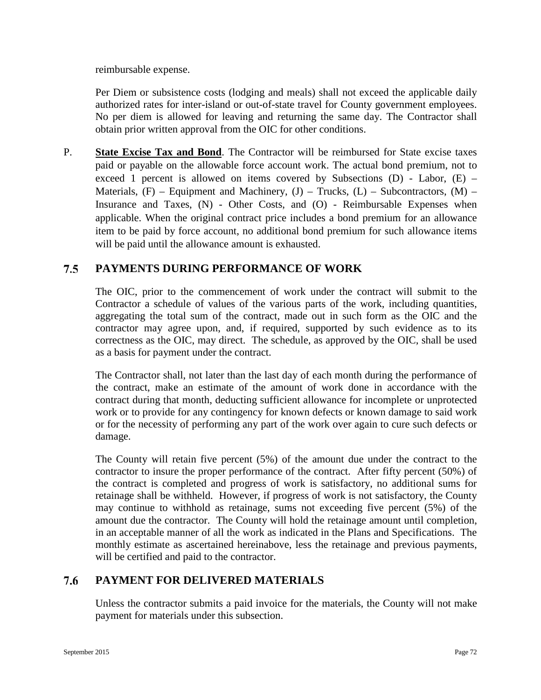reimbursable expense.

Per Diem or subsistence costs (lodging and meals) shall not exceed the applicable daily authorized rates for inter-island or out-of-state travel for County government employees. No per diem is allowed for leaving and returning the same day. The Contractor shall obtain prior written approval from the OIC for other conditions.

P. **State Excise Tax and Bond**. The Contractor will be reimbursed for State excise taxes paid or payable on the allowable force account work. The actual bond premium, not to exceed 1 percent is allowed on items covered by Subsections  $(D)$  - Labor,  $(E)$  – Materials,  $(F)$  – Equipment and Machinery,  $(J)$  – Trucks,  $(L)$  – Subcontractors,  $(M)$  – Insurance and Taxes, (N) - Other Costs, and (O) - Reimbursable Expenses when applicable. When the original contract price includes a bond premium for an allowance item to be paid by force account, no additional bond premium for such allowance items will be paid until the allowance amount is exhausted.

### $7.5$ **PAYMENTS DURING PERFORMANCE OF WORK**

The OIC, prior to the commencement of work under the contract will submit to the Contractor a schedule of values of the various parts of the work, including quantities, aggregating the total sum of the contract, made out in such form as the OIC and the contractor may agree upon, and, if required, supported by such evidence as to its correctness as the OIC, may direct. The schedule, as approved by the OIC, shall be used as a basis for payment under the contract.

The Contractor shall, not later than the last day of each month during the performance of the contract, make an estimate of the amount of work done in accordance with the contract during that month, deducting sufficient allowance for incomplete or unprotected work or to provide for any contingency for known defects or known damage to said work or for the necessity of performing any part of the work over again to cure such defects or damage.

The County will retain five percent (5%) of the amount due under the contract to the contractor to insure the proper performance of the contract. After fifty percent (50%) of the contract is completed and progress of work is satisfactory, no additional sums for retainage shall be withheld. However, if progress of work is not satisfactory, the County may continue to withhold as retainage, sums not exceeding five percent (5%) of the amount due the contractor. The County will hold the retainage amount until completion, in an acceptable manner of all the work as indicated in the Plans and Specifications. The monthly estimate as ascertained hereinabove, less the retainage and previous payments, will be certified and paid to the contractor.

### 7.6 **PAYMENT FOR DELIVERED MATERIALS**

Unless the contractor submits a paid invoice for the materials, the County will not make payment for materials under this subsection.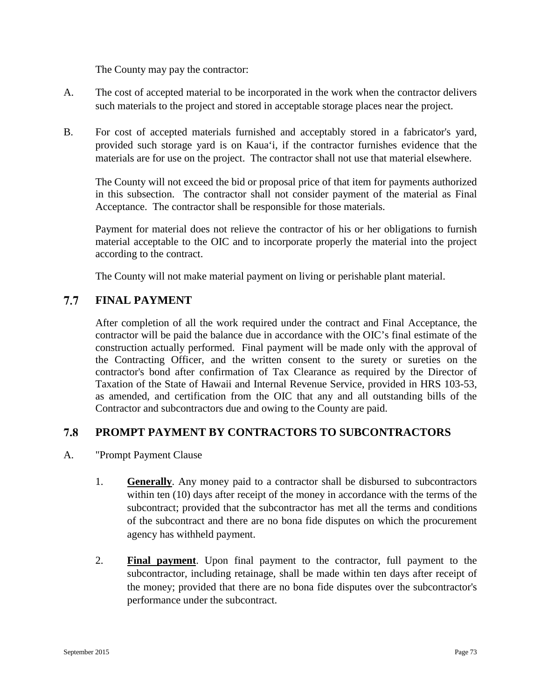The County may pay the contractor:

- A. The cost of accepted material to be incorporated in the work when the contractor delivers such materials to the project and stored in acceptable storage places near the project.
- B. For cost of accepted materials furnished and acceptably stored in a fabricator's yard, provided such storage yard is on Kaua'i, if the contractor furnishes evidence that the materials are for use on the project. The contractor shall not use that material elsewhere.

The County will not exceed the bid or proposal price of that item for payments authorized in this subsection. The contractor shall not consider payment of the material as Final Acceptance. The contractor shall be responsible for those materials.

Payment for material does not relieve the contractor of his or her obligations to furnish material acceptable to the OIC and to incorporate properly the material into the project according to the contract.

The County will not make material payment on living or perishable plant material.

### $7.7$ **FINAL PAYMENT**

After completion of all the work required under the contract and Final Acceptance, the contractor will be paid the balance due in accordance with the OIC's final estimate of the construction actually performed. Final payment will be made only with the approval of the Contracting Officer, and the written consent to the surety or sureties on the contractor's bond after confirmation of Tax Clearance as required by the Director of Taxation of the State of Hawaii and Internal Revenue Service, provided in HRS 103-53, as amended, and certification from the OIC that any and all outstanding bills of the Contractor and subcontractors due and owing to the County are paid.

### 7.8 **PROMPT PAYMENT BY CONTRACTORS TO SUBCONTRACTORS**

- A. "Prompt Payment Clause
	- 1. **Generally**. Any money paid to a contractor shall be disbursed to subcontractors within ten (10) days after receipt of the money in accordance with the terms of the subcontract; provided that the subcontractor has met all the terms and conditions of the subcontract and there are no bona fide disputes on which the procurement agency has withheld payment.
	- 2. **Final payment**. Upon final payment to the contractor, full payment to the subcontractor, including retainage, shall be made within ten days after receipt of the money; provided that there are no bona fide disputes over the subcontractor's performance under the subcontract.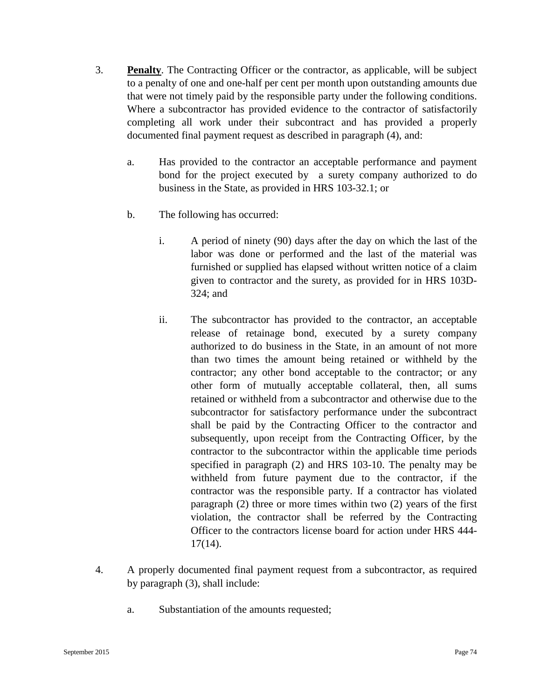- 3. **Penalty**. The Contracting Officer or the contractor, as applicable, will be subject to a penalty of one and one-half per cent per month upon outstanding amounts due that were not timely paid by the responsible party under the following conditions. Where a subcontractor has provided evidence to the contractor of satisfactorily completing all work under their subcontract and has provided a properly documented final payment request as described in paragraph (4), and:
	- a. Has provided to the contractor an acceptable performance and payment bond for the project executed by a surety company authorized to do business in the State, as provided in HRS 103-32.1; or
	- b. The following has occurred:
		- i. A period of ninety (90) days after the day on which the last of the labor was done or performed and the last of the material was furnished or supplied has elapsed without written notice of a claim given to contractor and the surety, as provided for in HRS 103D-324; and
		- ii. The subcontractor has provided to the contractor, an acceptable release of retainage bond, executed by a surety company authorized to do business in the State, in an amount of not more than two times the amount being retained or withheld by the contractor; any other bond acceptable to the contractor; or any other form of mutually acceptable collateral, then, all sums retained or withheld from a subcontractor and otherwise due to the subcontractor for satisfactory performance under the subcontract shall be paid by the Contracting Officer to the contractor and subsequently, upon receipt from the Contracting Officer, by the contractor to the subcontractor within the applicable time periods specified in paragraph (2) and HRS 103-10. The penalty may be withheld from future payment due to the contractor, if the contractor was the responsible party. If a contractor has violated paragraph (2) three or more times within two (2) years of the first violation, the contractor shall be referred by the Contracting Officer to the contractors license board for action under HRS 444- 17(14).
- 4. A properly documented final payment request from a subcontractor, as required by paragraph (3), shall include:
	- a. Substantiation of the amounts requested;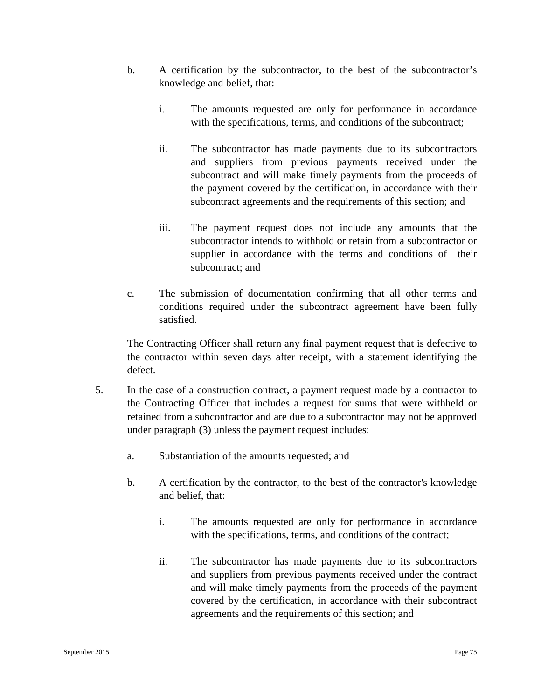- b. A certification by the subcontractor, to the best of the subcontractor's knowledge and belief, that:
	- i. The amounts requested are only for performance in accordance with the specifications, terms, and conditions of the subcontract;
	- ii. The subcontractor has made payments due to its subcontractors and suppliers from previous payments received under the subcontract and will make timely payments from the proceeds of the payment covered by the certification, in accordance with their subcontract agreements and the requirements of this section; and
	- iii. The payment request does not include any amounts that the subcontractor intends to withhold or retain from a subcontractor or supplier in accordance with the terms and conditions of their subcontract; and
- c. The submission of documentation confirming that all other terms and conditions required under the subcontract agreement have been fully satisfied.

The Contracting Officer shall return any final payment request that is defective to the contractor within seven days after receipt, with a statement identifying the defect.

- 5. In the case of a construction contract, a payment request made by a contractor to the Contracting Officer that includes a request for sums that were withheld or retained from a subcontractor and are due to a subcontractor may not be approved under paragraph (3) unless the payment request includes:
	- a. Substantiation of the amounts requested; and
	- b. A certification by the contractor, to the best of the contractor's knowledge and belief, that:
		- i. The amounts requested are only for performance in accordance with the specifications, terms, and conditions of the contract;
		- ii. The subcontractor has made payments due to its subcontractors and suppliers from previous payments received under the contract and will make timely payments from the proceeds of the payment covered by the certification, in accordance with their subcontract agreements and the requirements of this section; and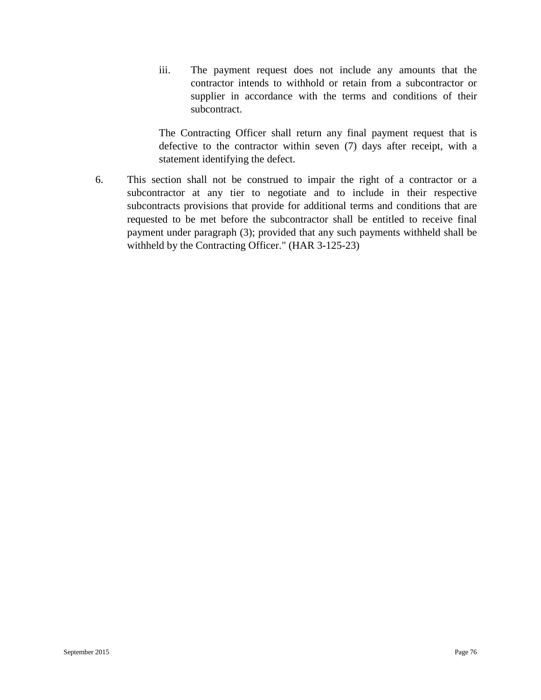iii. The payment request does not include any amounts that the contractor intends to withhold or retain from a subcontractor or supplier in accordance with the terms and conditions of their subcontract.

The Contracting Officer shall return any final payment request that is defective to the contractor within seven (7) days after receipt, with a statement identifying the defect.

6. This section shall not be construed to impair the right of a contractor or a subcontractor at any tier to negotiate and to include in their respective subcontracts provisions that provide for additional terms and conditions that are requested to be met before the subcontractor shall be entitled to receive final payment under paragraph (3); provided that any such payments withheld shall be withheld by the Contracting Officer." (HAR 3-125-23)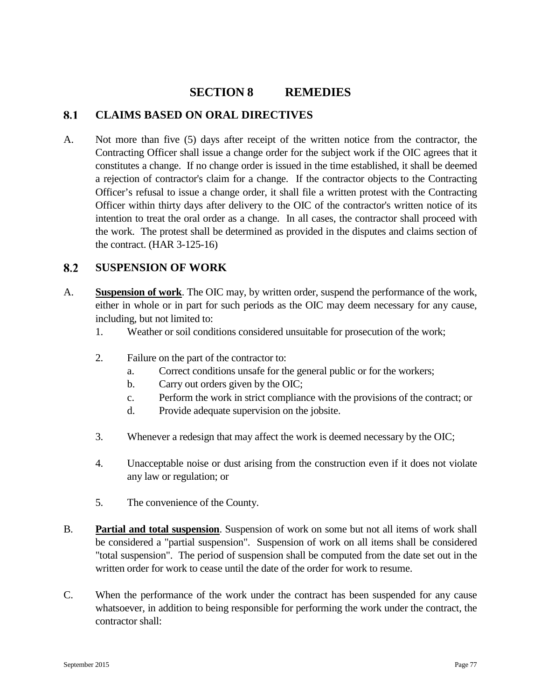# **SECTION 8 REMEDIES**

### 8.1 **CLAIMS BASED ON ORAL DIRECTIVES**

A. Not more than five (5) days after receipt of the written notice from the contractor, the Contracting Officer shall issue a change order for the subject work if the OIC agrees that it constitutes a change. If no change order is issued in the time established, it shall be deemed a rejection of contractor's claim for a change. If the contractor objects to the Contracting Officer's refusal to issue a change order, it shall file a written protest with the Contracting Officer within thirty days after delivery to the OIC of the contractor's written notice of its intention to treat the oral order as a change. In all cases, the contractor shall proceed with the work. The protest shall be determined as provided in the disputes and claims section of the contract.  $(HAR 3-125-16)$ 

### 8.2 **SUSPENSION OF WORK**

- A. **Suspension of work**. The OIC may, by written order, suspend the performance of the work, either in whole or in part for such periods as the OIC may deem necessary for any cause, including, but not limited to:
	- 1. Weather or soil conditions considered unsuitable for prosecution of the work;
	- 2. Failure on the part of the contractor to:
		- a. Correct conditions unsafe for the general public or for the workers;
		- b. Carry out orders given by the OIC;
		- c. Perform the work in strict compliance with the provisions of the contract; or
		- d. Provide adequate supervision on the jobsite.
	- 3. Whenever a redesign that may affect the work is deemed necessary by the OIC;
	- 4. Unacceptable noise or dust arising from the construction even if it does not violate any law or regulation; or
	- 5. The convenience of the County.
- B. **Partial and total suspension**. Suspension of work on some but not all items of work shall be considered a "partial suspension". Suspension of work on all items shall be considered "total suspension". The period of suspension shall be computed from the date set out in the written order for work to cease until the date of the order for work to resume.
- C. When the performance of the work under the contract has been suspended for any cause whatsoever, in addition to being responsible for performing the work under the contract, the contractor shall: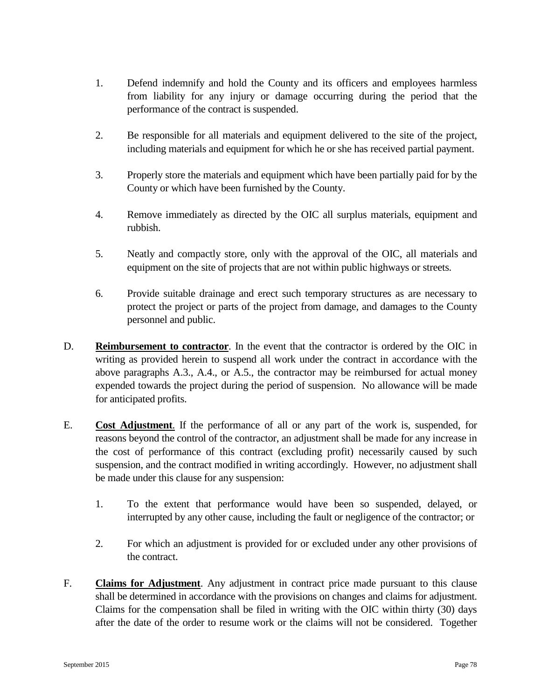- 1. Defend indemnify and hold the County and its officers and employees harmless from liability for any injury or damage occurring during the period that the performance of the contract is suspended.
- 2. Be responsible for all materials and equipment delivered to the site of the project, including materials and equipment for which he or she has received partial payment.
- 3. Properly store the materials and equipment which have been partially paid for by the County or which have been furnished by the County.
- 4. Remove immediately as directed by the OIC all surplus materials, equipment and rubbish.
- 5. Neatly and compactly store, only with the approval of the OIC, all materials and equipment on the site of projects that are not within public highways or streets.
- 6. Provide suitable drainage and erect such temporary structures as are necessary to protect the project or parts of the project from damage, and damages to the County personnel and public.
- D. **Reimbursement to contractor**. In the event that the contractor is ordered by the OIC in writing as provided herein to suspend all work under the contract in accordance with the above paragraphs A.3., A.4., or A.5., the contractor may be reimbursed for actual money expended towards the project during the period of suspension. No allowance will be made for anticipated profits.
- E. **Cost Adjustment**. If the performance of all or any part of the work is, suspended, for reasons beyond the control of the contractor, an adjustment shall be made for any increase in the cost of performance of this contract (excluding profit) necessarily caused by such suspension, and the contract modified in writing accordingly. However, no adjustment shall be made under this clause for any suspension:
	- 1. To the extent that performance would have been so suspended, delayed, or interrupted by any other cause, including the fault or negligence of the contractor; or
	- 2. For which an adjustment is provided for or excluded under any other provisions of the contract.
- F. **Claims for Adjustment**. Any adjustment in contract price made pursuant to this clause shall be determined in accordance with the provisions on changes and claims for adjustment. Claims for the compensation shall be filed in writing with the OIC within thirty (30) days after the date of the order to resume work or the claims will not be considered. Together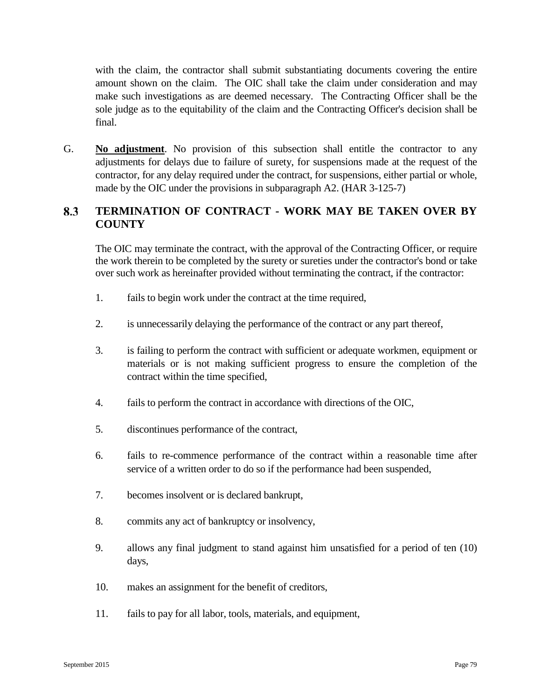with the claim, the contractor shall submit substantiating documents covering the entire amount shown on the claim. The OIC shall take the claim under consideration and may make such investigations as are deemed necessary. The Contracting Officer shall be the sole judge as to the equitability of the claim and the Contracting Officer's decision shall be final.

G. **No adjustment**. No provision of this subsection shall entitle the contractor to any adjustments for delays due to failure of surety, for suspensions made at the request of the contractor, for any delay required under the contract, for suspensions, either partial or whole, made by the OIC under the provisions in subparagraph A2. (HAR 3-125-7)

### 8.3 **TERMINATION OF CONTRACT - WORK MAY BE TAKEN OVER BY COUNTY**

The OIC may terminate the contract, with the approval of the Contracting Officer, or require the work therein to be completed by the surety or sureties under the contractor's bond or take over such work as hereinafter provided without terminating the contract, if the contractor:

- 1. fails to begin work under the contract at the time required,
- 2. is unnecessarily delaying the performance of the contract or any part thereof,
- 3. is failing to perform the contract with sufficient or adequate workmen, equipment or materials or is not making sufficient progress to ensure the completion of the contract within the time specified,
- 4. fails to perform the contract in accordance with directions of the OIC,
- 5. discontinues performance of the contract,
- 6. fails to re-commence performance of the contract within a reasonable time after service of a written order to do so if the performance had been suspended,
- 7. becomes insolvent or is declared bankrupt,
- 8. commits any act of bankruptcy or insolvency,
- 9. allows any final judgment to stand against him unsatisfied for a period of ten (10) days,
- 10. makes an assignment for the benefit of creditors,
- 11. fails to pay for all labor, tools, materials, and equipment,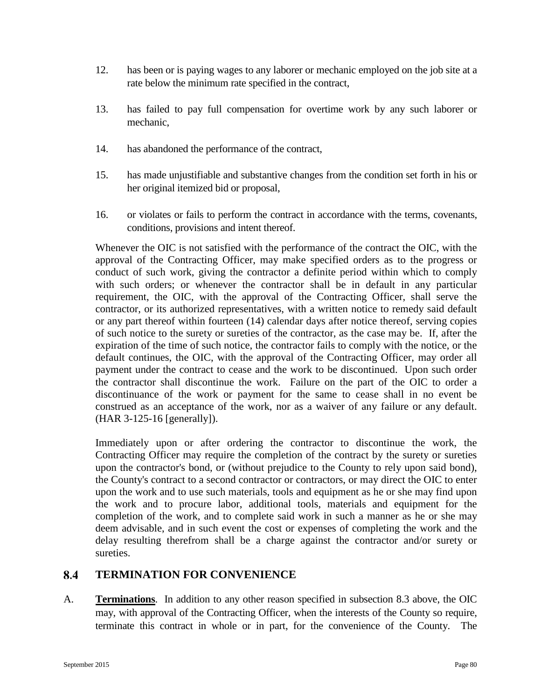- 12. has been or is paying wages to any laborer or mechanic employed on the job site at a rate below the minimum rate specified in the contract,
- 13. has failed to pay full compensation for overtime work by any such laborer or mechanic,
- 14. has abandoned the performance of the contract,
- 15. has made unjustifiable and substantive changes from the condition set forth in his or her original itemized bid or proposal,
- 16. or violates or fails to perform the contract in accordance with the terms, covenants, conditions, provisions and intent thereof.

Whenever the OIC is not satisfied with the performance of the contract the OIC, with the approval of the Contracting Officer, may make specified orders as to the progress or conduct of such work, giving the contractor a definite period within which to comply with such orders; or whenever the contractor shall be in default in any particular requirement, the OIC, with the approval of the Contracting Officer, shall serve the contractor, or its authorized representatives, with a written notice to remedy said default or any part thereof within fourteen (14) calendar days after notice thereof, serving copies of such notice to the surety or sureties of the contractor, as the case may be. If, after the expiration of the time of such notice, the contractor fails to comply with the notice, or the default continues, the OIC, with the approval of the Contracting Officer, may order all payment under the contract to cease and the work to be discontinued. Upon such order the contractor shall discontinue the work. Failure on the part of the OIC to order a discontinuance of the work or payment for the same to cease shall in no event be construed as an acceptance of the work, nor as a waiver of any failure or any default. (HAR 3-125-16 [generally]).

Immediately upon or after ordering the contractor to discontinue the work, the Contracting Officer may require the completion of the contract by the surety or sureties upon the contractor's bond, or (without prejudice to the County to rely upon said bond), the County's contract to a second contractor or contractors, or may direct the OIC to enter upon the work and to use such materials, tools and equipment as he or she may find upon the work and to procure labor, additional tools, materials and equipment for the completion of the work, and to complete said work in such a manner as he or she may deem advisable, and in such event the cost or expenses of completing the work and the delay resulting therefrom shall be a charge against the contractor and/or surety or sureties.

### 8.4 **TERMINATION FOR CONVENIENCE**

A. **Terminations**. In addition to any other reason specified in subsection 8.3 above, the OIC may, with approval of the Contracting Officer, when the interests of the County so require, terminate this contract in whole or in part, for the convenience of the County. The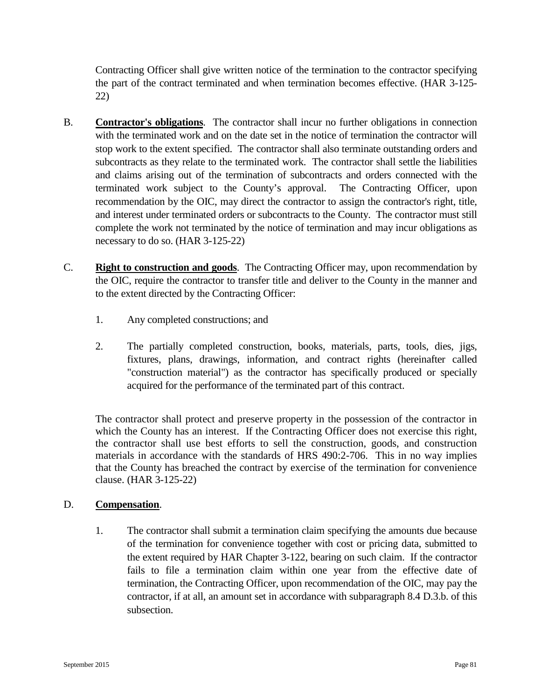Contracting Officer shall give written notice of the termination to the contractor specifying the part of the contract terminated and when termination becomes effective. (HAR 3-125- 22)

- B. **Contractor's obligations**. The contractor shall incur no further obligations in connection with the terminated work and on the date set in the notice of termination the contractor will stop work to the extent specified. The contractor shall also terminate outstanding orders and subcontracts as they relate to the terminated work. The contractor shall settle the liabilities and claims arising out of the termination of subcontracts and orders connected with the terminated work subject to the County's approval. The Contracting Officer, upon recommendation by the OIC, may direct the contractor to assign the contractor's right, title, and interest under terminated orders or subcontracts to the County. The contractor must still complete the work not terminated by the notice of termination and may incur obligations as necessary to do so. (HAR 3-125-22)
- C. **Right to construction and goods**. The Contracting Officer may, upon recommendation by the OIC, require the contractor to transfer title and deliver to the County in the manner and to the extent directed by the Contracting Officer:
	- 1. Any completed constructions; and
	- 2. The partially completed construction, books, materials, parts, tools, dies, jigs, fixtures, plans, drawings, information, and contract rights (hereinafter called "construction material") as the contractor has specifically produced or specially acquired for the performance of the terminated part of this contract.

The contractor shall protect and preserve property in the possession of the contractor in which the County has an interest. If the Contracting Officer does not exercise this right, the contractor shall use best efforts to sell the construction, goods, and construction materials in accordance with the standards of HRS 490:2-706. This in no way implies that the County has breached the contract by exercise of the termination for convenience clause. (HAR 3-125-22)

# D. **Compensation**.

1. The contractor shall submit a termination claim specifying the amounts due because of the termination for convenience together with cost or pricing data, submitted to the extent required by HAR Chapter 3-122, bearing on such claim. If the contractor fails to file a termination claim within one year from the effective date of termination, the Contracting Officer, upon recommendation of the OIC, may pay the contractor, if at all, an amount set in accordance with subparagraph 8.4 D.3.b. of this subsection.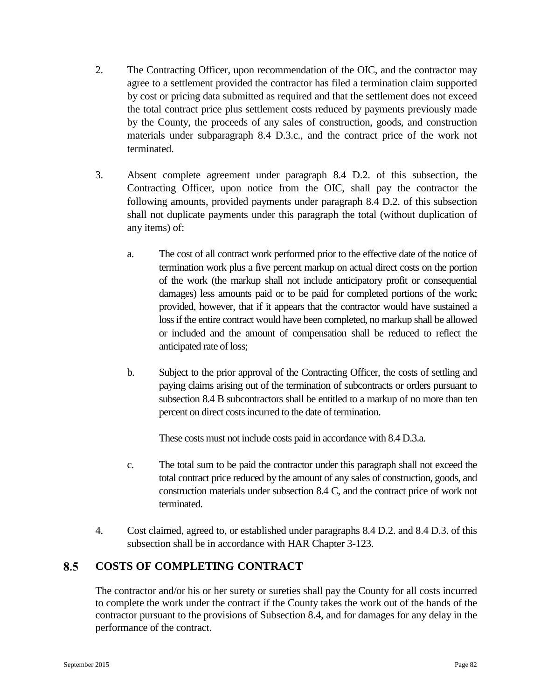- 2. The Contracting Officer, upon recommendation of the OIC, and the contractor may agree to a settlement provided the contractor has filed a termination claim supported by cost or pricing data submitted as required and that the settlement does not exceed the total contract price plus settlement costs reduced by payments previously made by the County, the proceeds of any sales of construction, goods, and construction materials under subparagraph 8.4 D.3.c., and the contract price of the work not terminated.
- 3. Absent complete agreement under paragraph 8.4 D.2. of this subsection, the Contracting Officer, upon notice from the OIC, shall pay the contractor the following amounts, provided payments under paragraph 8.4 D.2. of this subsection shall not duplicate payments under this paragraph the total (without duplication of any items) of:
	- a. The cost of all contract work performed prior to the effective date of the notice of termination work plus a five percent markup on actual direct costs on the portion of the work (the markup shall not include anticipatory profit or consequential damages) less amounts paid or to be paid for completed portions of the work; provided, however, that if it appears that the contractor would have sustained a loss if the entire contract would have been completed, no markup shall be allowed or included and the amount of compensation shall be reduced to reflect the anticipated rate of loss;
	- b. Subject to the prior approval of the Contracting Officer, the costs of settling and paying claims arising out of the termination of subcontracts or orders pursuant to subsection 8.4 B subcontractors shall be entitled to a markup of no more than ten percent on direct costs incurred to the date of termination.

These costs must not include costs paid in accordance with 8.4 D.3.a.

- c. The total sum to be paid the contractor under this paragraph shall not exceed the total contract price reduced by the amount of any sales of construction, goods, and construction materials under subsection 8.4 C, and the contract price of work not terminated.
- 4. Cost claimed, agreed to, or established under paragraphs 8.4 D.2. and 8.4 D.3. of this subsection shall be in accordance with HAR Chapter 3-123.

### 8.5 **COSTS OF COMPLETING CONTRACT**

The contractor and/or his or her surety or sureties shall pay the County for all costs incurred to complete the work under the contract if the County takes the work out of the hands of the contractor pursuant to the provisions of Subsection 8.4, and for damages for any delay in the performance of the contract.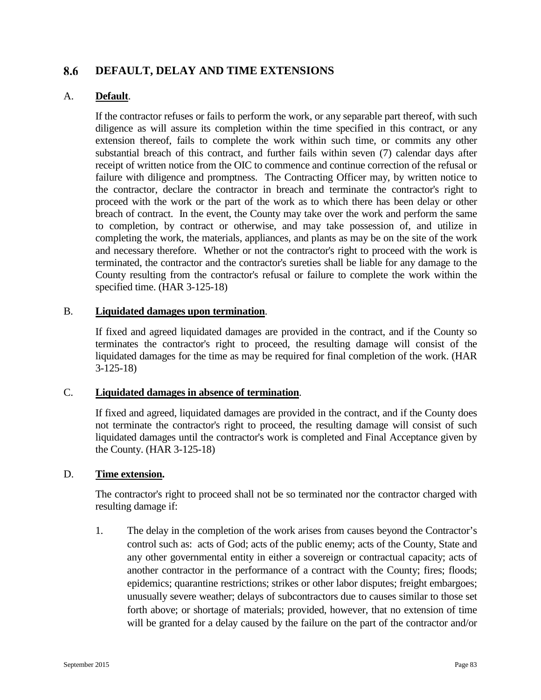### 8.6 **DEFAULT, DELAY AND TIME EXTENSIONS**

### A. **Default**.

If the contractor refuses or fails to perform the work, or any separable part thereof, with such diligence as will assure its completion within the time specified in this contract, or any extension thereof, fails to complete the work within such time, or commits any other substantial breach of this contract, and further fails within seven (7) calendar days after receipt of written notice from the OIC to commence and continue correction of the refusal or failure with diligence and promptness. The Contracting Officer may, by written notice to the contractor, declare the contractor in breach and terminate the contractor's right to proceed with the work or the part of the work as to which there has been delay or other breach of contract. In the event, the County may take over the work and perform the same to completion, by contract or otherwise, and may take possession of, and utilize in completing the work, the materials, appliances, and plants as may be on the site of the work and necessary therefore. Whether or not the contractor's right to proceed with the work is terminated, the contractor and the contractor's sureties shall be liable for any damage to the County resulting from the contractor's refusal or failure to complete the work within the specified time. (HAR 3-125-18)

### B. **Liquidated damages upon termination**.

If fixed and agreed liquidated damages are provided in the contract, and if the County so terminates the contractor's right to proceed, the resulting damage will consist of the liquidated damages for the time as may be required for final completion of the work. (HAR 3-125-18)

### C. **Liquidated damages in absence of termination**.

If fixed and agreed, liquidated damages are provided in the contract, and if the County does not terminate the contractor's right to proceed, the resulting damage will consist of such liquidated damages until the contractor's work is completed and Final Acceptance given by the County. (HAR 3-125-18)

## D. **Time extension.**

The contractor's right to proceed shall not be so terminated nor the contractor charged with resulting damage if:

1. The delay in the completion of the work arises from causes beyond the Contractor's control such as: acts of God; acts of the public enemy; acts of the County, State and any other governmental entity in either a sovereign or contractual capacity; acts of another contractor in the performance of a contract with the County; fires; floods; epidemics; quarantine restrictions; strikes or other labor disputes; freight embargoes; unusually severe weather; delays of subcontractors due to causes similar to those set forth above; or shortage of materials; provided, however, that no extension of time will be granted for a delay caused by the failure on the part of the contractor and/or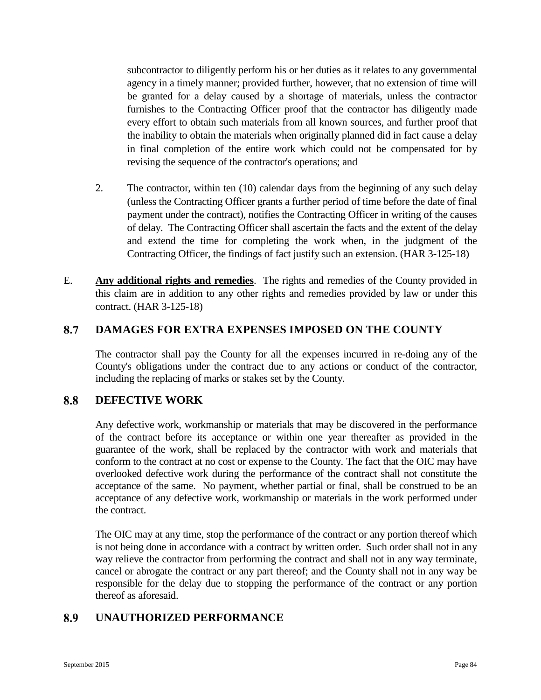subcontractor to diligently perform his or her duties as it relates to any governmental agency in a timely manner; provided further, however, that no extension of time will be granted for a delay caused by a shortage of materials, unless the contractor furnishes to the Contracting Officer proof that the contractor has diligently made every effort to obtain such materials from all known sources, and further proof that the inability to obtain the materials when originally planned did in fact cause a delay in final completion of the entire work which could not be compensated for by revising the sequence of the contractor's operations; and

- 2. The contractor, within ten (10) calendar days from the beginning of any such delay (unless the Contracting Officer grants a further period of time before the date of final payment under the contract), notifies the Contracting Officer in writing of the causes of delay. The Contracting Officer shall ascertain the facts and the extent of the delay and extend the time for completing the work when, in the judgment of the Contracting Officer, the findings of fact justify such an extension. (HAR 3-125-18)
- E. **Any additional rights and remedies**. The rights and remedies of the County provided in this claim are in addition to any other rights and remedies provided by law or under this contract. (HAR 3-125-18)

### 8.7 **DAMAGES FOR EXTRA EXPENSES IMPOSED ON THE COUNTY**

The contractor shall pay the County for all the expenses incurred in re-doing any of the County's obligations under the contract due to any actions or conduct of the contractor, including the replacing of marks or stakes set by the County.

### 8.8 **DEFECTIVE WORK**

Any defective work, workmanship or materials that may be discovered in the performance of the contract before its acceptance or within one year thereafter as provided in the guarantee of the work, shall be replaced by the contractor with work and materials that conform to the contract at no cost or expense to the County. The fact that the OIC may have overlooked defective work during the performance of the contract shall not constitute the acceptance of the same. No payment, whether partial or final, shall be construed to be an acceptance of any defective work, workmanship or materials in the work performed under the contract.

The OIC may at any time, stop the performance of the contract or any portion thereof which is not being done in accordance with a contract by written order. Such order shall not in any way relieve the contractor from performing the contract and shall not in any way terminate, cancel or abrogate the contract or any part thereof; and the County shall not in any way be responsible for the delay due to stopping the performance of the contract or any portion thereof as aforesaid.

### 8.9 **UNAUTHORIZED PERFORMANCE**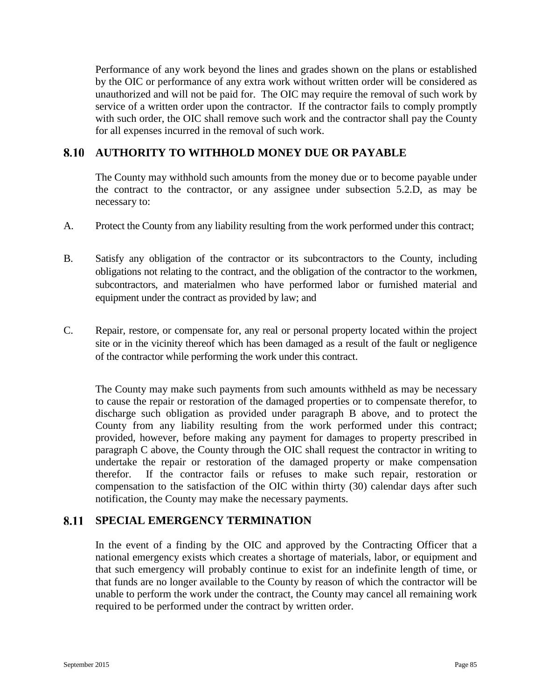Performance of any work beyond the lines and grades shown on the plans or established by the OIC or performance of any extra work without written order will be considered as unauthorized and will not be paid for. The OIC may require the removal of such work by service of a written order upon the contractor. If the contractor fails to comply promptly with such order, the OIC shall remove such work and the contractor shall pay the County for all expenses incurred in the removal of such work.

### 8.10 **AUTHORITY TO WITHHOLD MONEY DUE OR PAYABLE**

The County may withhold such amounts from the money due or to become payable under the contract to the contractor, or any assignee under subsection 5.2.D, as may be necessary to:

- A. Protect the County from any liability resulting from the work performed under this contract;
- B. Satisfy any obligation of the contractor or its subcontractors to the County, including obligations not relating to the contract, and the obligation of the contractor to the workmen, subcontractors, and materialmen who have performed labor or furnished material and equipment under the contract as provided by law; and
- C. Repair, restore, or compensate for, any real or personal property located within the project site or in the vicinity thereof which has been damaged as a result of the fault or negligence of the contractor while performing the work under this contract.

The County may make such payments from such amounts withheld as may be necessary to cause the repair or restoration of the damaged properties or to compensate therefor, to discharge such obligation as provided under paragraph B above, and to protect the County from any liability resulting from the work performed under this contract; provided, however, before making any payment for damages to property prescribed in paragraph C above, the County through the OIC shall request the contractor in writing to undertake the repair or restoration of the damaged property or make compensation therefor. If the contractor fails or refuses to make such repair, restoration or compensation to the satisfaction of the OIC within thirty (30) calendar days after such notification, the County may make the necessary payments.

### 8.11 **SPECIAL EMERGENCY TERMINATION**

In the event of a finding by the OIC and approved by the Contracting Officer that a national emergency exists which creates a shortage of materials, labor, or equipment and that such emergency will probably continue to exist for an indefinite length of time, or that funds are no longer available to the County by reason of which the contractor will be unable to perform the work under the contract, the County may cancel all remaining work required to be performed under the contract by written order.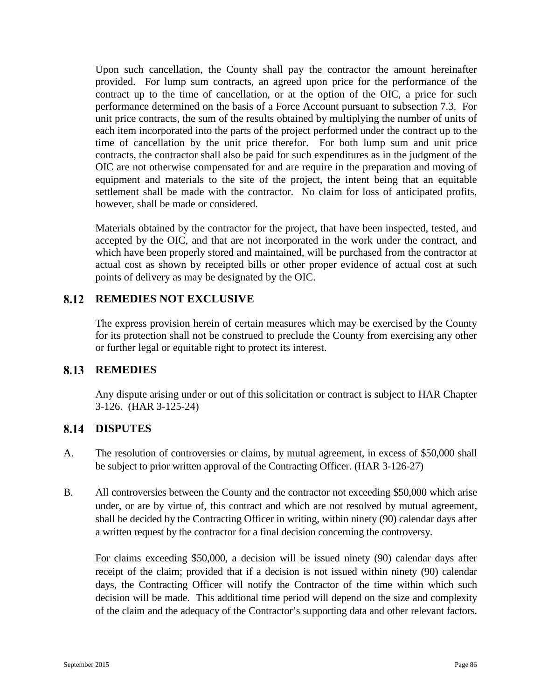Upon such cancellation, the County shall pay the contractor the amount hereinafter provided. For lump sum contracts, an agreed upon price for the performance of the contract up to the time of cancellation, or at the option of the OIC, a price for such performance determined on the basis of a Force Account pursuant to subsection 7.3. For unit price contracts, the sum of the results obtained by multiplying the number of units of each item incorporated into the parts of the project performed under the contract up to the time of cancellation by the unit price therefor. For both lump sum and unit price contracts, the contractor shall also be paid for such expenditures as in the judgment of the OIC are not otherwise compensated for and are require in the preparation and moving of equipment and materials to the site of the project, the intent being that an equitable settlement shall be made with the contractor. No claim for loss of anticipated profits, however, shall be made or considered.

Materials obtained by the contractor for the project, that have been inspected, tested, and accepted by the OIC, and that are not incorporated in the work under the contract, and which have been properly stored and maintained, will be purchased from the contractor at actual cost as shown by receipted bills or other proper evidence of actual cost at such points of delivery as may be designated by the OIC.

# **REMEDIES NOT EXCLUSIVE**

The express provision herein of certain measures which may be exercised by the County for its protection shall not be construed to preclude the County from exercising any other or further legal or equitable right to protect its interest.

# **REMEDIES**

Any dispute arising under or out of this solicitation or contract is subject to HAR Chapter 3-126. (HAR 3-125-24)

# 8.14 DISPUTES

- A. The resolution of controversies or claims, by mutual agreement, in excess of \$50,000 shall be subject to prior written approval of the Contracting Officer. (HAR 3-126-27)
- B. All controversies between the County and the contractor not exceeding \$50,000 which arise under, or are by virtue of, this contract and which are not resolved by mutual agreement, shall be decided by the Contracting Officer in writing, within ninety (90) calendar days after a written request by the contractor for a final decision concerning the controversy.

For claims exceeding \$50,000, a decision will be issued ninety (90) calendar days after receipt of the claim; provided that if a decision is not issued within ninety (90) calendar days, the Contracting Officer will notify the Contractor of the time within which such decision will be made. This additional time period will depend on the size and complexity of the claim and the adequacy of the Contractor's supporting data and other relevant factors.